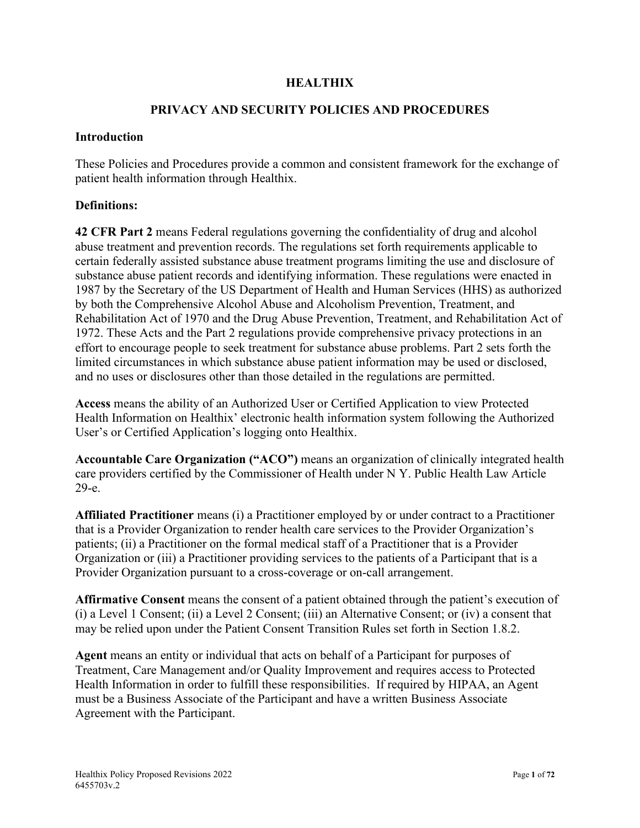### **HEALTHIX**

### **PRIVACY AND SECURITY POLICIES AND PROCEDURES**

#### **Introduction**

These Policies and Procedures provide a common and consistent framework for the exchange of patient health information through Healthix.

#### **Definitions:**

**42 CFR Part 2** means Federal regulations governing the confidentiality of drug and alcohol abuse treatment and prevention records. The regulations set forth requirements applicable to certain federally assisted substance abuse treatment programs limiting the use and disclosure of substance abuse patient records and identifying information. These regulations were enacted in 1987 by the Secretary of the US Department of Health and Human Services (HHS) as authorized by both the Comprehensive Alcohol Abuse and Alcoholism Prevention, Treatment, and Rehabilitation Act of 1970 and the Drug Abuse Prevention, Treatment, and Rehabilitation Act of 1972. These Acts and the Part 2 regulations provide comprehensive privacy protections in an effort to encourage people to seek treatment for substance abuse problems. Part 2 sets forth the limited circumstances in which substance abuse patient information may be used or disclosed, and no uses or disclosures other than those detailed in the regulations are permitted.

**Access** means the ability of an Authorized User or Certified Application to view Protected Health Information on Healthix' electronic health information system following the Authorized User's or Certified Application's logging onto Healthix.

**Accountable Care Organization ("ACO")** means an organization of clinically integrated health care providers certified by the Commissioner of Health under N Y. Public Health Law Article 29-e.

**Affiliated Practitioner** means (i) a Practitioner employed by or under contract to a Practitioner that is a Provider Organization to render health care services to the Provider Organization's patients; (ii) a Practitioner on the formal medical staff of a Practitioner that is a Provider Organization or (iii) a Practitioner providing services to the patients of a Participant that is a Provider Organization pursuant to a cross-coverage or on-call arrangement.

**Affirmative Consent** means the consent of a patient obtained through the patient's execution of (i) a Level 1 Consent; (ii) a Level 2 Consent; (iii) an Alternative Consent; or (iv) a consent that may be relied upon under the Patient Consent Transition Rules set forth in Section 1.8.2.

**Agent** means an entity or individual that acts on behalf of a Participant for purposes of Treatment, Care Management and/or Quality Improvement and requires access to Protected Health Information in order to fulfill these responsibilities. If required by HIPAA, an Agent must be a Business Associate of the Participant and have a written Business Associate Agreement with the Participant.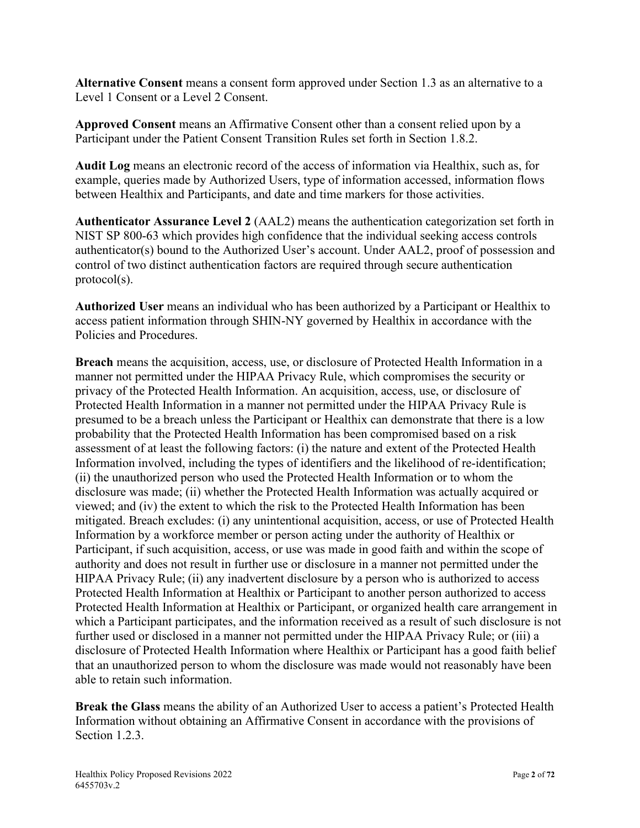**Alternative Consent** means a consent form approved under Section 1.3 as an alternative to a Level 1 Consent or a Level 2 Consent.

**Approved Consent** means an Affirmative Consent other than a consent relied upon by a Participant under the Patient Consent Transition Rules set forth in Section 1.8.2.

**Audit Log** means an electronic record of the access of information via Healthix, such as, for example, queries made by Authorized Users, type of information accessed, information flows between Healthix and Participants, and date and time markers for those activities.

**Authenticator Assurance Level 2** (AAL2) means the authentication categorization set forth in NIST SP 800-63 which provides high confidence that the individual seeking access controls authenticator(s) bound to the Authorized User's account. Under AAL2, proof of possession and control of two distinct authentication factors are required through secure authentication protocol(s).

**Authorized User** means an individual who has been authorized by a Participant or Healthix to access patient information through SHIN-NY governed by Healthix in accordance with the Policies and Procedures.

**Breach** means the acquisition, access, use, or disclosure of Protected Health Information in a manner not permitted under the HIPAA Privacy Rule, which compromises the security or privacy of the Protected Health Information. An acquisition, access, use, or disclosure of Protected Health Information in a manner not permitted under the HIPAA Privacy Rule is presumed to be a breach unless the Participant or Healthix can demonstrate that there is a low probability that the Protected Health Information has been compromised based on a risk assessment of at least the following factors: (i) the nature and extent of the Protected Health Information involved, including the types of identifiers and the likelihood of re-identification; (ii) the unauthorized person who used the Protected Health Information or to whom the disclosure was made; (ii) whether the Protected Health Information was actually acquired or viewed; and (iv) the extent to which the risk to the Protected Health Information has been mitigated. Breach excludes: (i) any unintentional acquisition, access, or use of Protected Health Information by a workforce member or person acting under the authority of Healthix or Participant, if such acquisition, access, or use was made in good faith and within the scope of authority and does not result in further use or disclosure in a manner not permitted under the HIPAA Privacy Rule; (ii) any inadvertent disclosure by a person who is authorized to access Protected Health Information at Healthix or Participant to another person authorized to access Protected Health Information at Healthix or Participant, or organized health care arrangement in which a Participant participates, and the information received as a result of such disclosure is not further used or disclosed in a manner not permitted under the HIPAA Privacy Rule; or (iii) a disclosure of Protected Health Information where Healthix or Participant has a good faith belief that an unauthorized person to whom the disclosure was made would not reasonably have been able to retain such information.

**Break the Glass** means the ability of an Authorized User to access a patient's Protected Health Information without obtaining an Affirmative Consent in accordance with the provisions of Section 1.2.3.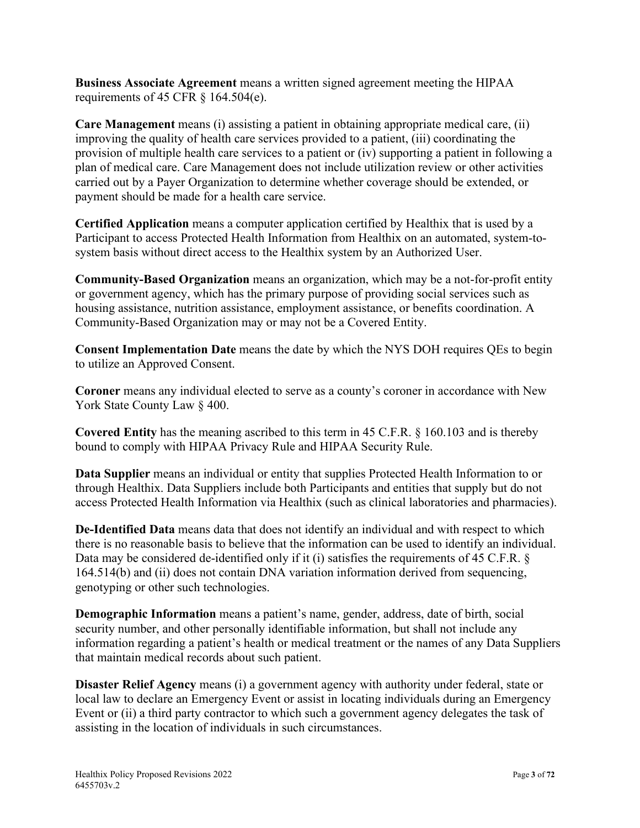**Business Associate Agreement** means a written signed agreement meeting the HIPAA requirements of 45 CFR  $\S$  164.504(e).

**Care Management** means (i) assisting a patient in obtaining appropriate medical care, (ii) improving the quality of health care services provided to a patient, (iii) coordinating the provision of multiple health care services to a patient or (iv) supporting a patient in following a plan of medical care. Care Management does not include utilization review or other activities carried out by a Payer Organization to determine whether coverage should be extended, or payment should be made for a health care service.

**Certified Application** means a computer application certified by Healthix that is used by a Participant to access Protected Health Information from Healthix on an automated, system-tosystem basis without direct access to the Healthix system by an Authorized User.

**Community-Based Organization** means an organization, which may be a not-for-profit entity or government agency, which has the primary purpose of providing social services such as housing assistance, nutrition assistance, employment assistance, or benefits coordination. A Community-Based Organization may or may not be a Covered Entity.

**Consent Implementation Date** means the date by which the NYS DOH requires QEs to begin to utilize an Approved Consent.

**Coroner** means any individual elected to serve as a county's coroner in accordance with New York State County Law  $\S$  400.

**Covered Entity** has the meaning ascribed to this term in 45 C.F.R. § 160.103 and is thereby bound to comply with HIPAA Privacy Rule and HIPAA Security Rule.

**Data Supplier** means an individual or entity that supplies Protected Health Information to or through Healthix. Data Suppliers include both Participants and entities that supply but do not access Protected Health Information via Healthix (such as clinical laboratories and pharmacies).

**De-Identified Data** means data that does not identify an individual and with respect to which there is no reasonable basis to believe that the information can be used to identify an individual. Data may be considered de-identified only if it (i) satisfies the requirements of 45 C.F.R. § 164.514(b) and (ii) does not contain DNA variation information derived from sequencing, genotyping or other such technologies.

**Demographic Information** means a patient's name, gender, address, date of birth, social security number, and other personally identifiable information, but shall not include any information regarding a patient's health or medical treatment or the names of any Data Suppliers that maintain medical records about such patient.

**Disaster Relief Agency** means (i) a government agency with authority under federal, state or local law to declare an Emergency Event or assist in locating individuals during an Emergency Event or (ii) a third party contractor to which such a government agency delegates the task of assisting in the location of individuals in such circumstances.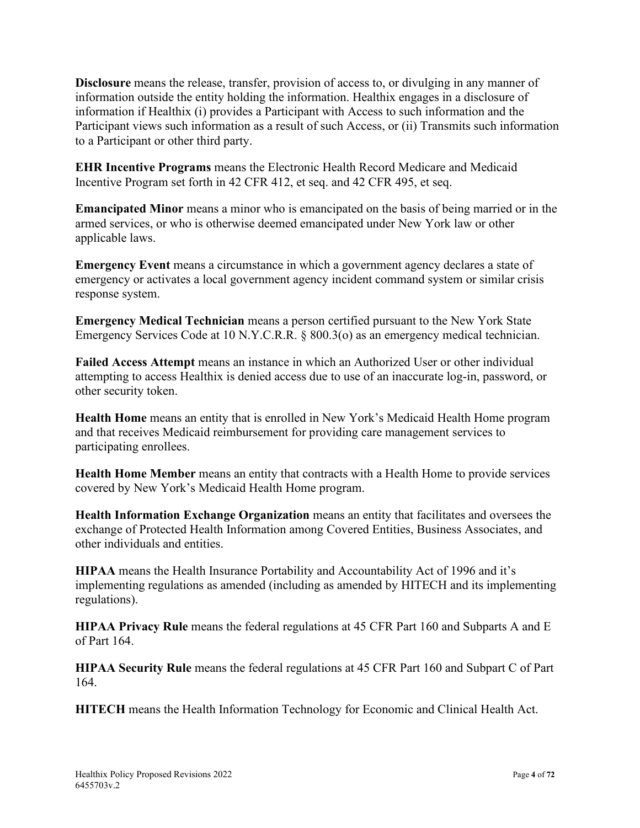**Disclosure** means the release, transfer, provision of access to, or divulging in any manner of information outside the entity holding the information. Healthix engages in a disclosure of information if Healthix (i) provides a Participant with Access to such information and the Participant views such information as a result of such Access, or (ii) Transmits such information to a Participant or other third party.

**EHR Incentive Programs** means the Electronic Health Record Medicare and Medicaid Incentive Program set forth in 42 CFR 412, et seq. and 42 CFR 495, et seq.

**Emancipated Minor** means a minor who is emancipated on the basis of being married or in the armed services, or who is otherwise deemed emancipated under New York law or other applicable laws.

**Emergency Event** means a circumstance in which a government agency declares a state of emergency or activates a local government agency incident command system or similar crisis response system.

**Emergency Medical Technician** means a person certified pursuant to the New York State Emergency Services Code at 10 N.Y.C.R.R. § 800.3(o) as an emergency medical technician.

**Failed Access Attempt** means an instance in which an Authorized User or other individual attempting to access Healthix is denied access due to use of an inaccurate log-in, password, or other security token.

**Health Home** means an entity that is enrolled in New York's Medicaid Health Home program and that receives Medicaid reimbursement for providing care management services to participating enrollees.

**Health Home Member** means an entity that contracts with a Health Home to provide services covered by New York's Medicaid Health Home program.

**Health Information Exchange Organization** means an entity that facilitates and oversees the exchange of Protected Health Information among Covered Entities, Business Associates, and other individuals and entities.

**HIPAA** means the Health Insurance Portability and Accountability Act of 1996 and it's implementing regulations as amended (including as amended by HITECH and its implementing regulations).

**HIPAA Privacy Rule** means the federal regulations at 45 CFR Part 160 and Subparts A and E of Part 164.

**HIPAA Security Rule** means the federal regulations at 45 CFR Part 160 and Subpart C of Part 164.

**HITECH** means the Health Information Technology for Economic and Clinical Health Act.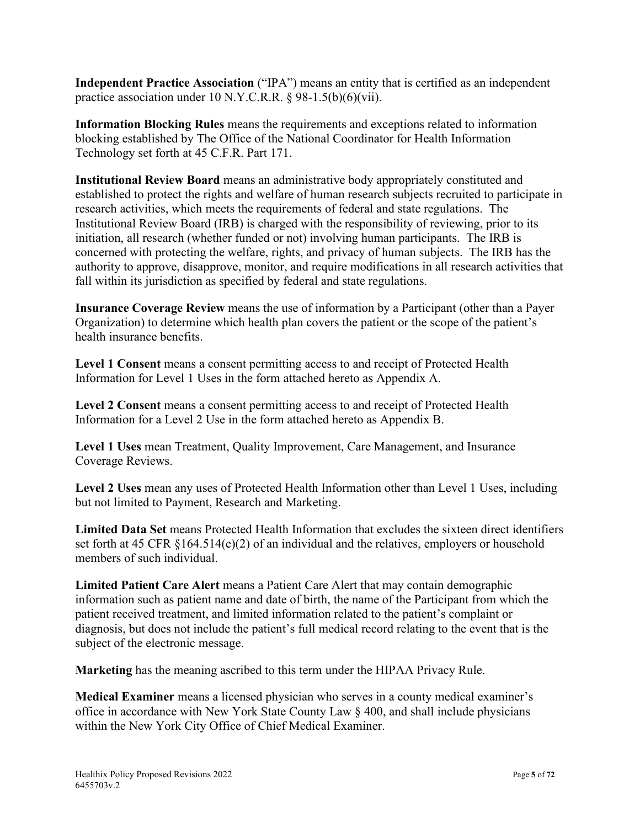**Independent Practice Association** ("IPA") means an entity that is certified as an independent practice association under 10 N.Y.C.R.R. § 98-1.5(b)(6)(vii).

**Information Blocking Rules** means the requirements and exceptions related to information blocking established by The Office of the National Coordinator for Health Information Technology set forth at 45 C.F.R. Part 171.

**Institutional Review Board** means an administrative body appropriately constituted and established to protect the rights and welfare of human research subjects recruited to participate in research activities, which meets the requirements of federal and state regulations. The Institutional Review Board (IRB) is charged with the responsibility of reviewing, prior to its initiation, all research (whether funded or not) involving human participants. The IRB is concerned with protecting the welfare, rights, and privacy of human subjects. The IRB has the authority to approve, disapprove, monitor, and require modifications in all research activities that fall within its jurisdiction as specified by federal and state regulations.

**Insurance Coverage Review** means the use of information by a Participant (other than a Payer Organization) to determine which health plan covers the patient or the scope of the patient's health insurance benefits.

**Level 1 Consent** means a consent permitting access to and receipt of Protected Health Information for Level 1 Uses in the form attached hereto as Appendix A.

**Level 2 Consent** means a consent permitting access to and receipt of Protected Health Information for a Level 2 Use in the form attached hereto as Appendix B.

**Level 1 Uses** mean Treatment, Quality Improvement, Care Management, and Insurance Coverage Reviews.

**Level 2 Uses** mean any uses of Protected Health Information other than Level 1 Uses, including but not limited to Payment, Research and Marketing.

**Limited Data Set** means Protected Health Information that excludes the sixteen direct identifiers set forth at 45 CFR  $\S 164.514(e)(2)$  of an individual and the relatives, employers or household members of such individual.

**Limited Patient Care Alert** means a Patient Care Alert that may contain demographic information such as patient name and date of birth, the name of the Participant from which the patient received treatment, and limited information related to the patient's complaint or diagnosis, but does not include the patient's full medical record relating to the event that is the subject of the electronic message.

**Marketing** has the meaning ascribed to this term under the HIPAA Privacy Rule.

**Medical Examiner** means a licensed physician who serves in a county medical examiner's office in accordance with New York State County Law § 400, and shall include physicians within the New York City Office of Chief Medical Examiner.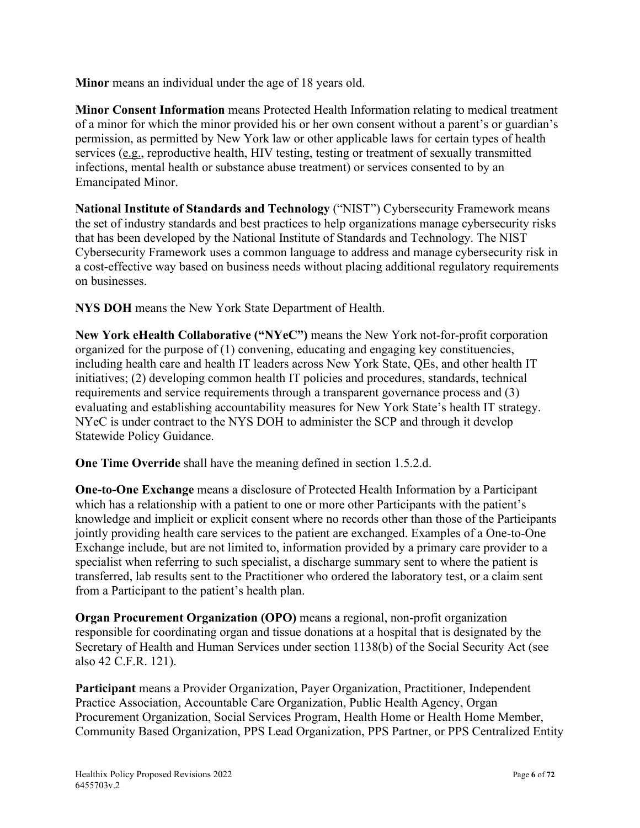**Minor** means an individual under the age of 18 years old.

**Minor Consent Information** means Protected Health Information relating to medical treatment of a minor for which the minor provided his or her own consent without a parent's or guardian's permission, as permitted by New York law or other applicable laws for certain types of health services (e.g., reproductive health, HIV testing, testing or treatment of sexually transmitted infections, mental health or substance abuse treatment) or services consented to by an Emancipated Minor.

**National Institute of Standards and Technology** ("NIST") Cybersecurity Framework means the set of industry standards and best practices to help organizations manage cybersecurity risks that has been developed by the National Institute of Standards and Technology. The NIST Cybersecurity Framework uses a common language to address and manage cybersecurity risk in a cost-effective way based on business needs without placing additional regulatory requirements on businesses.

**NYS DOH** means the New York State Department of Health.

**New York eHealth Collaborative ("NYeC")** means the New York not-for-profit corporation organized for the purpose of  $(1)$  convening, educating and engaging key constituencies, including health care and health IT leaders across New York State, QEs, and other health IT initiatives; (2) developing common health IT policies and procedures, standards, technical requirements and service requirements through a transparent governance process and (3) evaluating and establishing accountability measures for New York State's health IT strategy. NYeC is under contract to the NYS DOH to administer the SCP and through it develop Statewide Policy Guidance.

**One Time Override** shall have the meaning defined in section 1.5.2.d.

**One-to-One Exchange** means a disclosure of Protected Health Information by a Participant which has a relationship with a patient to one or more other Participants with the patient's knowledge and implicit or explicit consent where no records other than those of the Participants jointly providing health care services to the patient are exchanged. Examples of a One-to-One Exchange include, but are not limited to, information provided by a primary care provider to a specialist when referring to such specialist, a discharge summary sent to where the patient is transferred, lab results sent to the Practitioner who ordered the laboratory test, or a claim sent from a Participant to the patient's health plan.

**Organ Procurement Organization (OPO)** means a regional, non-profit organization responsible for coordinating organ and tissue donations at a hospital that is designated by the Secretary of Health and Human Services under section 1138(b) of the Social Security Act (see also 42 C.F.R. 121).

**Participant** means a Provider Organization, Payer Organization, Practitioner, Independent Practice Association, Accountable Care Organization, Public Health Agency, Organ Procurement Organization, Social Services Program, Health Home or Health Home Member, Community Based Organization, PPS Lead Organization, PPS Partner, or PPS Centralized Entity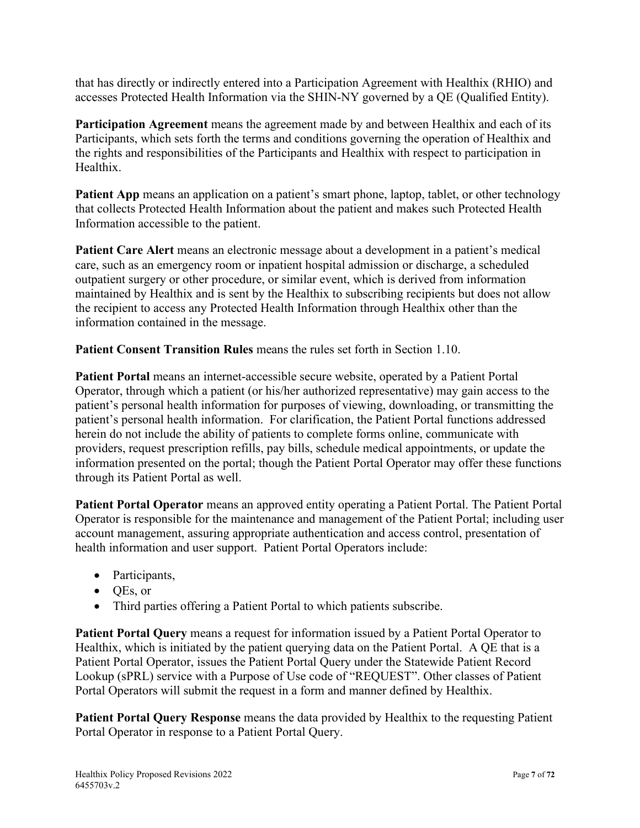that has directly or indirectly entered into a Participation Agreement with Healthix (RHIO) and accesses Protected Health Information via the SHIN-NY governed by a QE (Qualified Entity).

**Participation Agreement** means the agreement made by and between Healthix and each of its Participants, which sets forth the terms and conditions governing the operation of Healthix and the rights and responsibilities of the Participants and Healthix with respect to participation in Healthix.

**Patient App** means an application on a patient's smart phone, laptop, tablet, or other technology that collects Protected Health Information about the patient and makes such Protected Health Information accessible to the patient.

**Patient Care Alert** means an electronic message about a development in a patient's medical care, such as an emergency room or inpatient hospital admission or discharge, a scheduled outpatient surgery or other procedure, or similar event, which is derived from information maintained by Healthix and is sent by the Healthix to subscribing recipients but does not allow the recipient to access any Protected Health Information through Healthix other than the information contained in the message.

**Patient Consent Transition Rules** means the rules set forth in Section 1.10.

**Patient Portal** means an internet-accessible secure website, operated by a Patient Portal Operator, through which a patient (or his/her authorized representative) may gain access to the patient's personal health information for purposes of viewing, downloading, or transmitting the patient's personal health information. For clarification, the Patient Portal functions addressed herein do not include the ability of patients to complete forms online, communicate with providers, request prescription refills, pay bills, schedule medical appointments, or update the information presented on the portal; though the Patient Portal Operator may offer these functions through its Patient Portal as well.

**Patient Portal Operator** means an approved entity operating a Patient Portal. The Patient Portal Operator is responsible for the maintenance and management of the Patient Portal; including user account management, assuring appropriate authentication and access control, presentation of health information and user support. Patient Portal Operators include:

- Participants,
- QEs, or
- Third parties offering a Patient Portal to which patients subscribe.

**Patient Portal Query** means a request for information issued by a Patient Portal Operator to Healthix, which is initiated by the patient querying data on the Patient Portal. A QE that is a Patient Portal Operator, issues the Patient Portal Query under the Statewide Patient Record Lookup (sPRL) service with a Purpose of Use code of "REQUEST". Other classes of Patient Portal Operators will submit the request in a form and manner defined by Healthix.

**Patient Portal Query Response** means the data provided by Healthix to the requesting Patient Portal Operator in response to a Patient Portal Query.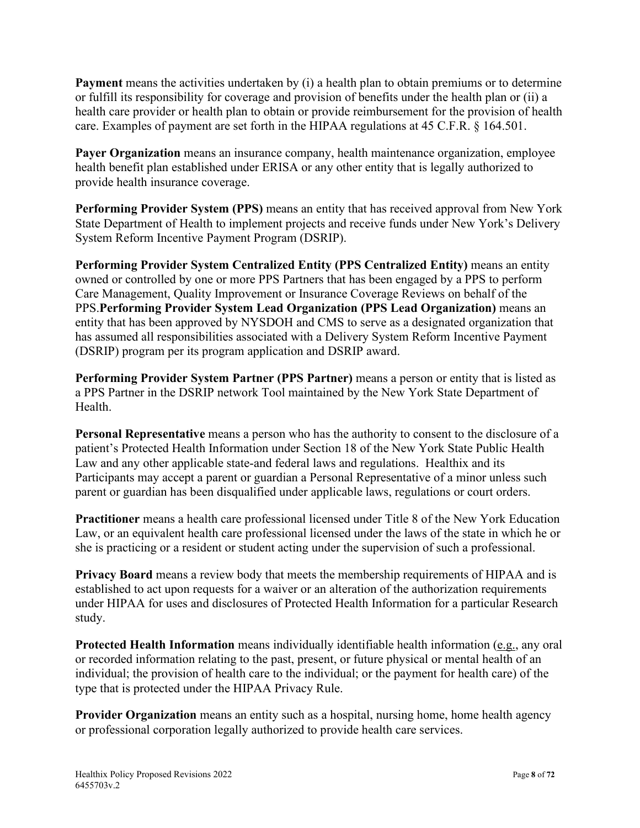**Payment** means the activities undertaken by (i) a health plan to obtain premiums or to determine or fulfill its responsibility for coverage and provision of benefits under the health plan or (ii) a health care provider or health plan to obtain or provide reimbursement for the provision of health care. Examples of payment are set forth in the HIPAA regulations at 45 C.F.R. § 164.501.

**Payer Organization** means an insurance company, health maintenance organization, employee health benefit plan established under ERISA or any other entity that is legally authorized to provide health insurance coverage.

**Performing Provider System (PPS)** means an entity that has received approval from New York State Department of Health to implement projects and receive funds under New York's Delivery System Reform Incentive Payment Program (DSRIP).

**Performing Provider System Centralized Entity (PPS Centralized Entity)** means an entity owned or controlled by one or more PPS Partners that has been engaged by a PPS to perform Care Management, Quality Improvement or Insurance Coverage Reviews on behalf of the PPS.**Performing Provider System Lead Organization (PPS Lead Organization)** means an entity that has been approved by NYSDOH and CMS to serve as a designated organization that has assumed all responsibilities associated with a Delivery System Reform Incentive Payment (DSRIP) program per its program application and DSRIP award.

**Performing Provider System Partner (PPS Partner)** means a person or entity that is listed as a PPS Partner in the DSRIP network Tool maintained by the New York State Department of Health.

**Personal Representative** means a person who has the authority to consent to the disclosure of a patient's Protected Health Information under Section 18 of the New York State Public Health Law and any other applicable state-and federal laws and regulations. Healthix and its Participants may accept a parent or guardian a Personal Representative of a minor unless such parent or guardian has been disqualified under applicable laws, regulations or court orders.

**Practitioner** means a health care professional licensed under Title 8 of the New York Education Law, or an equivalent health care professional licensed under the laws of the state in which he or she is practicing or a resident or student acting under the supervision of such a professional.

**Privacy Board** means a review body that meets the membership requirements of HIPAA and is established to act upon requests for a waiver or an alteration of the authorization requirements under HIPAA for uses and disclosures of Protected Health Information for a particular Research study.

**Protected Health Information** means individually identifiable health information (e.g., any oral or recorded information relating to the past, present, or future physical or mental health of an individual; the provision of health care to the individual; or the payment for health care) of the type that is protected under the HIPAA Privacy Rule.

**Provider Organization** means an entity such as a hospital, nursing home, home health agency or professional corporation legally authorized to provide health care services.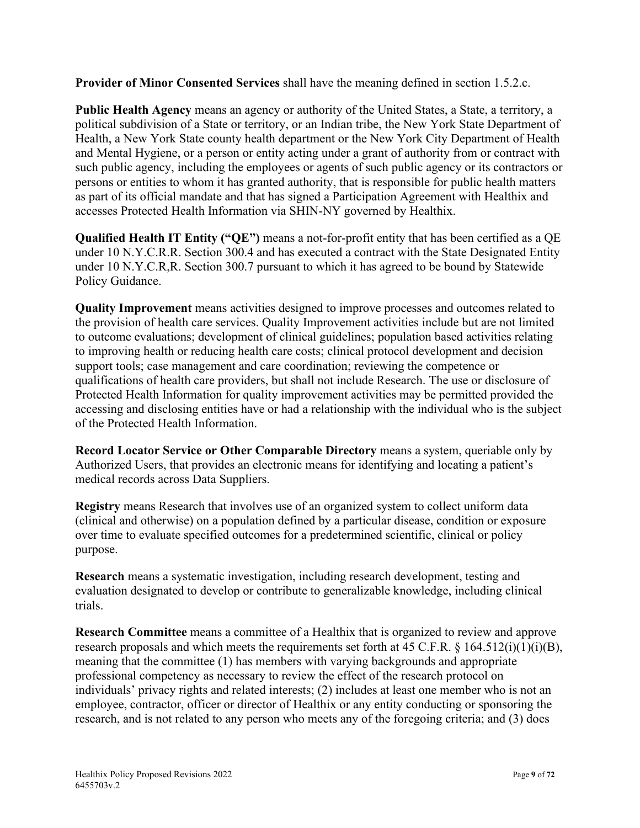**Provider of Minor Consented Services** shall have the meaning defined in section 1.5.2.c.

**Public Health Agency** means an agency or authority of the United States, a State, a territory, a political subdivision of a State or territory, or an Indian tribe, the New York State Department of Health, a New York State county health department or the New York City Department of Health and Mental Hygiene, or a person or entity acting under a grant of authority from or contract with such public agency, including the employees or agents of such public agency or its contractors or persons or entities to whom it has granted authority, that is responsible for public health matters as part of its official mandate and that has signed a Participation Agreement with Healthix and accesses Protected Health Information via SHIN-NY governed by Healthix.

**Qualified Health IT Entity ("QE")** means a not-for-profit entity that has been certified as a QE under 10 N.Y.C.R.R. Section 300.4 and has executed a contract with the State Designated Entity under 10 N.Y.C.R,R. Section 300.7 pursuant to which it has agreed to be bound by Statewide Policy Guidance.

**Quality Improvement** means activities designed to improve processes and outcomes related to the provision of health care services. Quality Improvement activities include but are not limited to outcome evaluations; development of clinical guidelines; population based activities relating to improving health or reducing health care costs; clinical protocol development and decision support tools; case management and care coordination; reviewing the competence or qualifications of health care providers, but shall not include Research. The use or disclosure of Protected Health Information for quality improvement activities may be permitted provided the accessing and disclosing entities have or had a relationship with the individual who is the subject of the Protected Health Information.

**Record Locator Service or Other Comparable Directory** means a system, queriable only by Authorized Users, that provides an electronic means for identifying and locating a patient's medical records across Data Suppliers.

**Registry** means Research that involves use of an organized system to collect uniform data (clinical and otherwise) on a population defined by a particular disease, condition or exposure over time to evaluate specified outcomes for a predetermined scientific, clinical or policy purpose.

**Research** means a systematic investigation, including research development, testing and evaluation designated to develop or contribute to generalizable knowledge, including clinical trials.

**Research Committee** means a committee of a Healthix that is organized to review and approve research proposals and which meets the requirements set forth at 45 C.F.R.  $\S$  164.512(i)(1)(i)(B), meaning that the committee (1) has members with varying backgrounds and appropriate professional competency as necessary to review the effect of the research protocol on individuals' privacy rights and related interests; (2) includes at least one member who is not an employee, contractor, officer or director of Healthix or any entity conducting or sponsoring the research, and is not related to any person who meets any of the foregoing criteria; and (3) does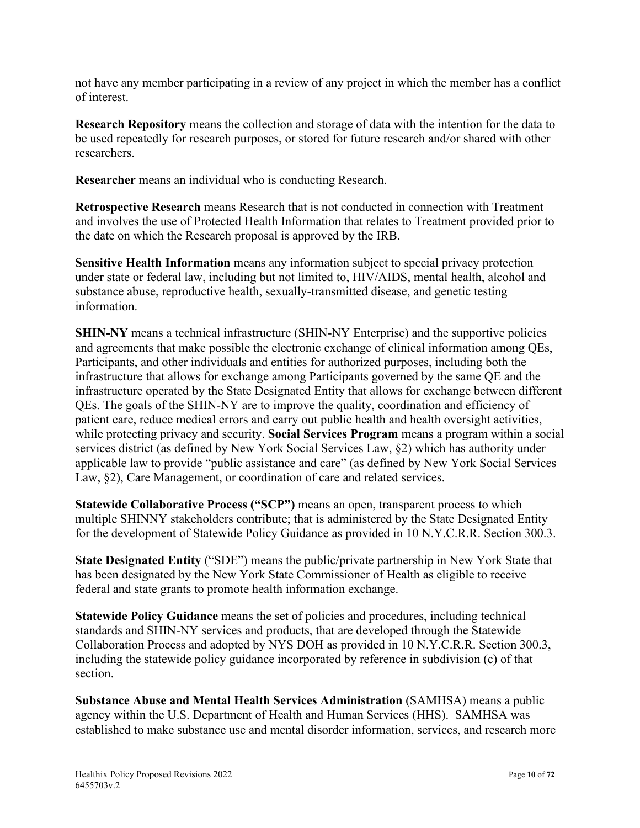not have any member participating in a review of any project in which the member has a conflict of interest.

**Research Repository** means the collection and storage of data with the intention for the data to be used repeatedly for research purposes, or stored for future research and/or shared with other researchers.

**Researcher** means an individual who is conducting Research.

**Retrospective Research** means Research that is not conducted in connection with Treatment and involves the use of Protected Health Information that relates to Treatment provided prior to the date on which the Research proposal is approved by the IRB.

**Sensitive Health Information** means any information subject to special privacy protection under state or federal law, including but not limited to, HIV/AIDS, mental health, alcohol and substance abuse, reproductive health, sexually-transmitted disease, and genetic testing information.

**SHIN-NY** means a technical infrastructure (SHIN-NY Enterprise) and the supportive policies and agreements that make possible the electronic exchange of clinical information among QEs, Participants, and other individuals and entities for authorized purposes, including both the infrastructure that allows for exchange among Participants governed by the same QE and the infrastructure operated by the State Designated Entity that allows for exchange between different QEs. The goals of the SHIN-NY are to improve the quality, coordination and efficiency of patient care, reduce medical errors and carry out public health and health oversight activities, while protecting privacy and security. **Social Services Program** means a program within a social services district (as defined by New York Social Services Law, §2) which has authority under applicable law to provide "public assistance and care" (as defined by New York Social Services Law, §2), Care Management, or coordination of care and related services.

**Statewide Collaborative Process ("SCP")** means an open, transparent process to which multiple SHINNY stakeholders contribute; that is administered by the State Designated Entity for the development of Statewide Policy Guidance as provided in 10 N.Y.C.R.R. Section 300.3.

**State Designated Entity** ("SDE") means the public/private partnership in New York State that has been designated by the New York State Commissioner of Health as eligible to receive federal and state grants to promote health information exchange.

**Statewide Policy Guidance** means the set of policies and procedures, including technical standards and SHIN-NY services and products, that are developed through the Statewide Collaboration Process and adopted by NYS DOH as provided in 10 N.Y.C.R.R. Section 300.3, including the statewide policy guidance incorporated by reference in subdivision (c) of that section.

**Substance Abuse and Mental Health Services Administration** (SAMHSA) means a public agency within the U.S. Department of Health and Human Services (HHS). SAMHSA was established to make substance use and mental disorder information, services, and research more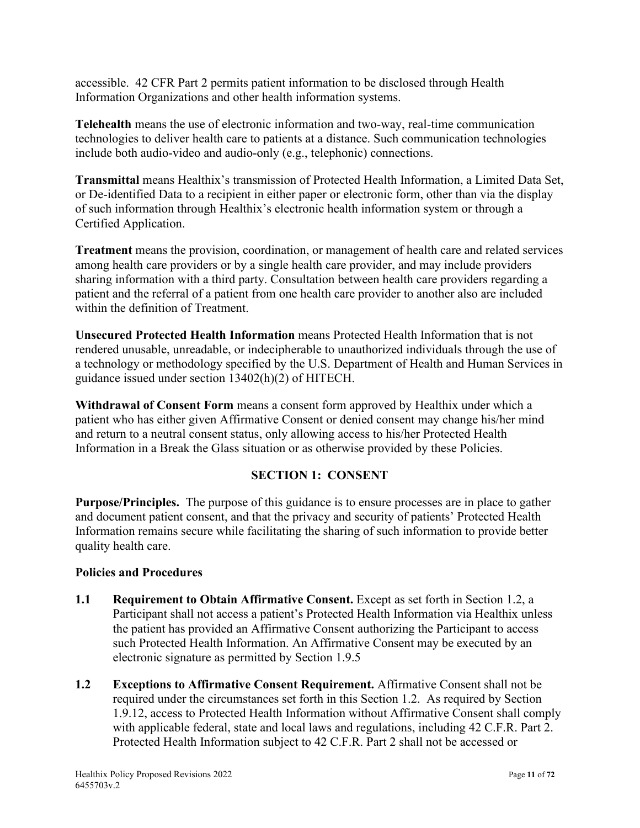accessible. 42 CFR Part 2 permits patient information to be disclosed through Health Information Organizations and other health information systems.

**Telehealth** means the use of electronic information and two-way, real-time communication technologies to deliver health care to patients at a distance. Such communication technologies include both audio-video and audio-only (e.g., telephonic) connections.

**Transmittal** means Healthix's transmission of Protected Health Information, a Limited Data Set, or De-identified Data to a recipient in either paper or electronic form, other than via the display of such information through Healthix's electronic health information system or through a Certified Application.

**Treatment** means the provision, coordination, or management of health care and related services among health care providers or by a single health care provider, and may include providers sharing information with a third party. Consultation between health care providers regarding a patient and the referral of a patient from one health care provider to another also are included within the definition of Treatment.

**Unsecured Protected Health Information** means Protected Health Information that is not rendered unusable, unreadable, or indecipherable to unauthorized individuals through the use of a technology or methodology specified by the U.S. Department of Health and Human Services in guidance issued under section 13402(h)(2) of HITECH.

**Withdrawal of Consent Form** means a consent form approved by Healthix under which a patient who has either given Affirmative Consent or denied consent may change his/her mind and return to a neutral consent status, only allowing access to his/her Protected Health Information in a Break the Glass situation or as otherwise provided by these Policies.

# **SECTION 1: CONSENT**

**Purpose/Principles.** The purpose of this guidance is to ensure processes are in place to gather and document patient consent, and that the privacy and security of patients' Protected Health Information remains secure while facilitating the sharing of such information to provide better quality health care.

#### **Policies and Procedures**

- **1.1 Requirement to Obtain Affirmative Consent.** Except as set forth in Section 1.2, a Participant shall not access a patient's Protected Health Information via Healthix unless the patient has provided an Affirmative Consent authorizing the Participant to access such Protected Health Information. An Affirmative Consent may be executed by an electronic signature as permitted by Section 1.9.5
- **1.2 Exceptions to Affirmative Consent Requirement.** Affirmative Consent shall not be required under the circumstances set forth in this Section 1.2. As required by Section 1.9.12, access to Protected Health Information without Affirmative Consent shall comply with applicable federal, state and local laws and regulations, including 42 C.F.R. Part 2. Protected Health Information subject to 42 C.F.R. Part 2 shall not be accessed or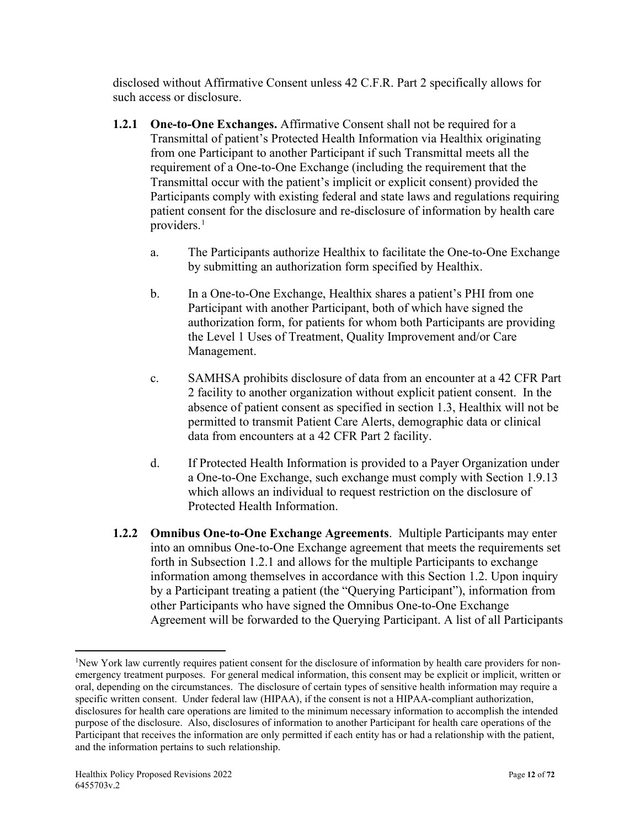disclosed without Affirmative Consent unless 42 C.F.R. Part 2 specifically allows for such access or disclosure.

- **1.2.1 One-to-One Exchanges.** Affirmative Consent shall not be required for a Transmittal of patient's Protected Health Information via Healthix originating from one Participant to another Participant if such Transmittal meets all the requirement of a One-to-One Exchange (including the requirement that the Transmittal occur with the patient's implicit or explicit consent) provided the Participants comply with existing federal and state laws and regulations requiring patient consent for the disclosure and re-disclosure of information by health care providers.<sup>[1](#page-11-0)</sup>
	- a. The Participants authorize Healthix to facilitate the One-to-One Exchange by submitting an authorization form specified by Healthix.
	- b. In a One-to-One Exchange, Healthix shares a patient's PHI from one Participant with another Participant, both of which have signed the authorization form, for patients for whom both Participants are providing the Level 1 Uses of Treatment, Quality Improvement and/or Care Management.
	- c. SAMHSA prohibits disclosure of data from an encounter at a 42 CFR Part 2 facility to another organization without explicit patient consent. In the absence of patient consent as specified in section 1.3, Healthix will not be permitted to transmit Patient Care Alerts, demographic data or clinical data from encounters at a 42 CFR Part 2 facility.
	- d. If Protected Health Information is provided to a Payer Organization under a One-to-One Exchange, such exchange must comply with Section 1.9.13 which allows an individual to request restriction on the disclosure of Protected Health Information.
- **1.2.2 Omnibus One-to-One Exchange Agreements**. Multiple Participants may enter into an omnibus One-to-One Exchange agreement that meets the requirements set forth in Subsection 1.2.1 and allows for the multiple Participants to exchange information among themselves in accordance with this Section 1.2. Upon inquiry by a Participant treating a patient (the "Querying Participant"), information from other Participants who have signed the Omnibus One-to-One Exchange Agreement will be forwarded to the Querying Participant. A list of all Participants

<span id="page-11-0"></span><sup>&</sup>lt;sup>1</sup>New York law currently requires patient consent for the disclosure of information by health care providers for nonemergency treatment purposes. For general medical information, this consent may be explicit or implicit, written or oral, depending on the circumstances. The disclosure of certain types of sensitive health information may require a specific written consent. Under federal law (HIPAA), if the consent is not a HIPAA-compliant authorization, disclosures for health care operations are limited to the minimum necessary information to accomplish the intended purpose of the disclosure. Also, disclosures of information to another Participant for health care operations of the Participant that receives the information are only permitted if each entity has or had a relationship with the patient, and the information pertains to such relationship.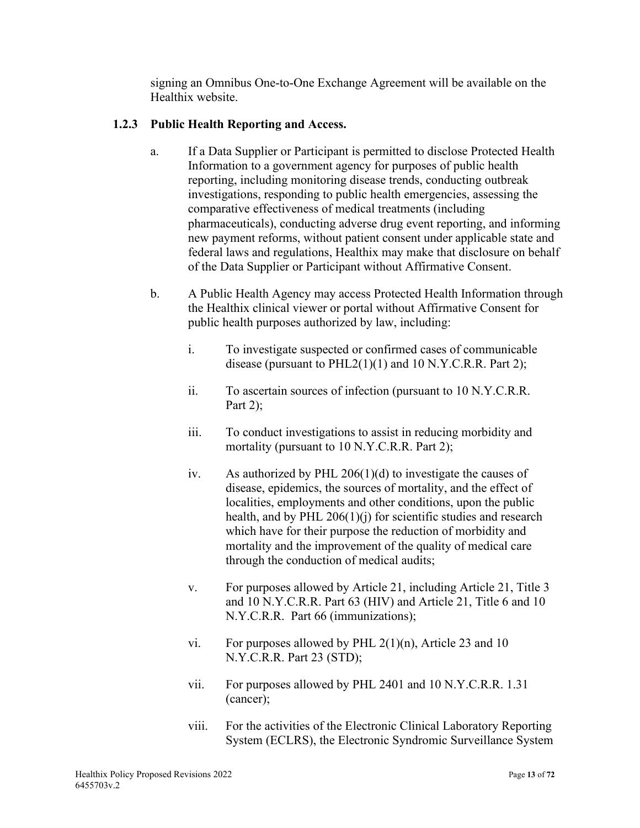signing an Omnibus One-to-One Exchange Agreement will be available on the Healthix website.

# **1.2.3 Public Health Reporting and Access.**

- a. If a Data Supplier or Participant is permitted to disclose Protected Health Information to a government agency for purposes of public health reporting, including monitoring disease trends, conducting outbreak investigations, responding to public health emergencies, assessing the comparative effectiveness of medical treatments (including pharmaceuticals), conducting adverse drug event reporting, and informing new payment reforms, without patient consent under applicable state and federal laws and regulations, Healthix may make that disclosure on behalf of the Data Supplier or Participant without Affirmative Consent.
- b. A Public Health Agency may access Protected Health Information through the Healthix clinical viewer or portal without Affirmative Consent for public health purposes authorized by law, including:
	- i. To investigate suspected or confirmed cases of communicable disease (pursuant to  $PHL2(1)(1)$  and 10 N.Y.C.R.R. Part 2);
	- ii. To ascertain sources of infection (pursuant to 10 N.Y.C.R.R. Part 2):
	- iii. To conduct investigations to assist in reducing morbidity and mortality (pursuant to 10 N.Y.C.R.R. Part 2);
	- iv. As authorized by PHL 206(1)(d) to investigate the causes of disease, epidemics, the sources of mortality, and the effect of localities, employments and other conditions, upon the public health, and by PHL 206(1)(j) for scientific studies and research which have for their purpose the reduction of morbidity and mortality and the improvement of the quality of medical care through the conduction of medical audits;
	- v. For purposes allowed by Article 21, including Article 21, Title 3 and 10 N.Y.C.R.R. Part 63 (HIV) and Article 21, Title 6 and 10 N.Y.C.R.R. Part 66 (immunizations);
	- vi. For purposes allowed by PHL  $2(1)(n)$ , Article 23 and 10 N.Y.C.R.R. Part 23 (STD);
	- vii. For purposes allowed by PHL 2401 and 10 N.Y.C.R.R. 1.31 (cancer);
	- viii. For the activities of the Electronic Clinical Laboratory Reporting System (ECLRS), the Electronic Syndromic Surveillance System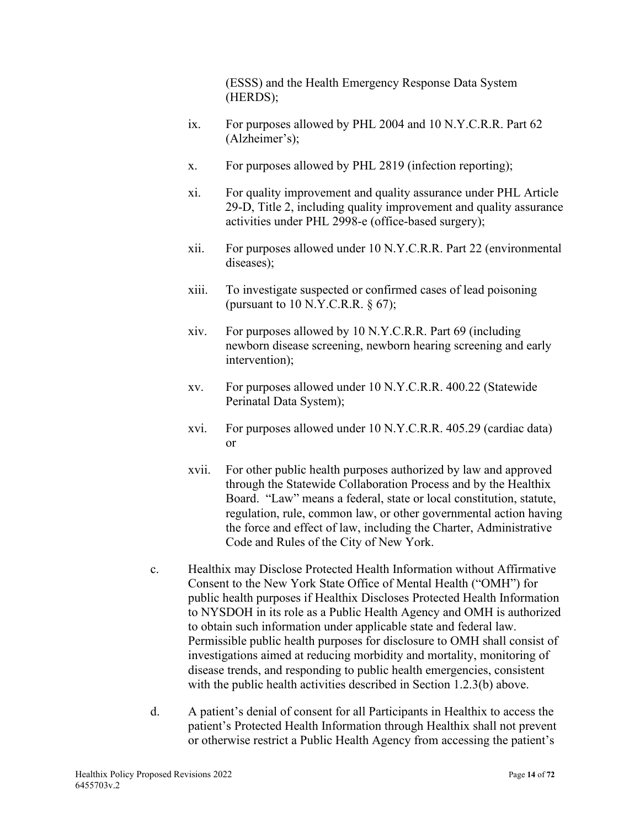(ESSS) and the Health Emergency Response Data System (HERDS);

- ix. For purposes allowed by PHL 2004 and 10 N.Y.C.R.R. Part 62 (Alzheimer's);
- x. For purposes allowed by PHL 2819 (infection reporting);
- xi. For quality improvement and quality assurance under PHL Article 29-D, Title 2, including quality improvement and quality assurance activities under PHL 2998-e (office-based surgery);
- xii. For purposes allowed under 10 N.Y.C.R.R. Part 22 (environmental diseases);
- xiii. To investigate suspected or confirmed cases of lead poisoning (pursuant to  $10$  N.Y.C.R.R.  $\S$  67);
- xiv. For purposes allowed by 10 N.Y.C.R.R. Part 69 (including newborn disease screening, newborn hearing screening and early intervention);
- xv. For purposes allowed under 10 N.Y.C.R.R. 400.22 (Statewide Perinatal Data System);
- xvi. For purposes allowed under 10 N.Y.C.R.R. 405.29 (cardiac data) or
- xvii. For other public health purposes authorized by law and approved through the Statewide Collaboration Process and by the Healthix Board. "Law" means a federal, state or local constitution, statute, regulation, rule, common law, or other governmental action having the force and effect of law, including the Charter, Administrative Code and Rules of the City of New York.
- c. Healthix may Disclose Protected Health Information without Affirmative Consent to the New York State Office of Mental Health ("OMH") for public health purposes if Healthix Discloses Protected Health Information to NYSDOH in its role as a Public Health Agency and OMH is authorized to obtain such information under applicable state and federal law. Permissible public health purposes for disclosure to OMH shall consist of investigations aimed at reducing morbidity and mortality, monitoring of disease trends, and responding to public health emergencies, consistent with the public health activities described in Section 1.2.3(b) above.
- d. A patient's denial of consent for all Participants in Healthix to access the patient's Protected Health Information through Healthix shall not prevent or otherwise restrict a Public Health Agency from accessing the patient's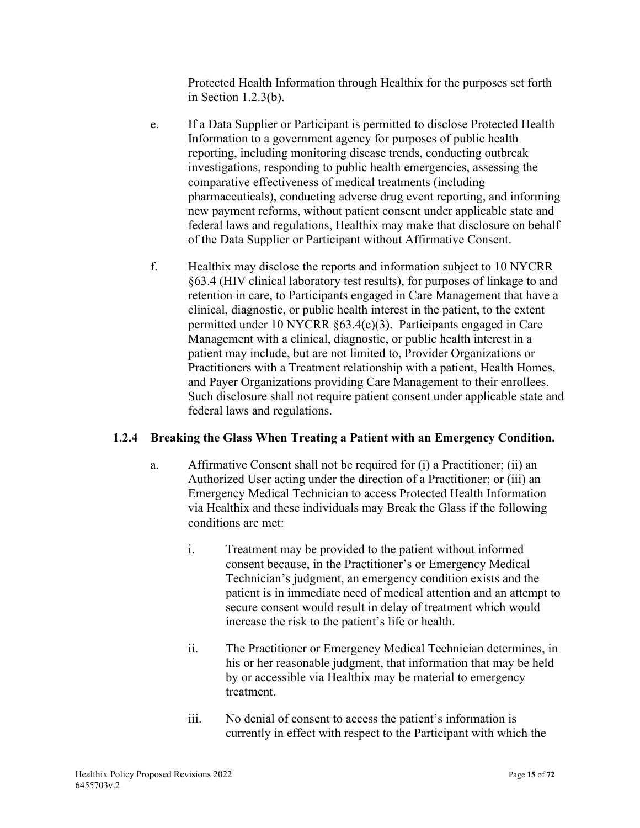Protected Health Information through Healthix for the purposes set forth in Section 1.2.3(b).

- e. If a Data Supplier or Participant is permitted to disclose Protected Health Information to a government agency for purposes of public health reporting, including monitoring disease trends, conducting outbreak investigations, responding to public health emergencies, assessing the comparative effectiveness of medical treatments (including pharmaceuticals), conducting adverse drug event reporting, and informing new payment reforms, without patient consent under applicable state and federal laws and regulations, Healthix may make that disclosure on behalf of the Data Supplier or Participant without Affirmative Consent.
- f. Healthix may disclose the reports and information subject to 10 NYCRR §63.4 (HIV clinical laboratory test results), for purposes of linkage to and retention in care, to Participants engaged in Care Management that have a clinical, diagnostic, or public health interest in the patient, to the extent permitted under 10 NYCRR §63.4(c)(3). Participants engaged in Care Management with a clinical, diagnostic, or public health interest in a patient may include, but are not limited to, Provider Organizations or Practitioners with a Treatment relationship with a patient, Health Homes, and Payer Organizations providing Care Management to their enrollees. Such disclosure shall not require patient consent under applicable state and federal laws and regulations.

# **1.2.4 Breaking the Glass When Treating a Patient with an Emergency Condition.**

- a. Affirmative Consent shall not be required for (i) a Practitioner; (ii) an Authorized User acting under the direction of a Practitioner; or (iii) an Emergency Medical Technician to access Protected Health Information via Healthix and these individuals may Break the Glass if the following conditions are met:
	- i. Treatment may be provided to the patient without informed consent because, in the Practitioner's or Emergency Medical Technician's judgment, an emergency condition exists and the patient is in immediate need of medical attention and an attempt to secure consent would result in delay of treatment which would increase the risk to the patient's life or health.
	- ii. The Practitioner or Emergency Medical Technician determines, in his or her reasonable judgment, that information that may be held by or accessible via Healthix may be material to emergency treatment.
	- iii. No denial of consent to access the patient's information is currently in effect with respect to the Participant with which the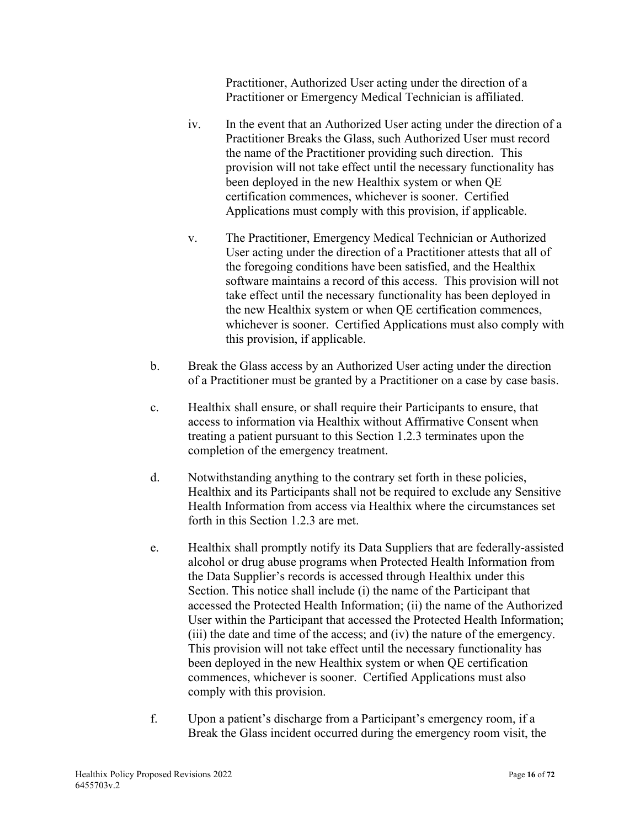Practitioner, Authorized User acting under the direction of a Practitioner or Emergency Medical Technician is affiliated.

- iv. In the event that an Authorized User acting under the direction of a Practitioner Breaks the Glass, such Authorized User must record the name of the Practitioner providing such direction. This provision will not take effect until the necessary functionality has been deployed in the new Healthix system or when QE certification commences, whichever is sooner. Certified Applications must comply with this provision, if applicable.
- v. The Practitioner, Emergency Medical Technician or Authorized User acting under the direction of a Practitioner attests that all of the foregoing conditions have been satisfied, and the Healthix software maintains a record of this access. This provision will not take effect until the necessary functionality has been deployed in the new Healthix system or when QE certification commences, whichever is sooner. Certified Applications must also comply with this provision, if applicable.
- b. Break the Glass access by an Authorized User acting under the direction of a Practitioner must be granted by a Practitioner on a case by case basis.
- c. Healthix shall ensure, or shall require their Participants to ensure, that access to information via Healthix without Affirmative Consent when treating a patient pursuant to this Section 1.2.3 terminates upon the completion of the emergency treatment.
- d. Notwithstanding anything to the contrary set forth in these policies, Healthix and its Participants shall not be required to exclude any Sensitive Health Information from access via Healthix where the circumstances set forth in this Section 1.2.3 are met.
- e. Healthix shall promptly notify its Data Suppliers that are federally-assisted alcohol or drug abuse programs when Protected Health Information from the Data Supplier's records is accessed through Healthix under this Section. This notice shall include (i) the name of the Participant that accessed the Protected Health Information; (ii) the name of the Authorized User within the Participant that accessed the Protected Health Information; (iii) the date and time of the access; and (iv) the nature of the emergency. This provision will not take effect until the necessary functionality has been deployed in the new Healthix system or when QE certification commences, whichever is sooner. Certified Applications must also comply with this provision.
- f. Upon a patient's discharge from a Participant's emergency room, if a Break the Glass incident occurred during the emergency room visit, the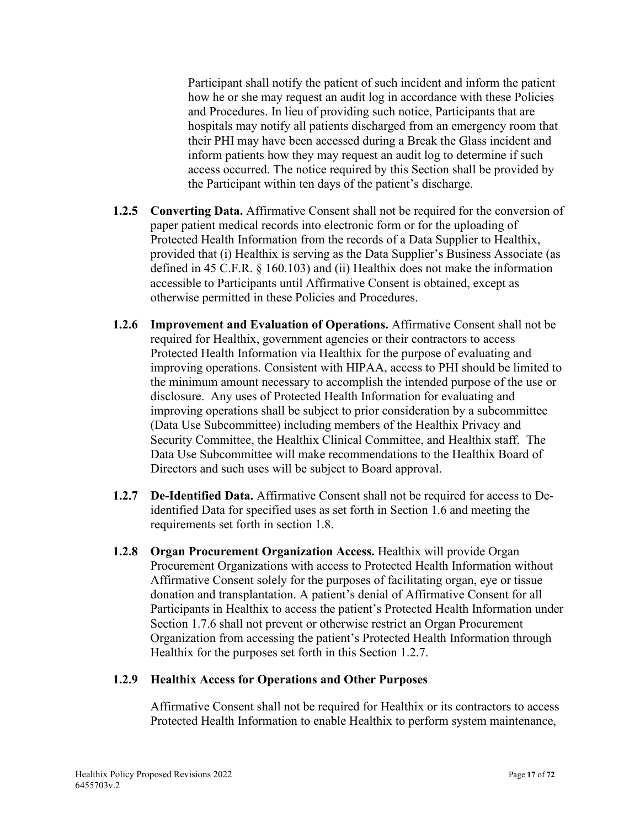Participant shall notify the patient of such incident and inform the patient how he or she may request an audit log in accordance with these Policies and Procedures. In lieu of providing such notice, Participants that are hospitals may notify all patients discharged from an emergency room that their PHI may have been accessed during a Break the Glass incident and inform patients how they may request an audit log to determine if such access occurred. The notice required by this Section shall be provided by the Participant within ten days of the patient's discharge.

- **1.2.5 Converting Data.** Affirmative Consent shall not be required for the conversion of paper patient medical records into electronic form or for the uploading of Protected Health Information from the records of a Data Supplier to Healthix, provided that (i) Healthix is serving as the Data Supplier's Business Associate (as defined in 45 C.F.R. § 160.103) and (ii) Healthix does not make the information accessible to Participants until Affirmative Consent is obtained, except as otherwise permitted in these Policies and Procedures.
- **1.2.6 Improvement and Evaluation of Operations.** Affirmative Consent shall not be required for Healthix, government agencies or their contractors to access Protected Health Information via Healthix for the purpose of evaluating and improving operations. Consistent with HIPAA, access to PHI should be limited to the minimum amount necessary to accomplish the intended purpose of the use or disclosure. Any uses of Protected Health Information for evaluating and improving operations shall be subject to prior consideration by a subcommittee (Data Use Subcommittee) including members of the Healthix Privacy and Security Committee, the Healthix Clinical Committee, and Healthix staff. The Data Use Subcommittee will make recommendations to the Healthix Board of Directors and such uses will be subject to Board approval.
- **1.2.7 De-Identified Data.** Affirmative Consent shall not be required for access to Deidentified Data for specified uses as set forth in Section 1.6 and meeting the requirements set forth in section 1.8.
- **1.2.8 Organ Procurement Organization Access.** Healthix will provide Organ Procurement Organizations with access to Protected Health Information without Affirmative Consent solely for the purposes of facilitating organ, eye or tissue donation and transplantation. A patient's denial of Affirmative Consent for all Participants in Healthix to access the patient's Protected Health Information under Section 1.7.6 shall not prevent or otherwise restrict an Organ Procurement Organization from accessing the patient's Protected Health Information through Healthix for the purposes set forth in this Section 1.2.7.

#### **1.2.9 Healthix Access for Operations and Other Purposes**

Affirmative Consent shall not be required for Healthix or its contractors to access Protected Health Information to enable Healthix to perform system maintenance,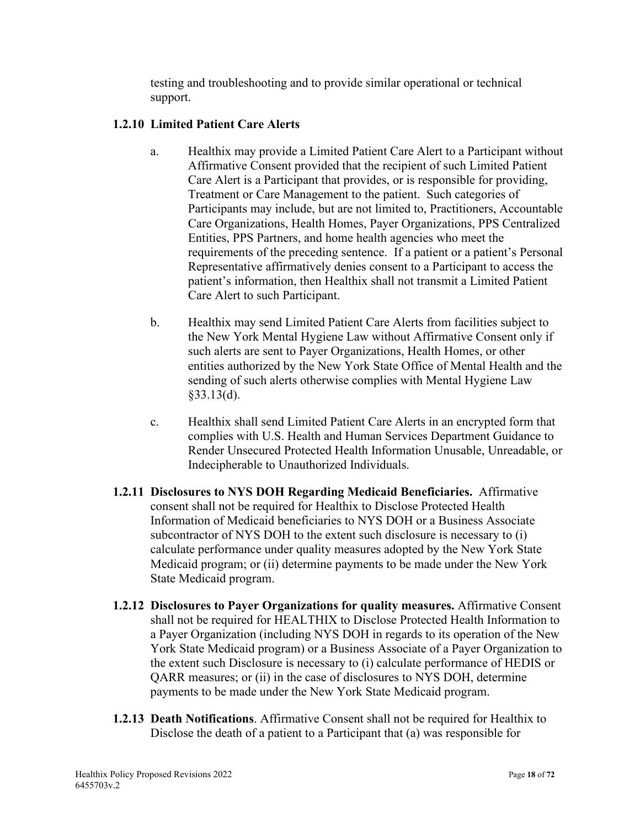testing and troubleshooting and to provide similar operational or technical support.

### **1.2.10 Limited Patient Care Alerts**

- a. Healthix may provide a Limited Patient Care Alert to a Participant without Affirmative Consent provided that the recipient of such Limited Patient Care Alert is a Participant that provides, or is responsible for providing, Treatment or Care Management to the patient. Such categories of Participants may include, but are not limited to, Practitioners, Accountable Care Organizations, Health Homes, Payer Organizations, PPS Centralized Entities, PPS Partners, and home health agencies who meet the requirements of the preceding sentence. If a patient or a patient's Personal Representative affirmatively denies consent to a Participant to access the patient's information, then Healthix shall not transmit a Limited Patient Care Alert to such Participant.
- b. Healthix may send Limited Patient Care Alerts from facilities subject to the New York Mental Hygiene Law without Affirmative Consent only if such alerts are sent to Payer Organizations, Health Homes, or other entities authorized by the New York State Office of Mental Health and the sending of such alerts otherwise complies with Mental Hygiene Law §33.13(d).
- c. Healthix shall send Limited Patient Care Alerts in an encrypted form that complies with U.S. Health and Human Services Department Guidance to Render Unsecured Protected Health Information Unusable, Unreadable, or Indecipherable to Unauthorized Individuals.
- **1.2.11 Disclosures to NYS DOH Regarding Medicaid Beneficiaries.** Affirmative consent shall not be required for Healthix to Disclose Protected Health Information of Medicaid beneficiaries to NYS DOH or a Business Associate subcontractor of NYS DOH to the extent such disclosure is necessary to (i) calculate performance under quality measures adopted by the New York State Medicaid program; or (ii) determine payments to be made under the New York State Medicaid program.
- **1.2.12 Disclosures to Payer Organizations for quality measures.** Affirmative Consent shall not be required for HEALTHIX to Disclose Protected Health Information to a Payer Organization (including NYS DOH in regards to its operation of the New York State Medicaid program) or a Business Associate of a Payer Organization to the extent such Disclosure is necessary to (i) calculate performance of HEDIS or QARR measures; or (ii) in the case of disclosures to NYS DOH, determine payments to be made under the New York State Medicaid program.
- **1.2.13 Death Notifications**. Affirmative Consent shall not be required for Healthix to Disclose the death of a patient to a Participant that (a) was responsible for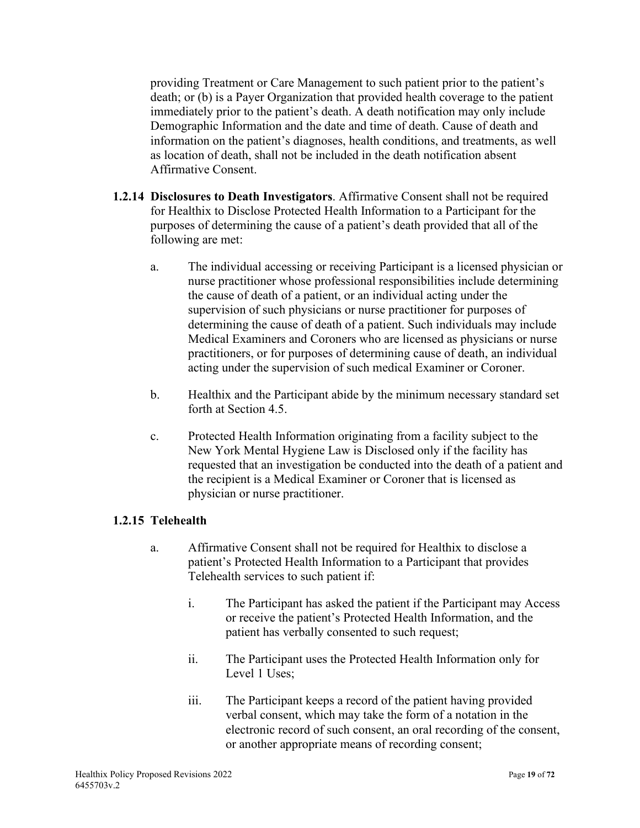providing Treatment or Care Management to such patient prior to the patient's death; or (b) is a Payer Organization that provided health coverage to the patient immediately prior to the patient's death. A death notification may only include Demographic Information and the date and time of death. Cause of death and information on the patient's diagnoses, health conditions, and treatments, as well as location of death, shall not be included in the death notification absent Affirmative Consent.

- **1.2.14 Disclosures to Death Investigators**. Affirmative Consent shall not be required for Healthix to Disclose Protected Health Information to a Participant for the purposes of determining the cause of a patient's death provided that all of the following are met:
	- a. The individual accessing or receiving Participant is a licensed physician or nurse practitioner whose professional responsibilities include determining the cause of death of a patient, or an individual acting under the supervision of such physicians or nurse practitioner for purposes of determining the cause of death of a patient. Such individuals may include Medical Examiners and Coroners who are licensed as physicians or nurse practitioners, or for purposes of determining cause of death, an individual acting under the supervision of such medical Examiner or Coroner.
	- b. Healthix and the Participant abide by the minimum necessary standard set forth at Section 4.5.
	- c. Protected Health Information originating from a facility subject to the New York Mental Hygiene Law is Disclosed only if the facility has requested that an investigation be conducted into the death of a patient and the recipient is a Medical Examiner or Coroner that is licensed as physician or nurse practitioner.

#### **1.2.15 Telehealth**

- a. Affirmative Consent shall not be required for Healthix to disclose a patient's Protected Health Information to a Participant that provides Telehealth services to such patient if:
	- i. The Participant has asked the patient if the Participant may Access or receive the patient's Protected Health Information, and the patient has verbally consented to such request;
	- ii. The Participant uses the Protected Health Information only for Level 1 Uses;
	- iii. The Participant keeps a record of the patient having provided verbal consent, which may take the form of a notation in the electronic record of such consent, an oral recording of the consent, or another appropriate means of recording consent;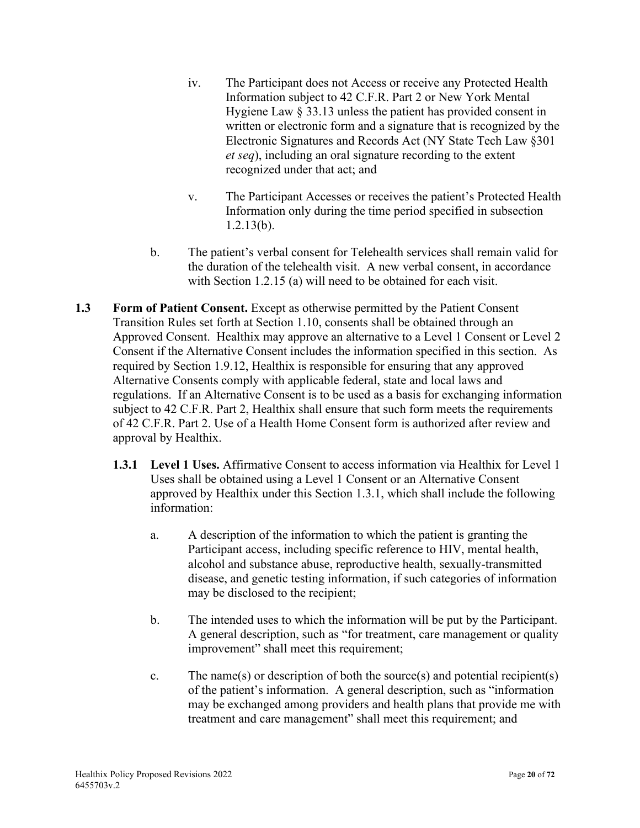- iv. The Participant does not Access or receive any Protected Health Information subject to 42 C.F.R. Part 2 or New York Mental Hygiene Law § 33.13 unless the patient has provided consent in written or electronic form and a signature that is recognized by the Electronic Signatures and Records Act (NY State Tech Law §301 *et seq*), including an oral signature recording to the extent recognized under that act; and
- v. The Participant Accesses or receives the patient's Protected Health Information only during the time period specified in subsection 1.2.13(b).
- b. The patient's verbal consent for Telehealth services shall remain valid for the duration of the telehealth visit. A new verbal consent, in accordance with Section 1.2.15 (a) will need to be obtained for each visit.
- **1.3 Form of Patient Consent.** Except as otherwise permitted by the Patient Consent Transition Rules set forth at Section 1.10, consents shall be obtained through an Approved Consent. Healthix may approve an alternative to a Level 1 Consent or Level 2 Consent if the Alternative Consent includes the information specified in this section. As required by Section 1.9.12, Healthix is responsible for ensuring that any approved Alternative Consents comply with applicable federal, state and local laws and regulations. If an Alternative Consent is to be used as a basis for exchanging information subject to 42 C.F.R. Part 2, Healthix shall ensure that such form meets the requirements of 42 C.F.R. Part 2. Use of a Health Home Consent form is authorized after review and approval by Healthix.
	- **1.3.1 Level 1 Uses.** Affirmative Consent to access information via Healthix for Level 1 Uses shall be obtained using a Level 1 Consent or an Alternative Consent approved by Healthix under this Section 1.3.1, which shall include the following information:
		- a. A description of the information to which the patient is granting the Participant access, including specific reference to HIV, mental health, alcohol and substance abuse, reproductive health, sexually-transmitted disease, and genetic testing information, if such categories of information may be disclosed to the recipient;
		- b. The intended uses to which the information will be put by the Participant. A general description, such as "for treatment, care management or quality improvement" shall meet this requirement;
		- c. The name(s) or description of both the source(s) and potential recipient(s) of the patient's information. A general description, such as "information may be exchanged among providers and health plans that provide me with treatment and care management" shall meet this requirement; and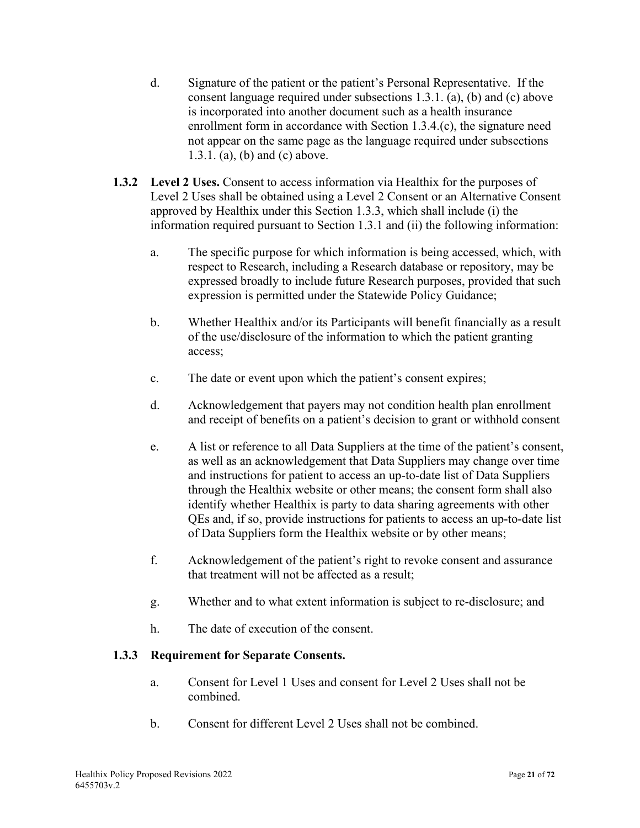- d. Signature of the patient or the patient's Personal Representative. If the consent language required under subsections 1.3.1. (a), (b) and (c) above is incorporated into another document such as a health insurance enrollment form in accordance with Section 1.3.4.(c), the signature need not appear on the same page as the language required under subsections 1.3.1. (a), (b) and (c) above.
- **1.3.2 Level 2 Uses.** Consent to access information via Healthix for the purposes of Level 2 Uses shall be obtained using a Level 2 Consent or an Alternative Consent approved by Healthix under this Section 1.3.3, which shall include (i) the information required pursuant to Section 1.3.1 and (ii) the following information:
	- a. The specific purpose for which information is being accessed, which, with respect to Research, including a Research database or repository, may be expressed broadly to include future Research purposes, provided that such expression is permitted under the Statewide Policy Guidance;
	- b. Whether Healthix and/or its Participants will benefit financially as a result of the use/disclosure of the information to which the patient granting access;
	- c. The date or event upon which the patient's consent expires;
	- d. Acknowledgement that payers may not condition health plan enrollment and receipt of benefits on a patient's decision to grant or withhold consent
	- e. A list or reference to all Data Suppliers at the time of the patient's consent, as well as an acknowledgement that Data Suppliers may change over time and instructions for patient to access an up-to-date list of Data Suppliers through the Healthix website or other means; the consent form shall also identify whether Healthix is party to data sharing agreements with other QEs and, if so, provide instructions for patients to access an up-to-date list of Data Suppliers form the Healthix website or by other means;
	- f. Acknowledgement of the patient's right to revoke consent and assurance that treatment will not be affected as a result;
	- g. Whether and to what extent information is subject to re-disclosure; and
	- h. The date of execution of the consent.

# **1.3.3 Requirement for Separate Consents.**

- a. Consent for Level 1 Uses and consent for Level 2 Uses shall not be combined.
- b. Consent for different Level 2 Uses shall not be combined.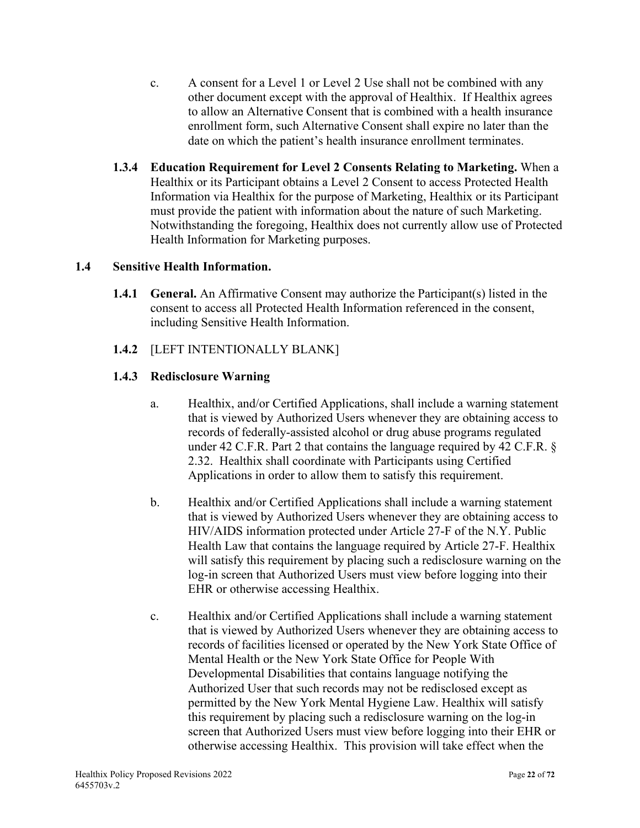- c. A consent for a Level 1 or Level 2 Use shall not be combined with any other document except with the approval of Healthix. If Healthix agrees to allow an Alternative Consent that is combined with a health insurance enrollment form, such Alternative Consent shall expire no later than the date on which the patient's health insurance enrollment terminates.
- **1.3.4 Education Requirement for Level 2 Consents Relating to Marketing.** When a Healthix or its Participant obtains a Level 2 Consent to access Protected Health Information via Healthix for the purpose of Marketing, Healthix or its Participant must provide the patient with information about the nature of such Marketing. Notwithstanding the foregoing, Healthix does not currently allow use of Protected Health Information for Marketing purposes.

# **1.4 Sensitive Health Information.**

**1.4.1 General.** An Affirmative Consent may authorize the Participant(s) listed in the consent to access all Protected Health Information referenced in the consent, including Sensitive Health Information.

### **1.4.2** [LEFT INTENTIONALLY BLANK]

### **1.4.3 Redisclosure Warning**

- a. Healthix, and/or Certified Applications, shall include a warning statement that is viewed by Authorized Users whenever they are obtaining access to records of federally-assisted alcohol or drug abuse programs regulated under 42 C.F.R. Part 2 that contains the language required by 42 C.F.R. § 2.32. Healthix shall coordinate with Participants using Certified Applications in order to allow them to satisfy this requirement.
- b. Healthix and/or Certified Applications shall include a warning statement that is viewed by Authorized Users whenever they are obtaining access to HIV/AIDS information protected under Article 27-F of the N.Y. Public Health Law that contains the language required by Article 27-F. Healthix will satisfy this requirement by placing such a redisclosure warning on the log-in screen that Authorized Users must view before logging into their EHR or otherwise accessing Healthix.
- c. Healthix and/or Certified Applications shall include a warning statement that is viewed by Authorized Users whenever they are obtaining access to records of facilities licensed or operated by the New York State Office of Mental Health or the New York State Office for People With Developmental Disabilities that contains language notifying the Authorized User that such records may not be redisclosed except as permitted by the New York Mental Hygiene Law. Healthix will satisfy this requirement by placing such a redisclosure warning on the log-in screen that Authorized Users must view before logging into their EHR or otherwise accessing Healthix. This provision will take effect when the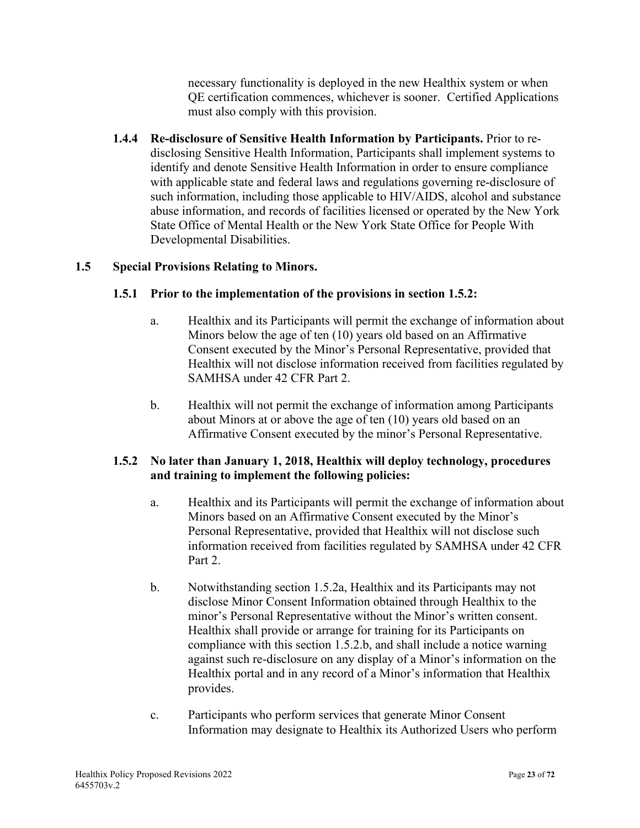necessary functionality is deployed in the new Healthix system or when QE certification commences, whichever is sooner. Certified Applications must also comply with this provision.

**1.4.4 Re-disclosure of Sensitive Health Information by Participants.** Prior to redisclosing Sensitive Health Information, Participants shall implement systems to identify and denote Sensitive Health Information in order to ensure compliance with applicable state and federal laws and regulations governing re-disclosure of such information, including those applicable to HIV/AIDS, alcohol and substance abuse information, and records of facilities licensed or operated by the New York State Office of Mental Health or the New York State Office for People With Developmental Disabilities.

# **1.5 Special Provisions Relating to Minors.**

### **1.5.1 Prior to the implementation of the provisions in section 1.5.2:**

- a. Healthix and its Participants will permit the exchange of information about Minors below the age of ten (10) years old based on an Affirmative Consent executed by the Minor's Personal Representative, provided that Healthix will not disclose information received from facilities regulated by SAMHSA under 42 CFR Part 2.
- b. Healthix will not permit the exchange of information among Participants about Minors at or above the age of ten (10) years old based on an Affirmative Consent executed by the minor's Personal Representative.

# **1.5.2 No later than January 1, 2018, Healthix will deploy technology, procedures and training to implement the following policies:**

- a. Healthix and its Participants will permit the exchange of information about Minors based on an Affirmative Consent executed by the Minor's Personal Representative, provided that Healthix will not disclose such information received from facilities regulated by SAMHSA under 42 CFR Part 2.
- b. Notwithstanding section 1.5.2a, Healthix and its Participants may not disclose Minor Consent Information obtained through Healthix to the minor's Personal Representative without the Minor's written consent. Healthix shall provide or arrange for training for its Participants on compliance with this section 1.5.2.b, and shall include a notice warning against such re-disclosure on any display of a Minor's information on the Healthix portal and in any record of a Minor's information that Healthix provides.
- c. Participants who perform services that generate Minor Consent Information may designate to Healthix its Authorized Users who perform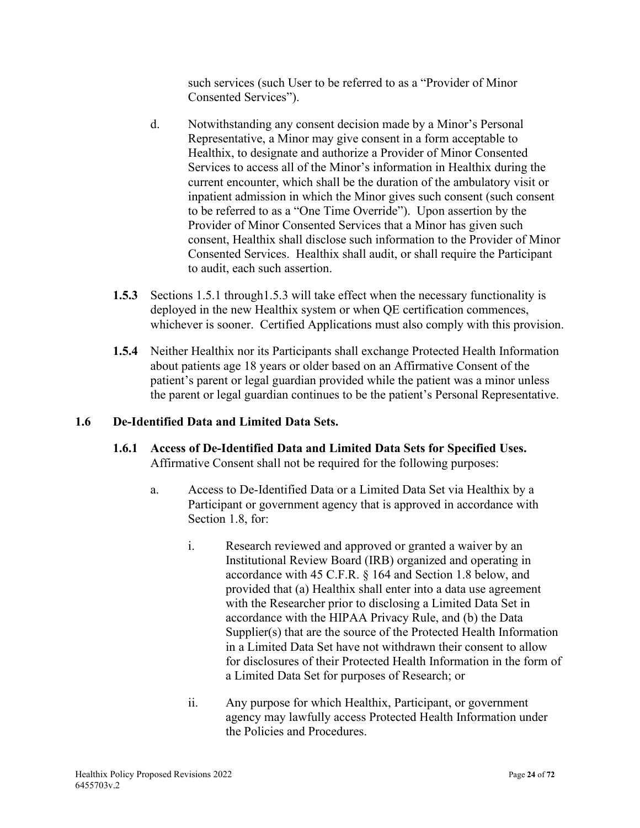such services (such User to be referred to as a "Provider of Minor Consented Services").

- d. Notwithstanding any consent decision made by a Minor's Personal Representative, a Minor may give consent in a form acceptable to Healthix, to designate and authorize a Provider of Minor Consented Services to access all of the Minor's information in Healthix during the current encounter, which shall be the duration of the ambulatory visit or inpatient admission in which the Minor gives such consent (such consent to be referred to as a "One Time Override"). Upon assertion by the Provider of Minor Consented Services that a Minor has given such consent, Healthix shall disclose such information to the Provider of Minor Consented Services. Healthix shall audit, or shall require the Participant to audit, each such assertion.
- **1.5.3** Sections 1.5.1 through 1.5.3 will take effect when the necessary functionality is deployed in the new Healthix system or when QE certification commences, whichever is sooner. Certified Applications must also comply with this provision.
- **1.5.4** Neither Healthix nor its Participants shall exchange Protected Health Information about patients age 18 years or older based on an Affirmative Consent of the patient's parent or legal guardian provided while the patient was a minor unless the parent or legal guardian continues to be the patient's Personal Representative.

#### **1.6 De-Identified Data and Limited Data Sets.**

- **1.6.1 Access of De-Identified Data and Limited Data Sets for Specified Uses.** Affirmative Consent shall not be required for the following purposes:
	- a. Access to De-Identified Data or a Limited Data Set via Healthix by a Participant or government agency that is approved in accordance with Section 1.8, for:
		- i. Research reviewed and approved or granted a waiver by an Institutional Review Board (IRB) organized and operating in accordance with 45 C.F.R. § 164 and Section 1.8 below, and provided that (a) Healthix shall enter into a data use agreement with the Researcher prior to disclosing a Limited Data Set in accordance with the HIPAA Privacy Rule, and (b) the Data Supplier(s) that are the source of the Protected Health Information in a Limited Data Set have not withdrawn their consent to allow for disclosures of their Protected Health Information in the form of a Limited Data Set for purposes of Research; or
		- ii. Any purpose for which Healthix, Participant, or government agency may lawfully access Protected Health Information under the Policies and Procedures.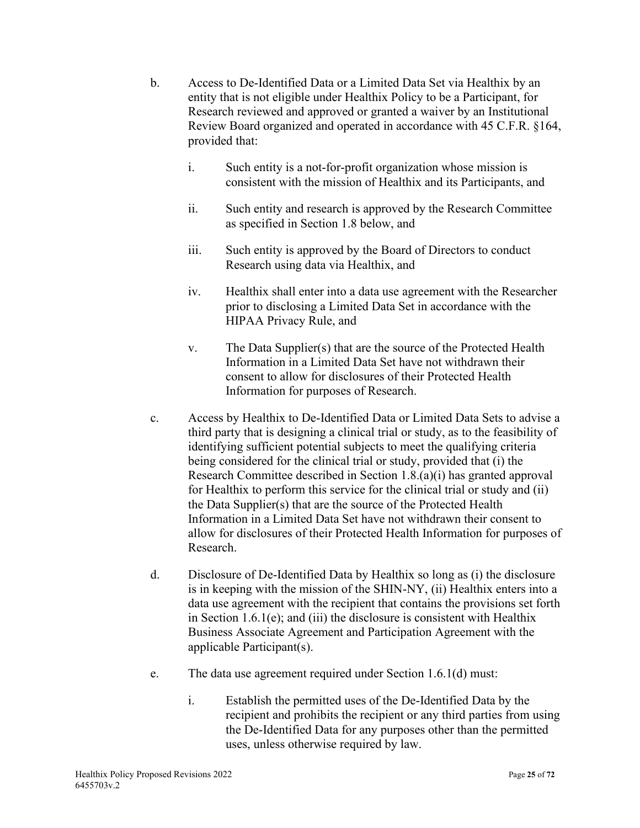- b. Access to De-Identified Data or a Limited Data Set via Healthix by an entity that is not eligible under Healthix Policy to be a Participant, for Research reviewed and approved or granted a waiver by an Institutional Review Board organized and operated in accordance with 45 C.F.R. §164, provided that:
	- i. Such entity is a not-for-profit organization whose mission is consistent with the mission of Healthix and its Participants, and
	- ii. Such entity and research is approved by the Research Committee as specified in Section 1.8 below, and
	- iii. Such entity is approved by the Board of Directors to conduct Research using data via Healthix, and
	- iv. Healthix shall enter into a data use agreement with the Researcher prior to disclosing a Limited Data Set in accordance with the HIPAA Privacy Rule, and
	- v. The Data Supplier(s) that are the source of the Protected Health Information in a Limited Data Set have not withdrawn their consent to allow for disclosures of their Protected Health Information for purposes of Research.
- c. Access by Healthix to De-Identified Data or Limited Data Sets to advise a third party that is designing a clinical trial or study, as to the feasibility of identifying sufficient potential subjects to meet the qualifying criteria being considered for the clinical trial or study, provided that (i) the Research Committee described in Section 1.8.(a)(i) has granted approval for Healthix to perform this service for the clinical trial or study and (ii) the Data Supplier(s) that are the source of the Protected Health Information in a Limited Data Set have not withdrawn their consent to allow for disclosures of their Protected Health Information for purposes of Research.
- d. Disclosure of De-Identified Data by Healthix so long as (i) the disclosure is in keeping with the mission of the SHIN-NY, (ii) Healthix enters into a data use agreement with the recipient that contains the provisions set forth in Section 1.6.1(e); and (iii) the disclosure is consistent with Healthix Business Associate Agreement and Participation Agreement with the applicable Participant(s).
- e. The data use agreement required under Section 1.6.1(d) must:
	- i. Establish the permitted uses of the De-Identified Data by the recipient and prohibits the recipient or any third parties from using the De-Identified Data for any purposes other than the permitted uses, unless otherwise required by law.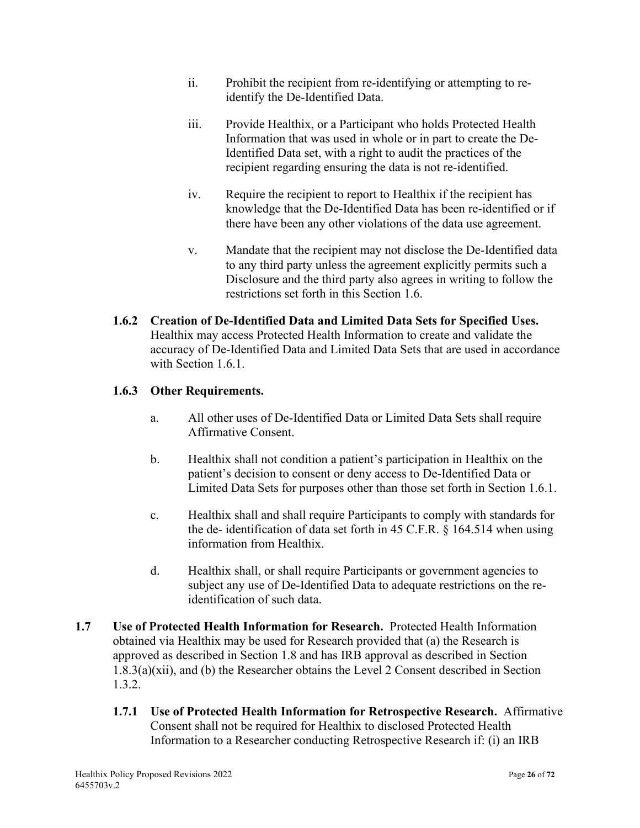- ii. Prohibit the recipient from re-identifying or attempting to reidentify the De-Identified Data.
- iii. Provide Healthix, or a Participant who holds Protected Health Information that was used in whole or in part to create the De-Identified Data set, with a right to audit the practices of the recipient regarding ensuring the data is not re-identified.
- iv. Require the recipient to report to Healthix if the recipient has knowledge that the De-Identified Data has been re-identified or if there have been any other violations of the data use agreement.
- v. Mandate that the recipient may not disclose the De-Identified data to any third party unless the agreement explicitly permits such a Disclosure and the third party also agrees in writing to follow the restrictions set forth in this Section 1.6.
- **1.6.2 Creation of De-Identified Data and Limited Data Sets for Specified Uses.** Healthix may access Protected Health Information to create and validate the accuracy of De-Identified Data and Limited Data Sets that are used in accordance with Section 1.6.1.

# **1.6.3 Other Requirements.**

- a. All other uses of De-Identified Data or Limited Data Sets shall require Affirmative Consent.
- b. Healthix shall not condition a patient's participation in Healthix on the patient's decision to consent or deny access to De-Identified Data or Limited Data Sets for purposes other than those set forth in Section 1.6.1.
- c. Healthix shall and shall require Participants to comply with standards for the de- identification of data set forth in 45 C.F.R. § 164.514 when using information from Healthix.
- d. Healthix shall, or shall require Participants or government agencies to subject any use of De-Identified Data to adequate restrictions on the reidentification of such data.
- **1.7 Use of Protected Health Information for Research.** Protected Health Information obtained via Healthix may be used for Research provided that (a) the Research is approved as described in Section 1.8 and has IRB approval as described in Section 1.8.3(a)(xii), and (b) the Researcher obtains the Level 2 Consent described in Section 1.3.2.
	- **1.7.1 Use of Protected Health Information for Retrospective Research.** Affirmative Consent shall not be required for Healthix to disclosed Protected Health Information to a Researcher conducting Retrospective Research if: (i) an IRB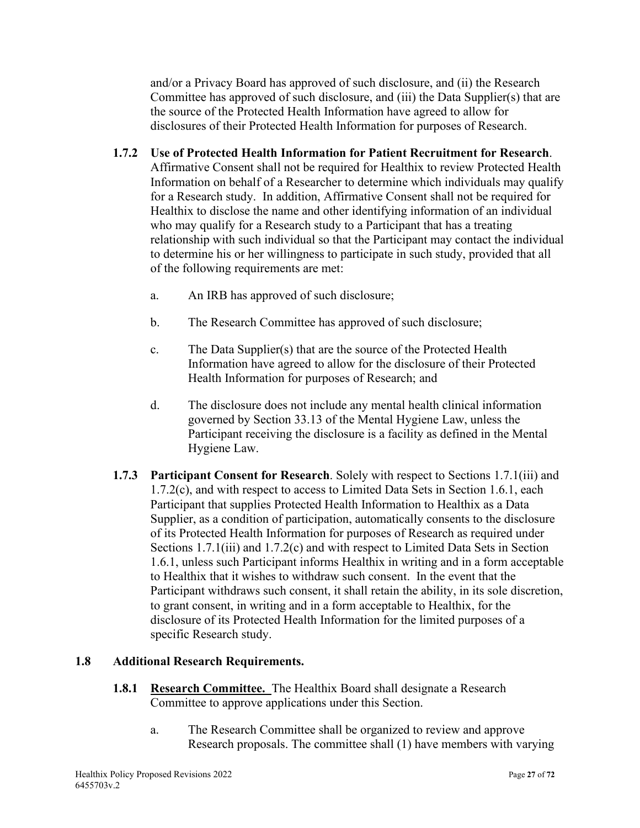and/or a Privacy Board has approved of such disclosure, and (ii) the Research Committee has approved of such disclosure, and (iii) the Data Supplier(s) that are the source of the Protected Health Information have agreed to allow for disclosures of their Protected Health Information for purposes of Research.

- **1.7.2 Use of Protected Health Information for Patient Recruitment for Research**. Affirmative Consent shall not be required for Healthix to review Protected Health Information on behalf of a Researcher to determine which individuals may qualify for a Research study. In addition, Affirmative Consent shall not be required for Healthix to disclose the name and other identifying information of an individual who may qualify for a Research study to a Participant that has a treating relationship with such individual so that the Participant may contact the individual to determine his or her willingness to participate in such study, provided that all of the following requirements are met:
	- a. An IRB has approved of such disclosure;
	- b. The Research Committee has approved of such disclosure;
	- c. The Data Supplier(s) that are the source of the Protected Health Information have agreed to allow for the disclosure of their Protected Health Information for purposes of Research; and
	- d. The disclosure does not include any mental health clinical information governed by Section 33.13 of the Mental Hygiene Law, unless the Participant receiving the disclosure is a facility as defined in the Mental Hygiene Law.
- **1.7.3 Participant Consent for Research**. Solely with respect to Sections 1.7.1(iii) and 1.7.2(c), and with respect to access to Limited Data Sets in Section 1.6.1, each Participant that supplies Protected Health Information to Healthix as a Data Supplier, as a condition of participation, automatically consents to the disclosure of its Protected Health Information for purposes of Research as required under Sections 1.7.1(iii) and 1.7.2(c) and with respect to Limited Data Sets in Section 1.6.1, unless such Participant informs Healthix in writing and in a form acceptable to Healthix that it wishes to withdraw such consent. In the event that the Participant withdraws such consent, it shall retain the ability, in its sole discretion, to grant consent, in writing and in a form acceptable to Healthix, for the disclosure of its Protected Health Information for the limited purposes of a specific Research study.

#### **1.8 Additional Research Requirements.**

- **1.8.1 Research Committee.** The Healthix Board shall designate a Research Committee to approve applications under this Section.
	- a. The Research Committee shall be organized to review and approve Research proposals. The committee shall (1) have members with varying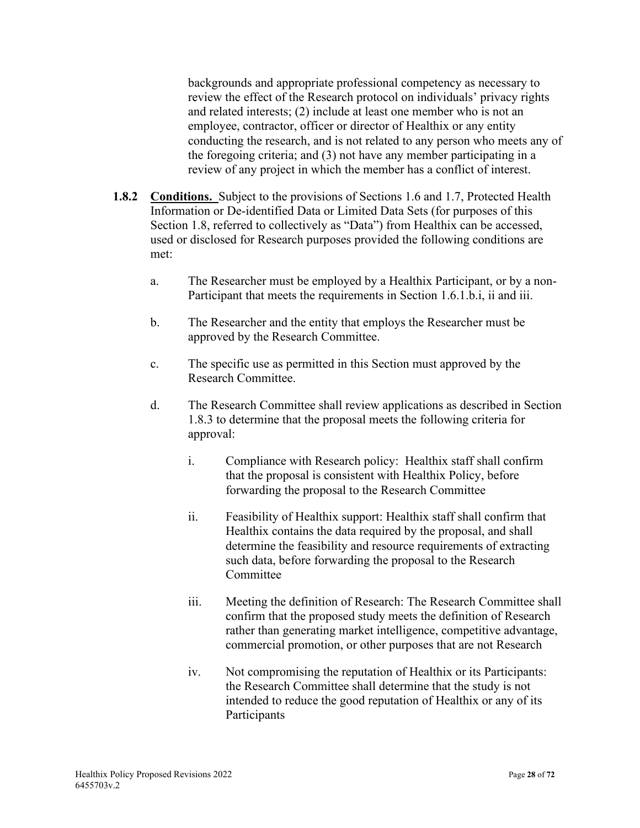backgrounds and appropriate professional competency as necessary to review the effect of the Research protocol on individuals' privacy rights and related interests; (2) include at least one member who is not an employee, contractor, officer or director of Healthix or any entity conducting the research, and is not related to any person who meets any of the foregoing criteria; and (3) not have any member participating in a review of any project in which the member has a conflict of interest.

- **1.8.2 Conditions.** Subject to the provisions of Sections 1.6 and 1.7, Protected Health Information or De-identified Data or Limited Data Sets (for purposes of this Section 1.8, referred to collectively as "Data") from Healthix can be accessed, used or disclosed for Research purposes provided the following conditions are met:
	- a. The Researcher must be employed by a Healthix Participant, or by a non-Participant that meets the requirements in Section 1.6.1.b.i, ii and iii.
	- b. The Researcher and the entity that employs the Researcher must be approved by the Research Committee.
	- c. The specific use as permitted in this Section must approved by the Research Committee.
	- d. The Research Committee shall review applications as described in Section 1.8.3 to determine that the proposal meets the following criteria for approval:
		- i. Compliance with Research policy: Healthix staff shall confirm that the proposal is consistent with Healthix Policy, before forwarding the proposal to the Research Committee
		- ii. Feasibility of Healthix support: Healthix staff shall confirm that Healthix contains the data required by the proposal, and shall determine the feasibility and resource requirements of extracting such data, before forwarding the proposal to the Research **Committee**
		- iii. Meeting the definition of Research: The Research Committee shall confirm that the proposed study meets the definition of Research rather than generating market intelligence, competitive advantage, commercial promotion, or other purposes that are not Research
		- iv. Not compromising the reputation of Healthix or its Participants: the Research Committee shall determine that the study is not intended to reduce the good reputation of Healthix or any of its Participants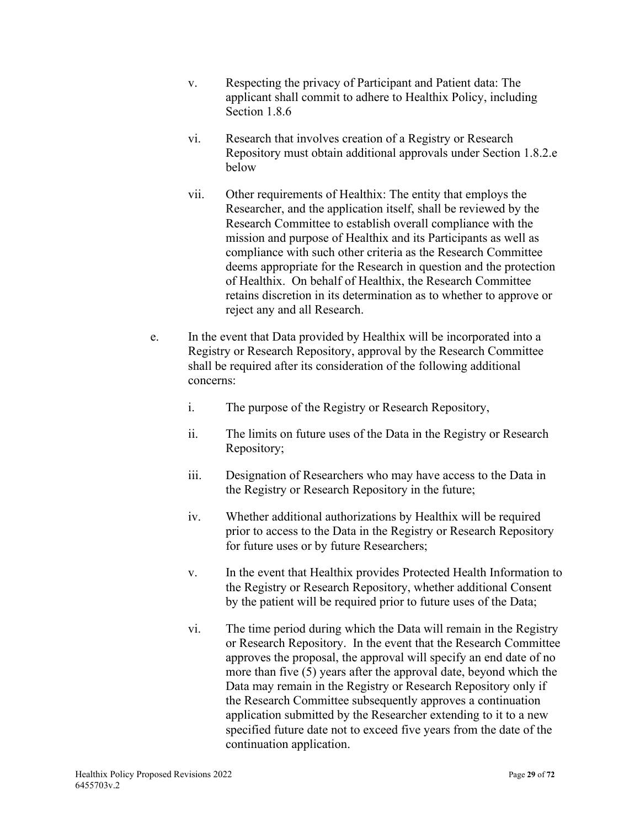- v. Respecting the privacy of Participant and Patient data: The applicant shall commit to adhere to Healthix Policy, including Section 1.8.6
- vi. Research that involves creation of a Registry or Research Repository must obtain additional approvals under Section 1.8.2.e below
- vii. Other requirements of Healthix: The entity that employs the Researcher, and the application itself, shall be reviewed by the Research Committee to establish overall compliance with the mission and purpose of Healthix and its Participants as well as compliance with such other criteria as the Research Committee deems appropriate for the Research in question and the protection of Healthix. On behalf of Healthix, the Research Committee retains discretion in its determination as to whether to approve or reject any and all Research.
- e. In the event that Data provided by Healthix will be incorporated into a Registry or Research Repository, approval by the Research Committee shall be required after its consideration of the following additional concerns:
	- i. The purpose of the Registry or Research Repository,
	- ii. The limits on future uses of the Data in the Registry or Research Repository;
	- iii. Designation of Researchers who may have access to the Data in the Registry or Research Repository in the future;
	- iv. Whether additional authorizations by Healthix will be required prior to access to the Data in the Registry or Research Repository for future uses or by future Researchers;
	- v. In the event that Healthix provides Protected Health Information to the Registry or Research Repository, whether additional Consent by the patient will be required prior to future uses of the Data;
	- vi. The time period during which the Data will remain in the Registry or Research Repository. In the event that the Research Committee approves the proposal, the approval will specify an end date of no more than five (5) years after the approval date, beyond which the Data may remain in the Registry or Research Repository only if the Research Committee subsequently approves a continuation application submitted by the Researcher extending to it to a new specified future date not to exceed five years from the date of the continuation application.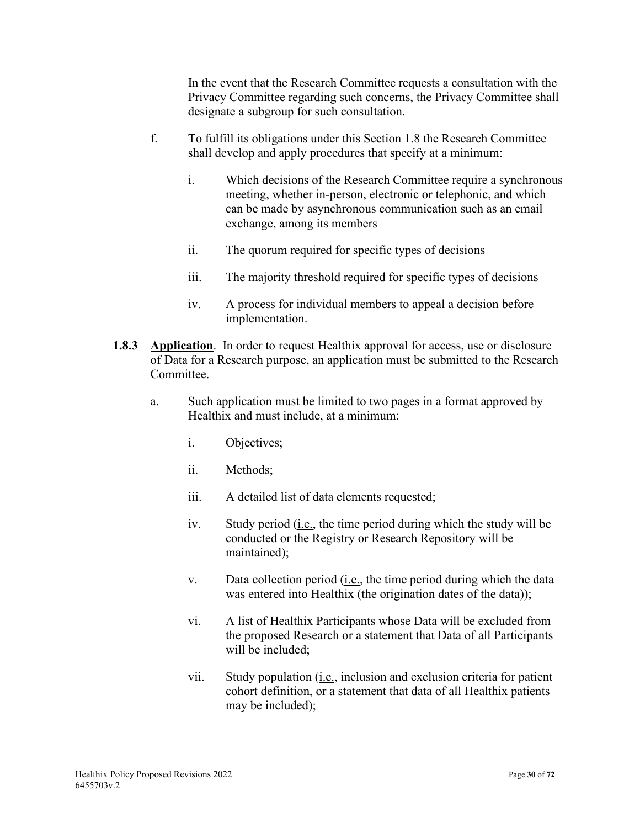In the event that the Research Committee requests a consultation with the Privacy Committee regarding such concerns, the Privacy Committee shall designate a subgroup for such consultation.

- f. To fulfill its obligations under this Section 1.8 the Research Committee shall develop and apply procedures that specify at a minimum:
	- i. Which decisions of the Research Committee require a synchronous meeting, whether in-person, electronic or telephonic, and which can be made by asynchronous communication such as an email exchange, among its members
	- ii. The quorum required for specific types of decisions
	- iii. The majority threshold required for specific types of decisions
	- iv. A process for individual members to appeal a decision before implementation.
- **1.8.3 Application**. In order to request Healthix approval for access, use or disclosure of Data for a Research purpose, an application must be submitted to the Research Committee.
	- a. Such application must be limited to two pages in a format approved by Healthix and must include, at a minimum:
		- i. Objectives;
		- ii. Methods;
		- iii. A detailed list of data elements requested;
		- iv. Study period (i.e., the time period during which the study will be conducted or the Registry or Research Repository will be maintained);
		- v. Data collection period (i.e., the time period during which the data was entered into Healthix (the origination dates of the data));
		- vi. A list of Healthix Participants whose Data will be excluded from the proposed Research or a statement that Data of all Participants will be included;
		- vii. Study population (i.e., inclusion and exclusion criteria for patient cohort definition, or a statement that data of all Healthix patients may be included);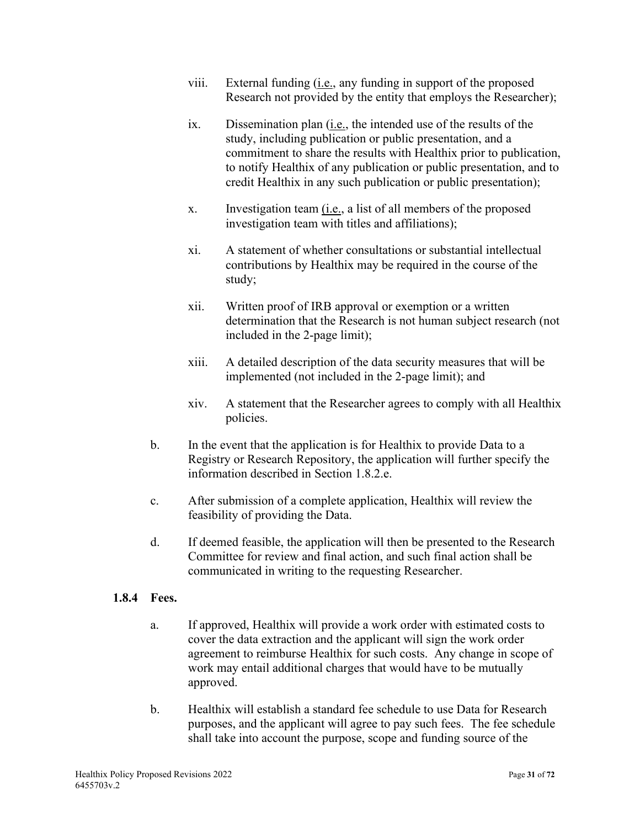- viii. External funding (*i.e.*, any funding in support of the proposed Research not provided by the entity that employs the Researcher);
- ix. Dissemination plan (i.e., the intended use of the results of the study, including publication or public presentation, and a commitment to share the results with Healthix prior to publication, to notify Healthix of any publication or public presentation, and to credit Healthix in any such publication or public presentation);
- x. Investigation team (i.e., a list of all members of the proposed investigation team with titles and affiliations);
- xi. A statement of whether consultations or substantial intellectual contributions by Healthix may be required in the course of the study;
- xii. Written proof of IRB approval or exemption or a written determination that the Research is not human subject research (not included in the 2-page limit);
- xiii. A detailed description of the data security measures that will be implemented (not included in the 2-page limit); and
- xiv. A statement that the Researcher agrees to comply with all Healthix policies.
- b. In the event that the application is for Healthix to provide Data to a Registry or Research Repository, the application will further specify the information described in Section 1.8.2.e.
- c. After submission of a complete application, Healthix will review the feasibility of providing the Data.
- d. If deemed feasible, the application will then be presented to the Research Committee for review and final action, and such final action shall be communicated in writing to the requesting Researcher.

# **1.8.4 Fees.**

- a. If approved, Healthix will provide a work order with estimated costs to cover the data extraction and the applicant will sign the work order agreement to reimburse Healthix for such costs. Any change in scope of work may entail additional charges that would have to be mutually approved.
- b. Healthix will establish a standard fee schedule to use Data for Research purposes, and the applicant will agree to pay such fees. The fee schedule shall take into account the purpose, scope and funding source of the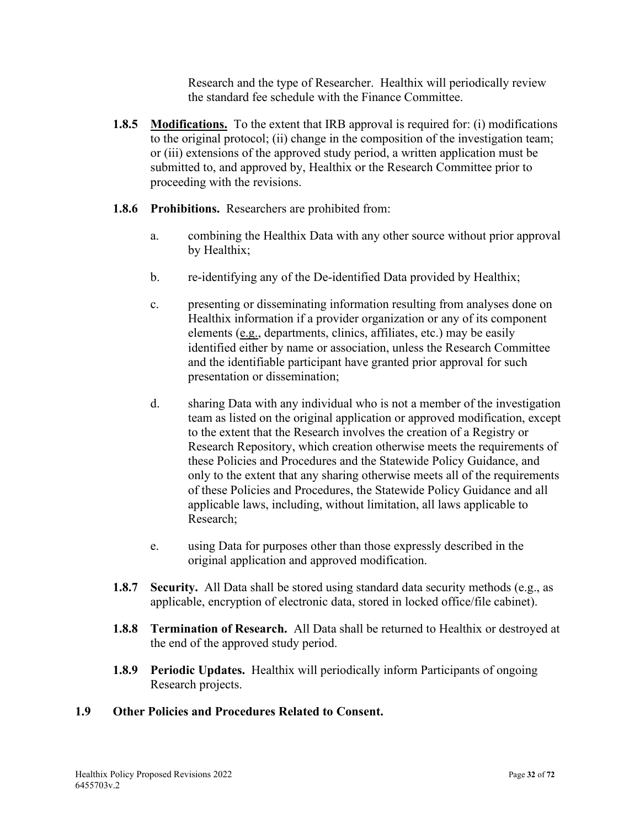Research and the type of Researcher. Healthix will periodically review the standard fee schedule with the Finance Committee.

- **1.8.5 Modifications.** To the extent that IRB approval is required for: (i) modifications to the original protocol; (ii) change in the composition of the investigation team; or (iii) extensions of the approved study period, a written application must be submitted to, and approved by, Healthix or the Research Committee prior to proceeding with the revisions.
- **1.8.6 Prohibitions.** Researchers are prohibited from:
	- a. combining the Healthix Data with any other source without prior approval by Healthix;
	- b. re-identifying any of the De-identified Data provided by Healthix;
	- c. presenting or disseminating information resulting from analyses done on Healthix information if a provider organization or any of its component elements (e.g., departments, clinics, affiliates, etc.) may be easily identified either by name or association, unless the Research Committee and the identifiable participant have granted prior approval for such presentation or dissemination;
	- d. sharing Data with any individual who is not a member of the investigation team as listed on the original application or approved modification, except to the extent that the Research involves the creation of a Registry or Research Repository, which creation otherwise meets the requirements of these Policies and Procedures and the Statewide Policy Guidance, and only to the extent that any sharing otherwise meets all of the requirements of these Policies and Procedures, the Statewide Policy Guidance and all applicable laws, including, without limitation, all laws applicable to Research;
	- e. using Data for purposes other than those expressly described in the original application and approved modification.
- **1.8.7 Security.** All Data shall be stored using standard data security methods (e.g., as applicable, encryption of electronic data, stored in locked office/file cabinet).
- **1.8.8 Termination of Research.** All Data shall be returned to Healthix or destroyed at the end of the approved study period.
- **1.8.9 Periodic Updates.** Healthix will periodically inform Participants of ongoing Research projects.

#### **1.9 Other Policies and Procedures Related to Consent.**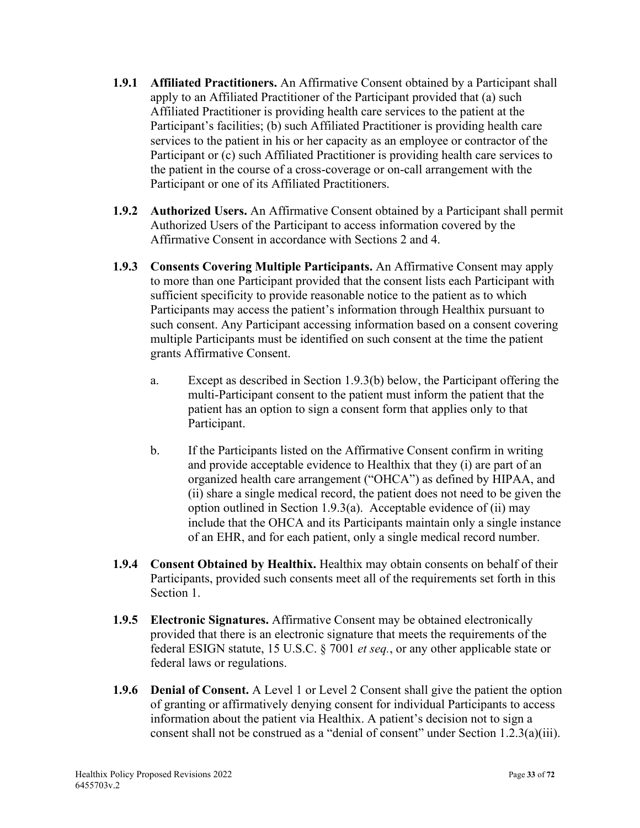- **1.9.1 Affiliated Practitioners.** An Affirmative Consent obtained by a Participant shall apply to an Affiliated Practitioner of the Participant provided that (a) such Affiliated Practitioner is providing health care services to the patient at the Participant's facilities; (b) such Affiliated Practitioner is providing health care services to the patient in his or her capacity as an employee or contractor of the Participant or (c) such Affiliated Practitioner is providing health care services to the patient in the course of a cross-coverage or on-call arrangement with the Participant or one of its Affiliated Practitioners.
- **1.9.2 Authorized Users.** An Affirmative Consent obtained by a Participant shall permit Authorized Users of the Participant to access information covered by the Affirmative Consent in accordance with Sections 2 and 4.
- **1.9.3 Consents Covering Multiple Participants.** An Affirmative Consent may apply to more than one Participant provided that the consent lists each Participant with sufficient specificity to provide reasonable notice to the patient as to which Participants may access the patient's information through Healthix pursuant to such consent. Any Participant accessing information based on a consent covering multiple Participants must be identified on such consent at the time the patient grants Affirmative Consent.
	- a. Except as described in Section 1.9.3(b) below, the Participant offering the multi-Participant consent to the patient must inform the patient that the patient has an option to sign a consent form that applies only to that Participant.
	- b. If the Participants listed on the Affirmative Consent confirm in writing and provide acceptable evidence to Healthix that they (i) are part of an organized health care arrangement ("OHCA") as defined by HIPAA, and (ii) share a single medical record, the patient does not need to be given the option outlined in Section 1.9.3(a). Acceptable evidence of (ii) may include that the OHCA and its Participants maintain only a single instance of an EHR, and for each patient, only a single medical record number.
- **1.9.4 Consent Obtained by Healthix.** Healthix may obtain consents on behalf of their Participants, provided such consents meet all of the requirements set forth in this Section 1.
- **1.9.5 Electronic Signatures.** Affirmative Consent may be obtained electronically provided that there is an electronic signature that meets the requirements of the federal ESIGN statute, 15 U.S.C. § 7001 *et seq.*, or any other applicable state or federal laws or regulations.
- **1.9.6 Denial of Consent.** A Level 1 or Level 2 Consent shall give the patient the option of granting or affirmatively denying consent for individual Participants to access information about the patient via Healthix. A patient's decision not to sign a consent shall not be construed as a "denial of consent" under Section 1.2.3(a)(iii).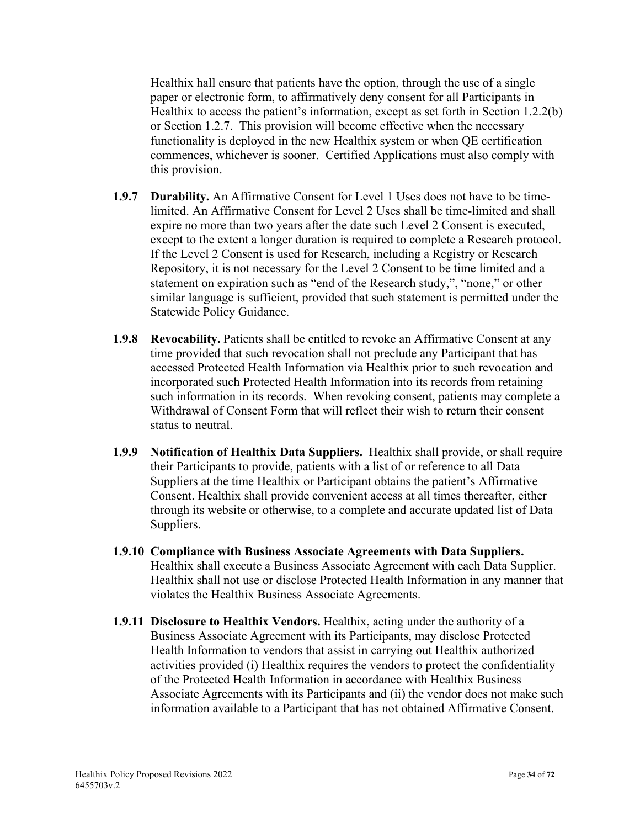Healthix hall ensure that patients have the option, through the use of a single paper or electronic form, to affirmatively deny consent for all Participants in Healthix to access the patient's information, except as set forth in Section 1.2.2(b) or Section 1.2.7. This provision will become effective when the necessary functionality is deployed in the new Healthix system or when QE certification commences, whichever is sooner. Certified Applications must also comply with this provision.

- **1.9.7 Durability.** An Affirmative Consent for Level 1 Uses does not have to be timelimited. An Affirmative Consent for Level 2 Uses shall be time-limited and shall expire no more than two years after the date such Level 2 Consent is executed, except to the extent a longer duration is required to complete a Research protocol. If the Level 2 Consent is used for Research, including a Registry or Research Repository, it is not necessary for the Level 2 Consent to be time limited and a statement on expiration such as "end of the Research study,", "none," or other similar language is sufficient, provided that such statement is permitted under the Statewide Policy Guidance.
- **1.9.8 Revocability.** Patients shall be entitled to revoke an Affirmative Consent at any time provided that such revocation shall not preclude any Participant that has accessed Protected Health Information via Healthix prior to such revocation and incorporated such Protected Health Information into its records from retaining such information in its records. When revoking consent, patients may complete a Withdrawal of Consent Form that will reflect their wish to return their consent status to neutral.
- **1.9.9 Notification of Healthix Data Suppliers.** Healthix shall provide, or shall require their Participants to provide, patients with a list of or reference to all Data Suppliers at the time Healthix or Participant obtains the patient's Affirmative Consent. Healthix shall provide convenient access at all times thereafter, either through its website or otherwise, to a complete and accurate updated list of Data Suppliers.
- **1.9.10 Compliance with Business Associate Agreements with Data Suppliers.** Healthix shall execute a Business Associate Agreement with each Data Supplier. Healthix shall not use or disclose Protected Health Information in any manner that violates the Healthix Business Associate Agreements.
- **1.9.11 Disclosure to Healthix Vendors.** Healthix, acting under the authority of a Business Associate Agreement with its Participants, may disclose Protected Health Information to vendors that assist in carrying out Healthix authorized activities provided (i) Healthix requires the vendors to protect the confidentiality of the Protected Health Information in accordance with Healthix Business Associate Agreements with its Participants and (ii) the vendor does not make such information available to a Participant that has not obtained Affirmative Consent.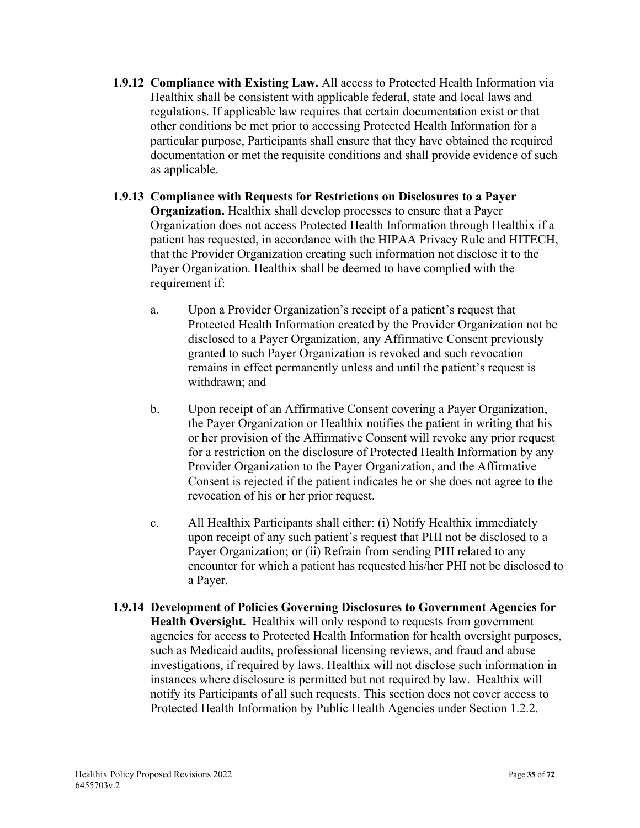- **1.9.12 Compliance with Existing Law.** All access to Protected Health Information via Healthix shall be consistent with applicable federal, state and local laws and regulations. If applicable law requires that certain documentation exist or that other conditions be met prior to accessing Protected Health Information for a particular purpose, Participants shall ensure that they have obtained the required documentation or met the requisite conditions and shall provide evidence of such as applicable.
- **1.9.13 Compliance with Requests for Restrictions on Disclosures to a Payer Organization.** Healthix shall develop processes to ensure that a Payer Organization does not access Protected Health Information through Healthix if a patient has requested, in accordance with the HIPAA Privacy Rule and HITECH, that the Provider Organization creating such information not disclose it to the Payer Organization. Healthix shall be deemed to have complied with the requirement if:
	- a. Upon a Provider Organization's receipt of a patient's request that Protected Health Information created by the Provider Organization not be disclosed to a Payer Organization, any Affirmative Consent previously granted to such Payer Organization is revoked and such revocation remains in effect permanently unless and until the patient's request is withdrawn; and
	- b. Upon receipt of an Affirmative Consent covering a Payer Organization, the Payer Organization or Healthix notifies the patient in writing that his or her provision of the Affirmative Consent will revoke any prior request for a restriction on the disclosure of Protected Health Information by any Provider Organization to the Payer Organization, and the Affirmative Consent is rejected if the patient indicates he or she does not agree to the revocation of his or her prior request.
	- c. All Healthix Participants shall either: (i) Notify Healthix immediately upon receipt of any such patient's request that PHI not be disclosed to a Payer Organization; or (ii) Refrain from sending PHI related to any encounter for which a patient has requested his/her PHI not be disclosed to a Payer.
- **1.9.14 Development of Policies Governing Disclosures to Government Agencies for Health Oversight.** Healthix will only respond to requests from government agencies for access to Protected Health Information for health oversight purposes, such as Medicaid audits, professional licensing reviews, and fraud and abuse investigations, if required by laws. Healthix will not disclose such information in instances where disclosure is permitted but not required by law. Healthix will notify its Participants of all such requests. This section does not cover access to Protected Health Information by Public Health Agencies under Section 1.2.2.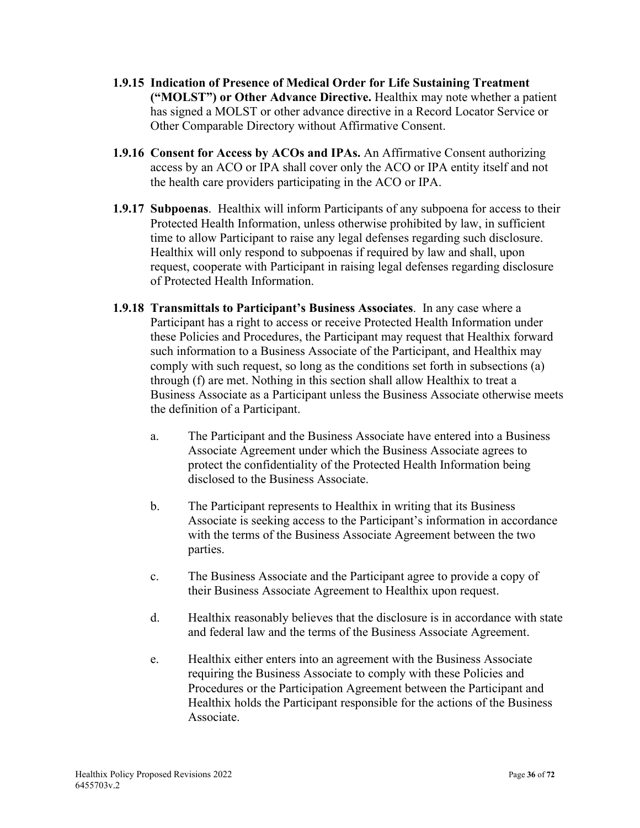- **1.9.15 Indication of Presence of Medical Order for Life Sustaining Treatment ("MOLST") or Other Advance Directive.** Healthix may note whether a patient has signed a MOLST or other advance directive in a Record Locator Service or Other Comparable Directory without Affirmative Consent.
- **1.9.16 Consent for Access by ACOs and IPAs.** An Affirmative Consent authorizing access by an ACO or IPA shall cover only the ACO or IPA entity itself and not the health care providers participating in the ACO or IPA.
- **1.9.17 Subpoenas**. Healthix will inform Participants of any subpoena for access to their Protected Health Information, unless otherwise prohibited by law, in sufficient time to allow Participant to raise any legal defenses regarding such disclosure. Healthix will only respond to subpoenas if required by law and shall, upon request, cooperate with Participant in raising legal defenses regarding disclosure of Protected Health Information.
- **1.9.18 Transmittals to Participant's Business Associates**. In any case where a Participant has a right to access or receive Protected Health Information under these Policies and Procedures, the Participant may request that Healthix forward such information to a Business Associate of the Participant, and Healthix may comply with such request, so long as the conditions set forth in subsections (a) through (f) are met. Nothing in this section shall allow Healthix to treat a Business Associate as a Participant unless the Business Associate otherwise meets the definition of a Participant.
	- a. The Participant and the Business Associate have entered into a Business Associate Agreement under which the Business Associate agrees to protect the confidentiality of the Protected Health Information being disclosed to the Business Associate.
	- b. The Participant represents to Healthix in writing that its Business Associate is seeking access to the Participant's information in accordance with the terms of the Business Associate Agreement between the two parties.
	- c. The Business Associate and the Participant agree to provide a copy of their Business Associate Agreement to Healthix upon request.
	- d. Healthix reasonably believes that the disclosure is in accordance with state and federal law and the terms of the Business Associate Agreement.
	- e. Healthix either enters into an agreement with the Business Associate requiring the Business Associate to comply with these Policies and Procedures or the Participation Agreement between the Participant and Healthix holds the Participant responsible for the actions of the Business Associate.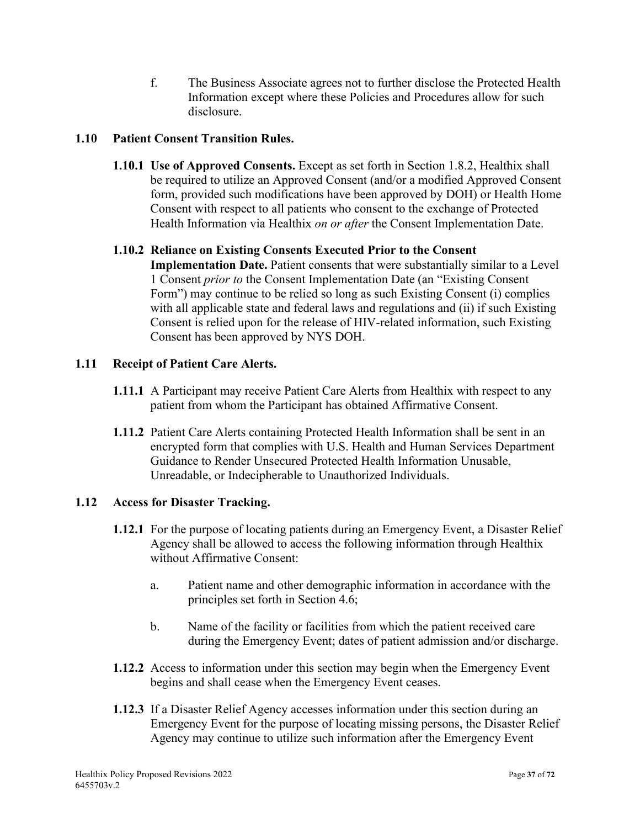f. The Business Associate agrees not to further disclose the Protected Health Information except where these Policies and Procedures allow for such disclosure.

## **1.10 Patient Consent Transition Rules.**

**1.10.1 Use of Approved Consents.** Except as set forth in Section 1.8.2, Healthix shall be required to utilize an Approved Consent (and/or a modified Approved Consent form, provided such modifications have been approved by DOH) or Health Home Consent with respect to all patients who consent to the exchange of Protected Health Information via Healthix *on or after* the Consent Implementation Date.

## **1.10.2 Reliance on Existing Consents Executed Prior to the Consent**

**Implementation Date.** Patient consents that were substantially similar to a Level 1 Consent *prior to* the Consent Implementation Date (an "Existing Consent Form") may continue to be relied so long as such Existing Consent (i) complies with all applicable state and federal laws and regulations and (ii) if such Existing Consent is relied upon for the release of HIV-related information, such Existing Consent has been approved by NYS DOH.

## **1.11 Receipt of Patient Care Alerts.**

- **1.11.1** A Participant may receive Patient Care Alerts from Healthix with respect to any patient from whom the Participant has obtained Affirmative Consent.
- **1.11.2** Patient Care Alerts containing Protected Health Information shall be sent in an encrypted form that complies with U.S. Health and Human Services Department Guidance to Render Unsecured Protected Health Information Unusable, Unreadable, or Indecipherable to Unauthorized Individuals.

## **1.12 Access for Disaster Tracking.**

- **1.12.1** For the purpose of locating patients during an Emergency Event, a Disaster Relief Agency shall be allowed to access the following information through Healthix without Affirmative Consent:
	- a. Patient name and other demographic information in accordance with the principles set forth in Section 4.6;
	- b. Name of the facility or facilities from which the patient received care during the Emergency Event; dates of patient admission and/or discharge.
- **1.12.2** Access to information under this section may begin when the Emergency Event begins and shall cease when the Emergency Event ceases.
- **1.12.3** If a Disaster Relief Agency accesses information under this section during an Emergency Event for the purpose of locating missing persons, the Disaster Relief Agency may continue to utilize such information after the Emergency Event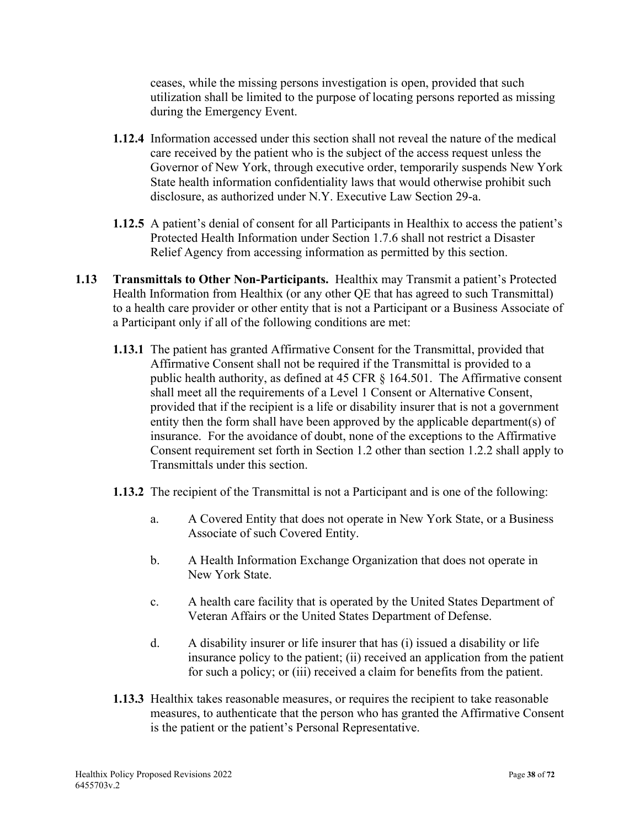ceases, while the missing persons investigation is open, provided that such utilization shall be limited to the purpose of locating persons reported as missing during the Emergency Event.

- **1.12.4** Information accessed under this section shall not reveal the nature of the medical care received by the patient who is the subject of the access request unless the Governor of New York, through executive order, temporarily suspends New York State health information confidentiality laws that would otherwise prohibit such disclosure, as authorized under N.Y. Executive Law Section 29-a.
- **1.12.5** A patient's denial of consent for all Participants in Healthix to access the patient's Protected Health Information under Section 1.7.6 shall not restrict a Disaster Relief Agency from accessing information as permitted by this section.
- **1.13 Transmittals to Other Non-Participants.** Healthix may Transmit a patient's Protected Health Information from Healthix (or any other QE that has agreed to such Transmittal) to a health care provider or other entity that is not a Participant or a Business Associate of a Participant only if all of the following conditions are met:
	- **1.13.1** The patient has granted Affirmative Consent for the Transmittal, provided that Affirmative Consent shall not be required if the Transmittal is provided to a public health authority, as defined at 45 CFR § 164.501. The Affirmative consent shall meet all the requirements of a Level 1 Consent or Alternative Consent, provided that if the recipient is a life or disability insurer that is not a government entity then the form shall have been approved by the applicable department(s) of insurance. For the avoidance of doubt, none of the exceptions to the Affirmative Consent requirement set forth in Section 1.2 other than section 1.2.2 shall apply to Transmittals under this section.
	- **1.13.2** The recipient of the Transmittal is not a Participant and is one of the following:
		- a. A Covered Entity that does not operate in New York State, or a Business Associate of such Covered Entity.
		- b. A Health Information Exchange Organization that does not operate in New York State.
		- c. A health care facility that is operated by the United States Department of Veteran Affairs or the United States Department of Defense.
		- d. A disability insurer or life insurer that has (i) issued a disability or life insurance policy to the patient; (ii) received an application from the patient for such a policy; or (iii) received a claim for benefits from the patient.
	- **1.13.3** Healthix takes reasonable measures, or requires the recipient to take reasonable measures, to authenticate that the person who has granted the Affirmative Consent is the patient or the patient's Personal Representative.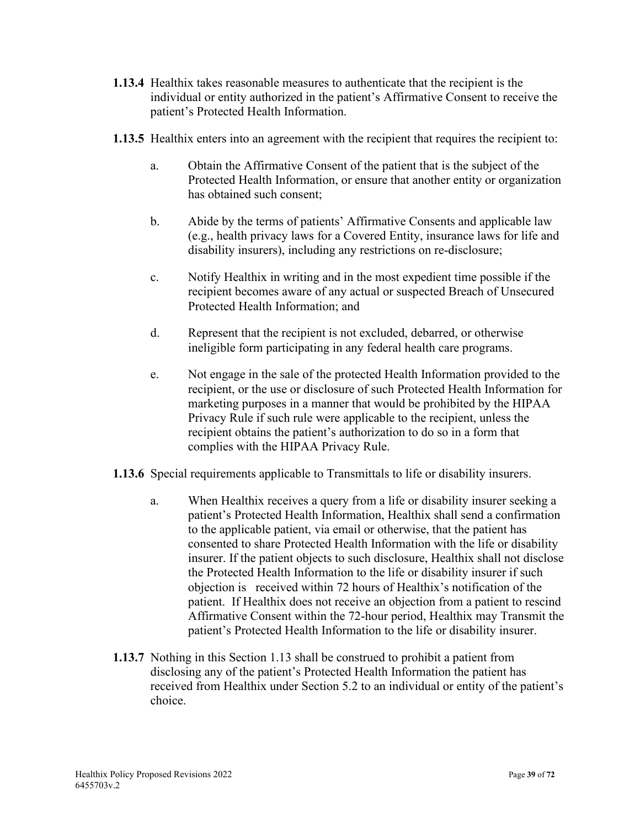- **1.13.4** Healthix takes reasonable measures to authenticate that the recipient is the individual or entity authorized in the patient's Affirmative Consent to receive the patient's Protected Health Information.
- **1.13.5** Healthix enters into an agreement with the recipient that requires the recipient to:
	- a. Obtain the Affirmative Consent of the patient that is the subject of the Protected Health Information, or ensure that another entity or organization has obtained such consent;
	- b. Abide by the terms of patients' Affirmative Consents and applicable law (e.g., health privacy laws for a Covered Entity, insurance laws for life and disability insurers), including any restrictions on re-disclosure;
	- c. Notify Healthix in writing and in the most expedient time possible if the recipient becomes aware of any actual or suspected Breach of Unsecured Protected Health Information; and
	- d. Represent that the recipient is not excluded, debarred, or otherwise ineligible form participating in any federal health care programs.
	- e. Not engage in the sale of the protected Health Information provided to the recipient, or the use or disclosure of such Protected Health Information for marketing purposes in a manner that would be prohibited by the HIPAA Privacy Rule if such rule were applicable to the recipient, unless the recipient obtains the patient's authorization to do so in a form that complies with the HIPAA Privacy Rule.
- **1.13.6** Special requirements applicable to Transmittals to life or disability insurers.
	- a. When Healthix receives a query from a life or disability insurer seeking a patient's Protected Health Information, Healthix shall send a confirmation to the applicable patient, via email or otherwise, that the patient has consented to share Protected Health Information with the life or disability insurer. If the patient objects to such disclosure, Healthix shall not disclose the Protected Health Information to the life or disability insurer if such objection is received within 72 hours of Healthix's notification of the patient. If Healthix does not receive an objection from a patient to rescind Affirmative Consent within the 72-hour period, Healthix may Transmit the patient's Protected Health Information to the life or disability insurer.
- **1.13.7** Nothing in this Section 1.13 shall be construed to prohibit a patient from disclosing any of the patient's Protected Health Information the patient has received from Healthix under Section 5.2 to an individual or entity of the patient's choice.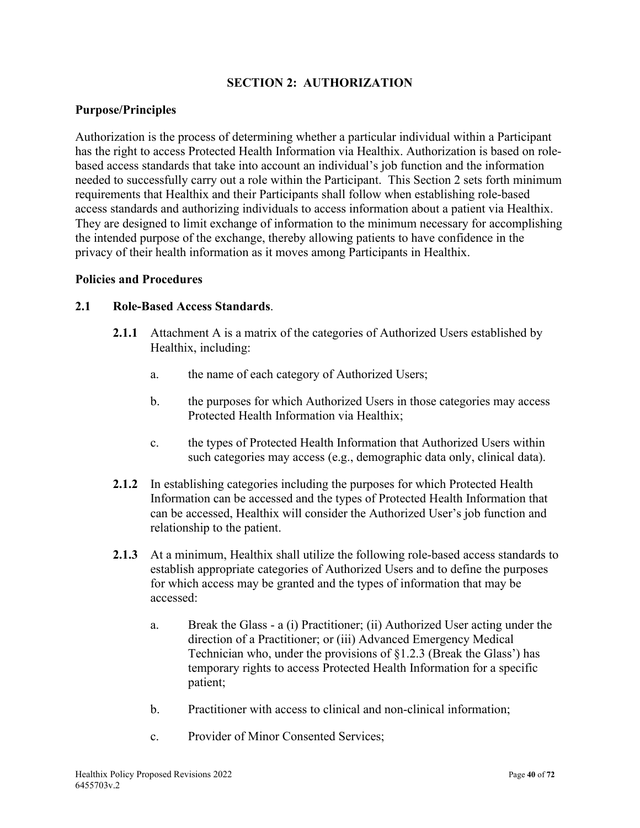## **SECTION 2: AUTHORIZATION**

### **Purpose/Principles**

Authorization is the process of determining whether a particular individual within a Participant has the right to access Protected Health Information via Healthix. Authorization is based on rolebased access standards that take into account an individual's job function and the information needed to successfully carry out a role within the Participant. This Section 2 sets forth minimum requirements that Healthix and their Participants shall follow when establishing role-based access standards and authorizing individuals to access information about a patient via Healthix. They are designed to limit exchange of information to the minimum necessary for accomplishing the intended purpose of the exchange, thereby allowing patients to have confidence in the privacy of their health information as it moves among Participants in Healthix.

#### **Policies and Procedures**

#### **2.1 Role-Based Access Standards**.

- **2.1.1** Attachment A is a matrix of the categories of Authorized Users established by Healthix, including:
	- a. the name of each category of Authorized Users;
	- b. the purposes for which Authorized Users in those categories may access Protected Health Information via Healthix;
	- c. the types of Protected Health Information that Authorized Users within such categories may access (e.g., demographic data only, clinical data).
- **2.1.2** In establishing categories including the purposes for which Protected Health Information can be accessed and the types of Protected Health Information that can be accessed, Healthix will consider the Authorized User's job function and relationship to the patient.
- **2.1.3** At a minimum, Healthix shall utilize the following role-based access standards to establish appropriate categories of Authorized Users and to define the purposes for which access may be granted and the types of information that may be accessed:
	- a. Break the Glass a (i) Practitioner; (ii) Authorized User acting under the direction of a Practitioner; or (iii) Advanced Emergency Medical Technician who, under the provisions of §1.2.3 (Break the Glass') has temporary rights to access Protected Health Information for a specific patient;
	- b. Practitioner with access to clinical and non-clinical information;
	- c. Provider of Minor Consented Services;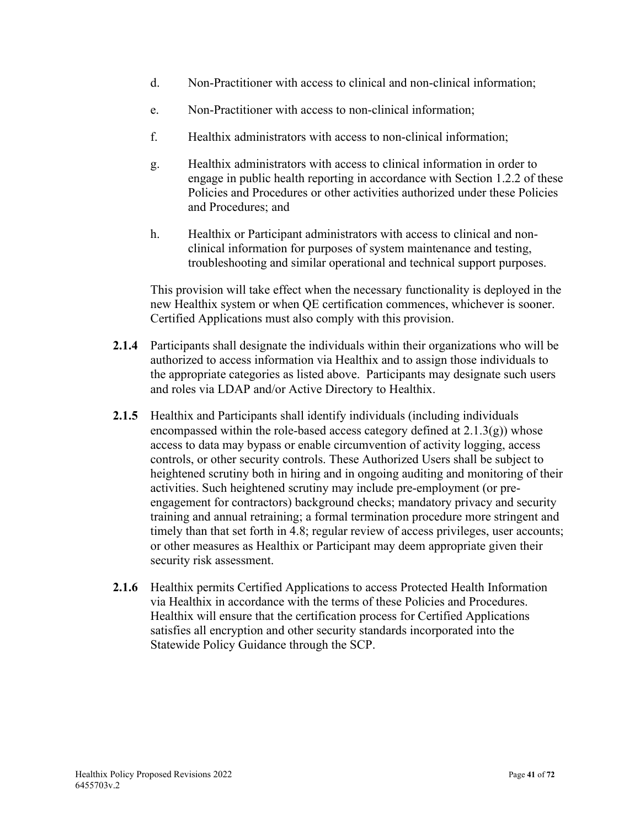- d. Non-Practitioner with access to clinical and non-clinical information;
- e. Non-Practitioner with access to non-clinical information;
- f. Healthix administrators with access to non-clinical information;
- g. Healthix administrators with access to clinical information in order to engage in public health reporting in accordance with Section 1.2.2 of these Policies and Procedures or other activities authorized under these Policies and Procedures; and
- h. Healthix or Participant administrators with access to clinical and nonclinical information for purposes of system maintenance and testing, troubleshooting and similar operational and technical support purposes.

This provision will take effect when the necessary functionality is deployed in the new Healthix system or when QE certification commences, whichever is sooner. Certified Applications must also comply with this provision.

- **2.1.4** Participants shall designate the individuals within their organizations who will be authorized to access information via Healthix and to assign those individuals to the appropriate categories as listed above. Participants may designate such users and roles via LDAP and/or Active Directory to Healthix.
- **2.1.5** Healthix and Participants shall identify individuals (including individuals encompassed within the role-based access category defined at  $2.1.3(g)$ ) whose access to data may bypass or enable circumvention of activity logging, access controls, or other security controls. These Authorized Users shall be subject to heightened scrutiny both in hiring and in ongoing auditing and monitoring of their activities. Such heightened scrutiny may include pre-employment (or preengagement for contractors) background checks; mandatory privacy and security training and annual retraining; a formal termination procedure more stringent and timely than that set forth in 4.8; regular review of access privileges, user accounts; or other measures as Healthix or Participant may deem appropriate given their security risk assessment.
- **2.1.6** Healthix permits Certified Applications to access Protected Health Information via Healthix in accordance with the terms of these Policies and Procedures. Healthix will ensure that the certification process for Certified Applications satisfies all encryption and other security standards incorporated into the Statewide Policy Guidance through the SCP.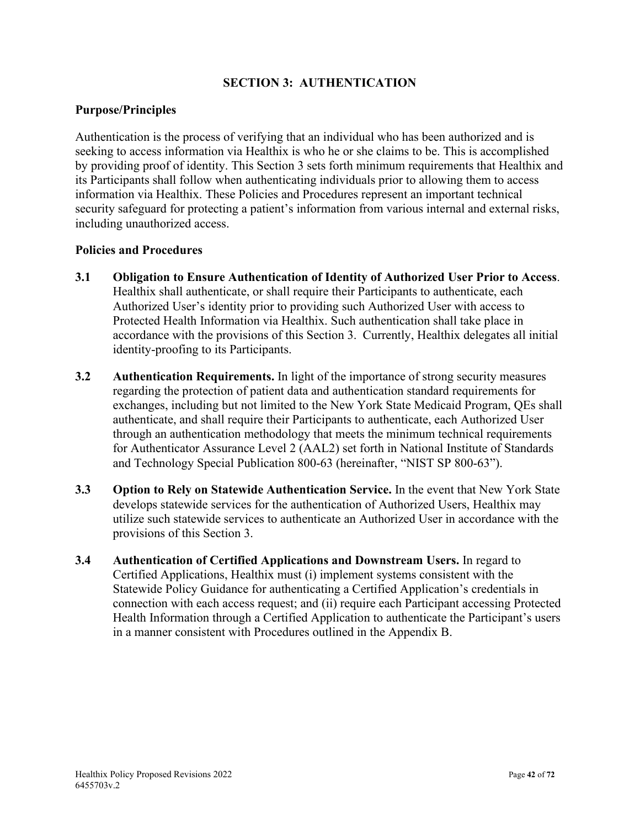## **SECTION 3: AUTHENTICATION**

## **Purpose/Principles**

Authentication is the process of verifying that an individual who has been authorized and is seeking to access information via Healthix is who he or she claims to be. This is accomplished by providing proof of identity. This Section 3 sets forth minimum requirements that Healthix and its Participants shall follow when authenticating individuals prior to allowing them to access information via Healthix. These Policies and Procedures represent an important technical security safeguard for protecting a patient's information from various internal and external risks, including unauthorized access.

- **3.1 Obligation to Ensure Authentication of Identity of Authorized User Prior to Access**. Healthix shall authenticate, or shall require their Participants to authenticate, each Authorized User's identity prior to providing such Authorized User with access to Protected Health Information via Healthix. Such authentication shall take place in accordance with the provisions of this Section 3. Currently, Healthix delegates all initial identity-proofing to its Participants.
- **3.2 Authentication Requirements.** In light of the importance of strong security measures regarding the protection of patient data and authentication standard requirements for exchanges, including but not limited to the New York State Medicaid Program, QEs shall authenticate, and shall require their Participants to authenticate, each Authorized User through an authentication methodology that meets the minimum technical requirements for Authenticator Assurance Level 2 (AAL2) set forth in National Institute of Standards and Technology Special Publication 800-63 (hereinafter, "NIST SP 800-63").
- **3.3 Option to Rely on Statewide Authentication Service.** In the event that New York State develops statewide services for the authentication of Authorized Users, Healthix may utilize such statewide services to authenticate an Authorized User in accordance with the provisions of this Section 3.
- **3.4 Authentication of Certified Applications and Downstream Users.** In regard to Certified Applications, Healthix must (i) implement systems consistent with the Statewide Policy Guidance for authenticating a Certified Application's credentials in connection with each access request; and (ii) require each Participant accessing Protected Health Information through a Certified Application to authenticate the Participant's users in a manner consistent with Procedures outlined in the Appendix B.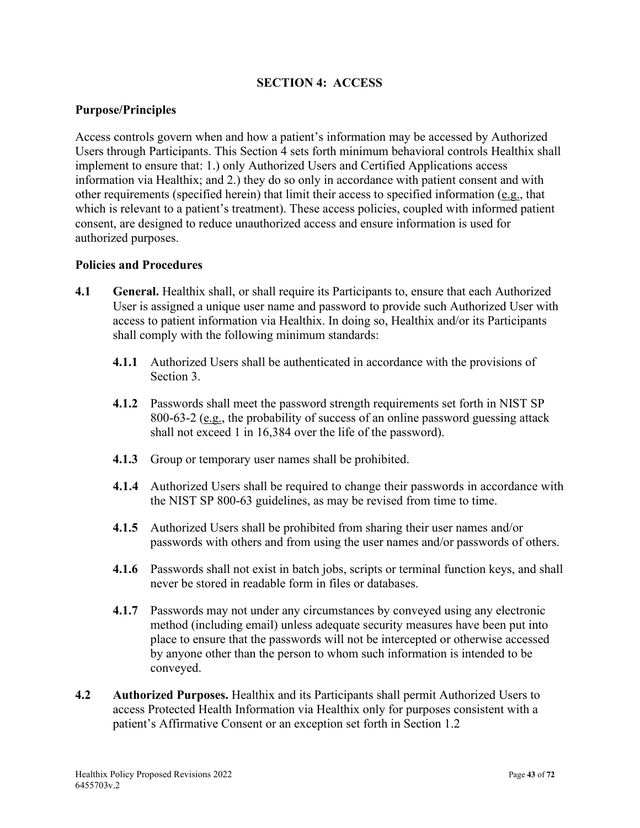## **SECTION 4: ACCESS**

## **Purpose/Principles**

Access controls govern when and how a patient's information may be accessed by Authorized Users through Participants. This Section 4 sets forth minimum behavioral controls Healthix shall implement to ensure that: 1.) only Authorized Users and Certified Applications access information via Healthix; and 2.) they do so only in accordance with patient consent and with other requirements (specified herein) that limit their access to specified information (e.g., that which is relevant to a patient's treatment). These access policies, coupled with informed patient consent, are designed to reduce unauthorized access and ensure information is used for authorized purposes.

- **4.1 General.** Healthix shall, or shall require its Participants to, ensure that each Authorized User is assigned a unique user name and password to provide such Authorized User with access to patient information via Healthix. In doing so, Healthix and/or its Participants shall comply with the following minimum standards:
	- **4.1.1** Authorized Users shall be authenticated in accordance with the provisions of Section 3.
	- **4.1.2** Passwords shall meet the password strength requirements set forth in NIST SP 800-63-2 (e.g., the probability of success of an online password guessing attack shall not exceed 1 in 16,384 over the life of the password).
	- **4.1.3** Group or temporary user names shall be prohibited.
	- **4.1.4** Authorized Users shall be required to change their passwords in accordance with the NIST SP 800-63 guidelines, as may be revised from time to time.
	- **4.1.5** Authorized Users shall be prohibited from sharing their user names and/or passwords with others and from using the user names and/or passwords of others.
	- **4.1.6** Passwords shall not exist in batch jobs, scripts or terminal function keys, and shall never be stored in readable form in files or databases.
	- **4.1.7** Passwords may not under any circumstances by conveyed using any electronic method (including email) unless adequate security measures have been put into place to ensure that the passwords will not be intercepted or otherwise accessed by anyone other than the person to whom such information is intended to be conveyed.
- **4.2 Authorized Purposes.** Healthix and its Participants shall permit Authorized Users to access Protected Health Information via Healthix only for purposes consistent with a patient's Affirmative Consent or an exception set forth in Section 1.2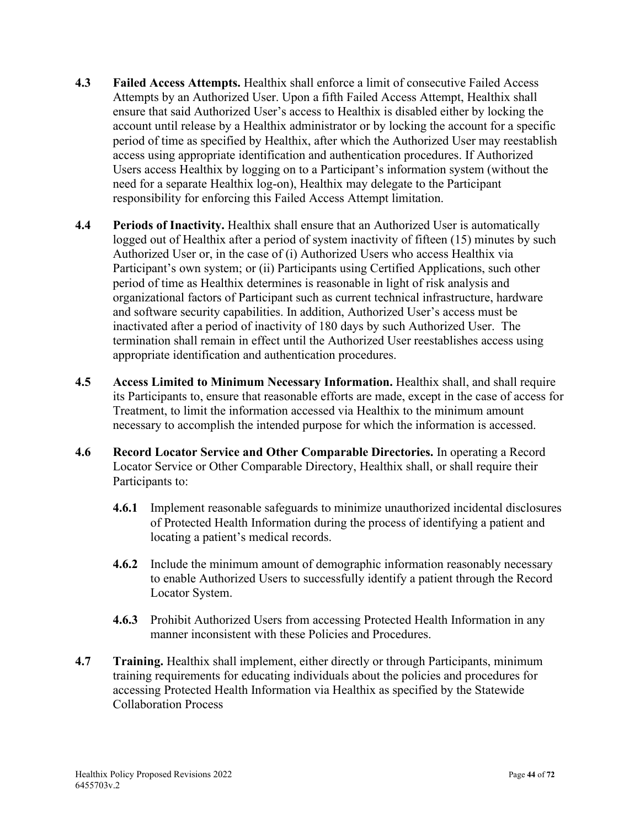- **4.3 Failed Access Attempts.** Healthix shall enforce a limit of consecutive Failed Access Attempts by an Authorized User. Upon a fifth Failed Access Attempt, Healthix shall ensure that said Authorized User's access to Healthix is disabled either by locking the account until release by a Healthix administrator or by locking the account for a specific period of time as specified by Healthix, after which the Authorized User may reestablish access using appropriate identification and authentication procedures. If Authorized Users access Healthix by logging on to a Participant's information system (without the need for a separate Healthix log-on), Healthix may delegate to the Participant responsibility for enforcing this Failed Access Attempt limitation.
- **4.4 Periods of Inactivity.** Healthix shall ensure that an Authorized User is automatically logged out of Healthix after a period of system inactivity of fifteen (15) minutes by such Authorized User or, in the case of (i) Authorized Users who access Healthix via Participant's own system; or (ii) Participants using Certified Applications, such other period of time as Healthix determines is reasonable in light of risk analysis and organizational factors of Participant such as current technical infrastructure, hardware and software security capabilities. In addition, Authorized User's access must be inactivated after a period of inactivity of 180 days by such Authorized User. The termination shall remain in effect until the Authorized User reestablishes access using appropriate identification and authentication procedures.
- **4.5 Access Limited to Minimum Necessary Information.** Healthix shall, and shall require its Participants to, ensure that reasonable efforts are made, except in the case of access for Treatment, to limit the information accessed via Healthix to the minimum amount necessary to accomplish the intended purpose for which the information is accessed.
- **4.6 Record Locator Service and Other Comparable Directories.** In operating a Record Locator Service or Other Comparable Directory, Healthix shall, or shall require their Participants to:
	- **4.6.1** Implement reasonable safeguards to minimize unauthorized incidental disclosures of Protected Health Information during the process of identifying a patient and locating a patient's medical records.
	- **4.6.2** Include the minimum amount of demographic information reasonably necessary to enable Authorized Users to successfully identify a patient through the Record Locator System.
	- **4.6.3** Prohibit Authorized Users from accessing Protected Health Information in any manner inconsistent with these Policies and Procedures.
- **4.7 Training.** Healthix shall implement, either directly or through Participants, minimum training requirements for educating individuals about the policies and procedures for accessing Protected Health Information via Healthix as specified by the Statewide Collaboration Process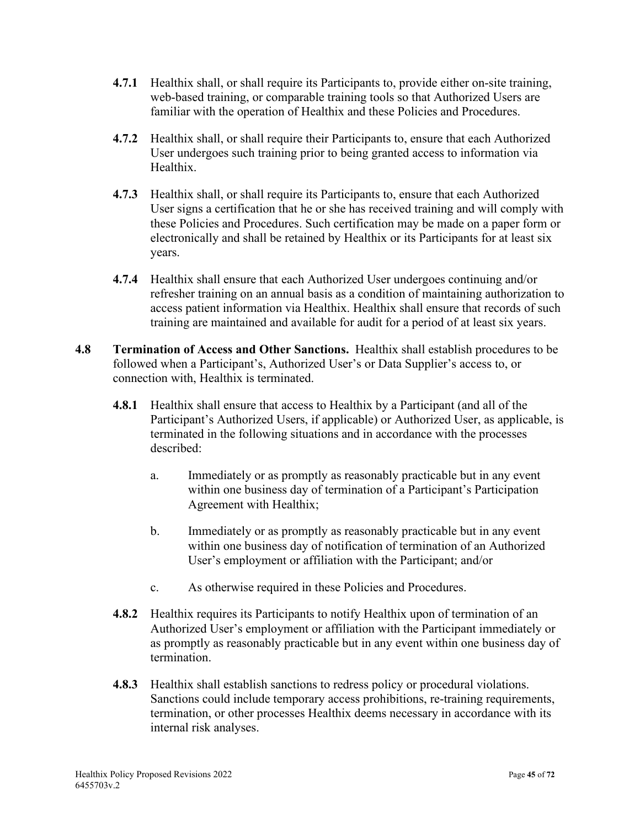- **4.7.1** Healthix shall, or shall require its Participants to, provide either on-site training, web-based training, or comparable training tools so that Authorized Users are familiar with the operation of Healthix and these Policies and Procedures.
- **4.7.2** Healthix shall, or shall require their Participants to, ensure that each Authorized User undergoes such training prior to being granted access to information via Healthix.
- **4.7.3** Healthix shall, or shall require its Participants to, ensure that each Authorized User signs a certification that he or she has received training and will comply with these Policies and Procedures. Such certification may be made on a paper form or electronically and shall be retained by Healthix or its Participants for at least six years.
- **4.7.4** Healthix shall ensure that each Authorized User undergoes continuing and/or refresher training on an annual basis as a condition of maintaining authorization to access patient information via Healthix. Healthix shall ensure that records of such training are maintained and available for audit for a period of at least six years.
- **4.8 Termination of Access and Other Sanctions.** Healthix shall establish procedures to be followed when a Participant's, Authorized User's or Data Supplier's access to, or connection with, Healthix is terminated.
	- **4.8.1** Healthix shall ensure that access to Healthix by a Participant (and all of the Participant's Authorized Users, if applicable) or Authorized User, as applicable, is terminated in the following situations and in accordance with the processes described:
		- a. Immediately or as promptly as reasonably practicable but in any event within one business day of termination of a Participant's Participation Agreement with Healthix;
		- b. Immediately or as promptly as reasonably practicable but in any event within one business day of notification of termination of an Authorized User's employment or affiliation with the Participant; and/or
		- c. As otherwise required in these Policies and Procedures.
	- **4.8.2** Healthix requires its Participants to notify Healthix upon of termination of an Authorized User's employment or affiliation with the Participant immediately or as promptly as reasonably practicable but in any event within one business day of termination.
	- **4.8.3** Healthix shall establish sanctions to redress policy or procedural violations. Sanctions could include temporary access prohibitions, re-training requirements, termination, or other processes Healthix deems necessary in accordance with its internal risk analyses.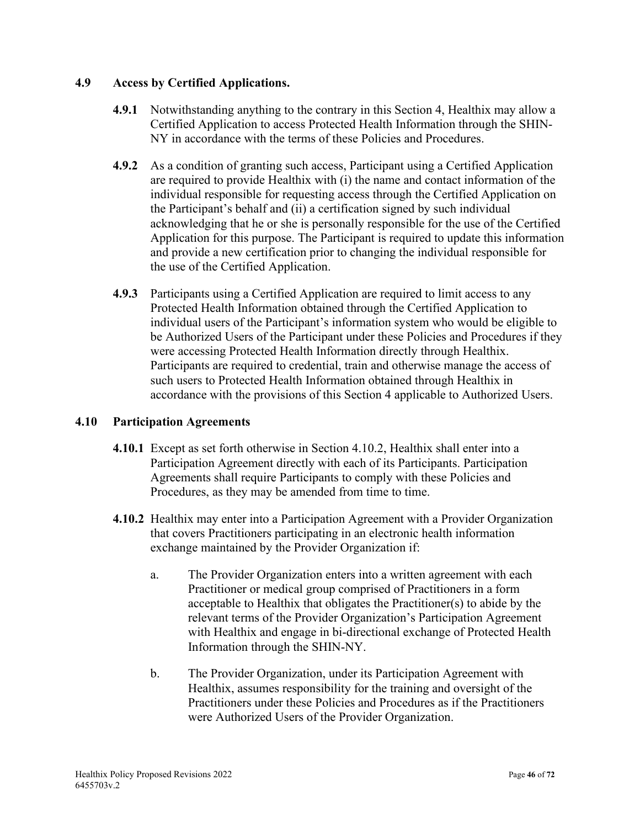## **4.9 Access by Certified Applications.**

- **4.9.1** Notwithstanding anything to the contrary in this Section 4, Healthix may allow a Certified Application to access Protected Health Information through the SHIN-NY in accordance with the terms of these Policies and Procedures.
- **4.9.2** As a condition of granting such access, Participant using a Certified Application are required to provide Healthix with (i) the name and contact information of the individual responsible for requesting access through the Certified Application on the Participant's behalf and (ii) a certification signed by such individual acknowledging that he or she is personally responsible for the use of the Certified Application for this purpose. The Participant is required to update this information and provide a new certification prior to changing the individual responsible for the use of the Certified Application.
- **4.9.3** Participants using a Certified Application are required to limit access to any Protected Health Information obtained through the Certified Application to individual users of the Participant's information system who would be eligible to be Authorized Users of the Participant under these Policies and Procedures if they were accessing Protected Health Information directly through Healthix. Participants are required to credential, train and otherwise manage the access of such users to Protected Health Information obtained through Healthix in accordance with the provisions of this Section 4 applicable to Authorized Users.

## **4.10 Participation Agreements**

- **4.10.1** Except as set forth otherwise in Section 4.10.2, Healthix shall enter into a Participation Agreement directly with each of its Participants. Participation Agreements shall require Participants to comply with these Policies and Procedures, as they may be amended from time to time.
- **4.10.2** Healthix may enter into a Participation Agreement with a Provider Organization that covers Practitioners participating in an electronic health information exchange maintained by the Provider Organization if:
	- a. The Provider Organization enters into a written agreement with each Practitioner or medical group comprised of Practitioners in a form acceptable to Healthix that obligates the Practitioner(s) to abide by the relevant terms of the Provider Organization's Participation Agreement with Healthix and engage in bi-directional exchange of Protected Health Information through the SHIN-NY.
	- b. The Provider Organization, under its Participation Agreement with Healthix, assumes responsibility for the training and oversight of the Practitioners under these Policies and Procedures as if the Practitioners were Authorized Users of the Provider Organization.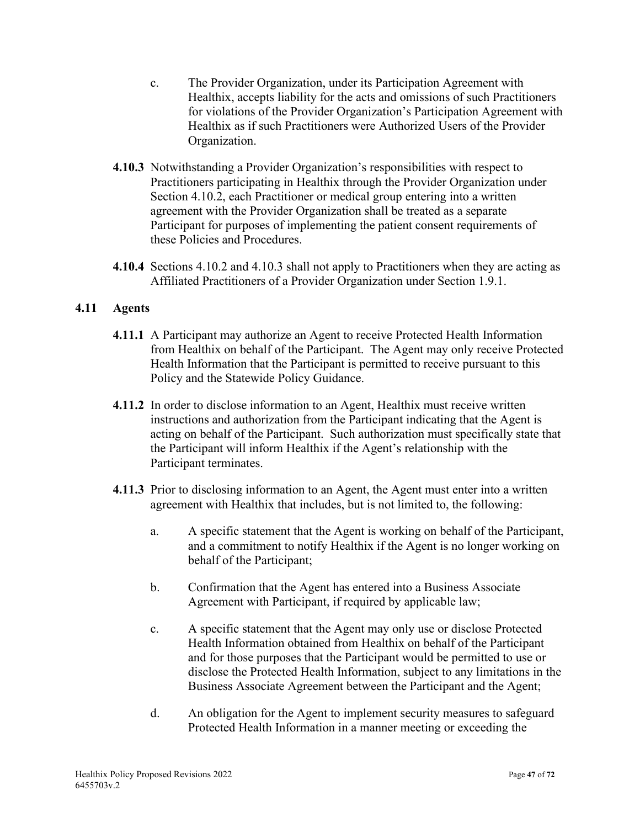- c. The Provider Organization, under its Participation Agreement with Healthix, accepts liability for the acts and omissions of such Practitioners for violations of the Provider Organization's Participation Agreement with Healthix as if such Practitioners were Authorized Users of the Provider Organization.
- **4.10.3** Notwithstanding a Provider Organization's responsibilities with respect to Practitioners participating in Healthix through the Provider Organization under Section 4.10.2, each Practitioner or medical group entering into a written agreement with the Provider Organization shall be treated as a separate Participant for purposes of implementing the patient consent requirements of these Policies and Procedures.
- **4.10.4** Sections 4.10.2 and 4.10.3 shall not apply to Practitioners when they are acting as Affiliated Practitioners of a Provider Organization under Section 1.9.1.

## **4.11 Agents**

- **4.11.1** A Participant may authorize an Agent to receive Protected Health Information from Healthix on behalf of the Participant. The Agent may only receive Protected Health Information that the Participant is permitted to receive pursuant to this Policy and the Statewide Policy Guidance.
- **4.11.2** In order to disclose information to an Agent, Healthix must receive written instructions and authorization from the Participant indicating that the Agent is acting on behalf of the Participant. Such authorization must specifically state that the Participant will inform Healthix if the Agent's relationship with the Participant terminates.
- **4.11.3** Prior to disclosing information to an Agent, the Agent must enter into a written agreement with Healthix that includes, but is not limited to, the following:
	- a. A specific statement that the Agent is working on behalf of the Participant, and a commitment to notify Healthix if the Agent is no longer working on behalf of the Participant;
	- b. Confirmation that the Agent has entered into a Business Associate Agreement with Participant, if required by applicable law;
	- c. A specific statement that the Agent may only use or disclose Protected Health Information obtained from Healthix on behalf of the Participant and for those purposes that the Participant would be permitted to use or disclose the Protected Health Information, subject to any limitations in the Business Associate Agreement between the Participant and the Agent;
	- d. An obligation for the Agent to implement security measures to safeguard Protected Health Information in a manner meeting or exceeding the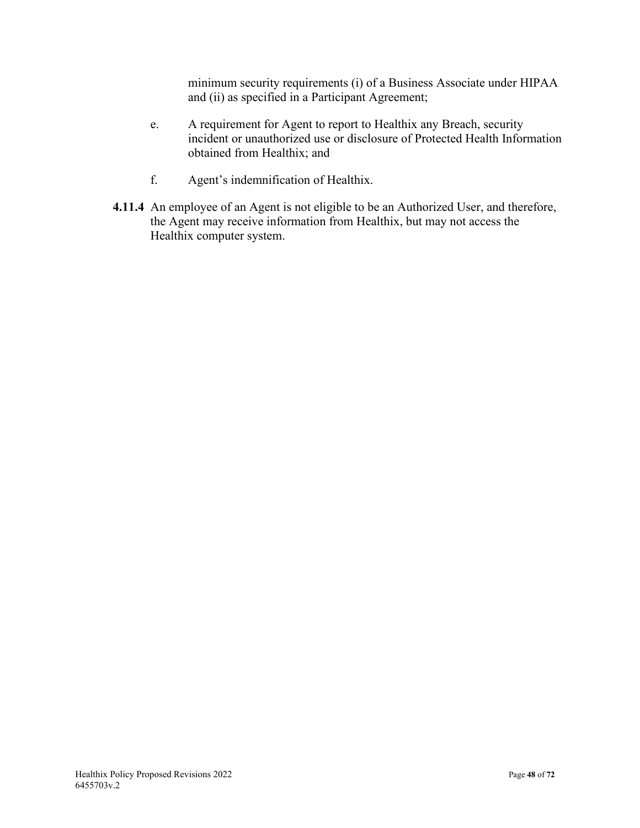minimum security requirements (i) of a Business Associate under HIPAA and (ii) as specified in a Participant Agreement;

- e. A requirement for Agent to report to Healthix any Breach, security incident or unauthorized use or disclosure of Protected Health Information obtained from Healthix; and
- f. Agent's indemnification of Healthix.
- **4.11.4** An employee of an Agent is not eligible to be an Authorized User, and therefore, the Agent may receive information from Healthix, but may not access the Healthix computer system.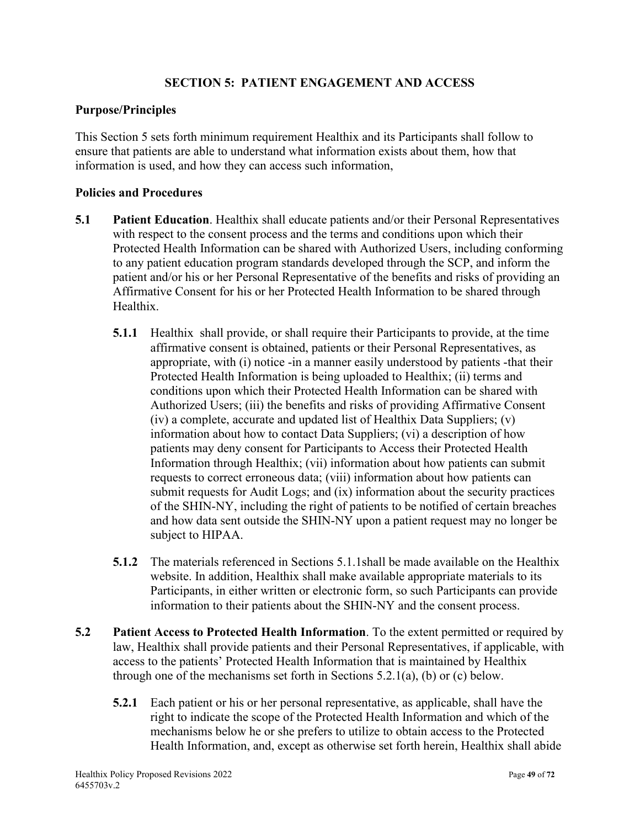## **SECTION 5: PATIENT ENGAGEMENT AND ACCESS**

### **Purpose/Principles**

This Section 5 sets forth minimum requirement Healthix and its Participants shall follow to ensure that patients are able to understand what information exists about them, how that information is used, and how they can access such information,

- **5.1 Patient Education**. Healthix shall educate patients and/or their Personal Representatives with respect to the consent process and the terms and conditions upon which their Protected Health Information can be shared with Authorized Users, including conforming to any patient education program standards developed through the SCP, and inform the patient and/or his or her Personal Representative of the benefits and risks of providing an Affirmative Consent for his or her Protected Health Information to be shared through Healthix.
	- **5.1.1** Healthix shall provide, or shall require their Participants to provide, at the time affirmative consent is obtained, patients or their Personal Representatives, as appropriate, with (i) notice -in a manner easily understood by patients -that their Protected Health Information is being uploaded to Healthix; (ii) terms and conditions upon which their Protected Health Information can be shared with Authorized Users; (iii) the benefits and risks of providing Affirmative Consent (iv) a complete, accurate and updated list of Healthix Data Suppliers; (v) information about how to contact Data Suppliers; (vi) a description of how patients may deny consent for Participants to Access their Protected Health Information through Healthix; (vii) information about how patients can submit requests to correct erroneous data; (viii) information about how patients can submit requests for Audit Logs; and (ix) information about the security practices of the SHIN-NY, including the right of patients to be notified of certain breaches and how data sent outside the SHIN-NY upon a patient request may no longer be subject to HIPAA.
	- **5.1.2** The materials referenced in Sections 5.1.1shall be made available on the Healthix website. In addition, Healthix shall make available appropriate materials to its Participants, in either written or electronic form, so such Participants can provide information to their patients about the SHIN-NY and the consent process.
- **5.2 Patient Access to Protected Health Information**. To the extent permitted or required by law, Healthix shall provide patients and their Personal Representatives, if applicable, with access to the patients' Protected Health Information that is maintained by Healthix through one of the mechanisms set forth in Sections 5.2.1(a), (b) or (c) below.
	- **5.2.1** Each patient or his or her personal representative, as applicable, shall have the right to indicate the scope of the Protected Health Information and which of the mechanisms below he or she prefers to utilize to obtain access to the Protected Health Information, and, except as otherwise set forth herein, Healthix shall abide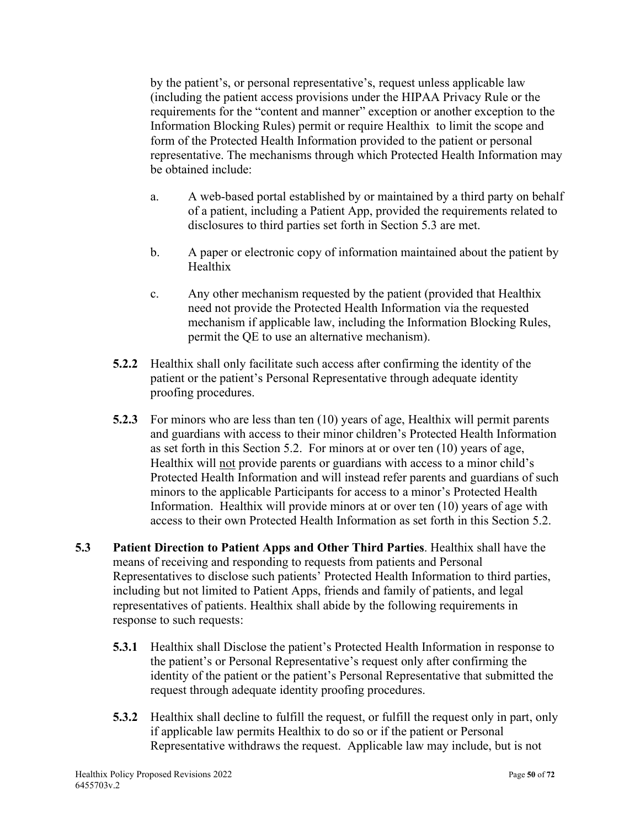by the patient's, or personal representative's, request unless applicable law (including the patient access provisions under the HIPAA Privacy Rule or the requirements for the "content and manner" exception or another exception to the Information Blocking Rules) permit or require Healthix to limit the scope and form of the Protected Health Information provided to the patient or personal representative. The mechanisms through which Protected Health Information may be obtained include:

- a. A web-based portal established by or maintained by a third party on behalf of a patient, including a Patient App, provided the requirements related to disclosures to third parties set forth in Section 5.3 are met.
- b. A paper or electronic copy of information maintained about the patient by Healthix
- c. Any other mechanism requested by the patient (provided that Healthix need not provide the Protected Health Information via the requested mechanism if applicable law, including the Information Blocking Rules, permit the QE to use an alternative mechanism).
- **5.2.2** Healthix shall only facilitate such access after confirming the identity of the patient or the patient's Personal Representative through adequate identity proofing procedures.
- **5.2.3** For minors who are less than ten (10) years of age, Healthix will permit parents and guardians with access to their minor children's Protected Health Information as set forth in this Section 5.2. For minors at or over ten (10) years of age, Healthix will not provide parents or guardians with access to a minor child's Protected Health Information and will instead refer parents and guardians of such minors to the applicable Participants for access to a minor's Protected Health Information. Healthix will provide minors at or over ten (10) years of age with access to their own Protected Health Information as set forth in this Section 5.2.
- **5.3 Patient Direction to Patient Apps and Other Third Parties**. Healthix shall have the means of receiving and responding to requests from patients and Personal Representatives to disclose such patients' Protected Health Information to third parties, including but not limited to Patient Apps, friends and family of patients, and legal representatives of patients. Healthix shall abide by the following requirements in response to such requests:
	- **5.3.1** Healthix shall Disclose the patient's Protected Health Information in response to the patient's or Personal Representative's request only after confirming the identity of the patient or the patient's Personal Representative that submitted the request through adequate identity proofing procedures.
	- **5.3.2** Healthix shall decline to fulfill the request, or fulfill the request only in part, only if applicable law permits Healthix to do so or if the patient or Personal Representative withdraws the request. Applicable law may include, but is not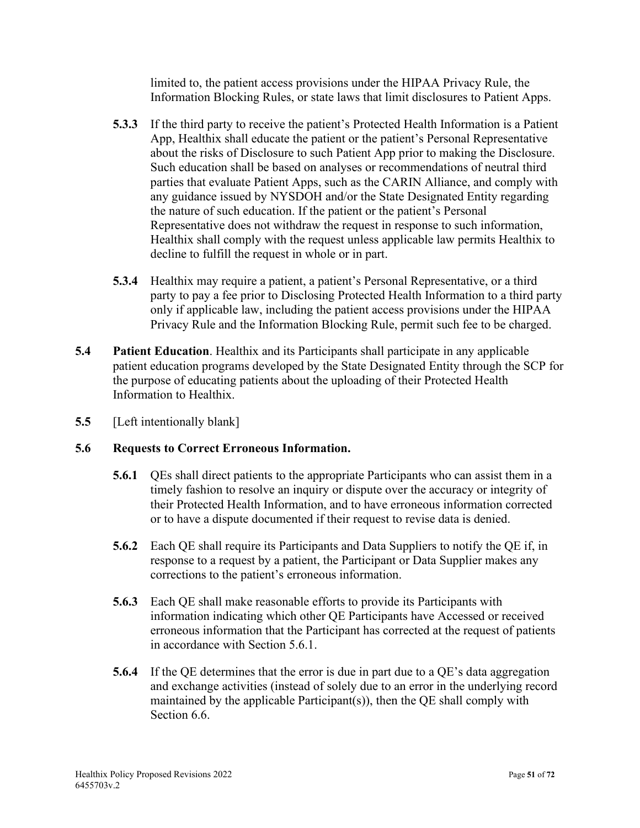limited to, the patient access provisions under the HIPAA Privacy Rule, the Information Blocking Rules, or state laws that limit disclosures to Patient Apps.

- **5.3.3** If the third party to receive the patient's Protected Health Information is a Patient App, Healthix shall educate the patient or the patient's Personal Representative about the risks of Disclosure to such Patient App prior to making the Disclosure. Such education shall be based on analyses or recommendations of neutral third parties that evaluate Patient Apps, such as the CARIN Alliance, and comply with any guidance issued by NYSDOH and/or the State Designated Entity regarding the nature of such education. If the patient or the patient's Personal Representative does not withdraw the request in response to such information, Healthix shall comply with the request unless applicable law permits Healthix to decline to fulfill the request in whole or in part.
- **5.3.4** Healthix may require a patient, a patient's Personal Representative, or a third party to pay a fee prior to Disclosing Protected Health Information to a third party only if applicable law, including the patient access provisions under the HIPAA Privacy Rule and the Information Blocking Rule, permit such fee to be charged.
- **5.4 Patient Education**. Healthix and its Participants shall participate in any applicable patient education programs developed by the State Designated Entity through the SCP for the purpose of educating patients about the uploading of their Protected Health Information to Healthix.
- **5.5** [Left intentionally blank]

## **5.6 Requests to Correct Erroneous Information.**

- **5.6.1** QEs shall direct patients to the appropriate Participants who can assist them in a timely fashion to resolve an inquiry or dispute over the accuracy or integrity of their Protected Health Information, and to have erroneous information corrected or to have a dispute documented if their request to revise data is denied.
- **5.6.2** Each QE shall require its Participants and Data Suppliers to notify the QE if, in response to a request by a patient, the Participant or Data Supplier makes any corrections to the patient's erroneous information.
- **5.6.3** Each QE shall make reasonable efforts to provide its Participants with information indicating which other QE Participants have Accessed or received erroneous information that the Participant has corrected at the request of patients in accordance with Section 5.6.1.
- **5.6.4** If the QE determines that the error is due in part due to a QE's data aggregation and exchange activities (instead of solely due to an error in the underlying record maintained by the applicable Participant(s)), then the QE shall comply with Section 6.6.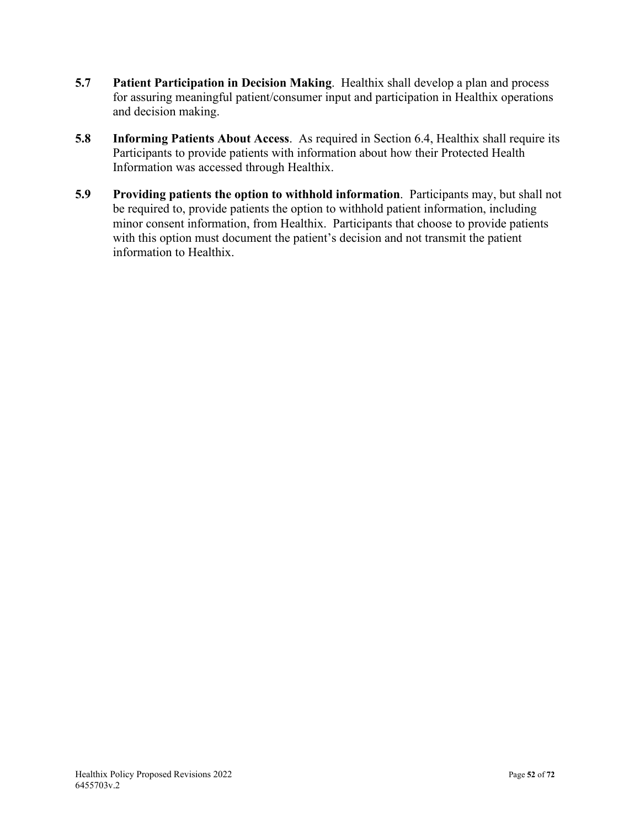- **5.7 Patient Participation in Decision Making**. Healthix shall develop a plan and process for assuring meaningful patient/consumer input and participation in Healthix operations and decision making.
- **5.8 Informing Patients About Access**. As required in Section 6.4, Healthix shall require its Participants to provide patients with information about how their Protected Health Information was accessed through Healthix.
- **5.9 Providing patients the option to withhold information**. Participants may, but shall not be required to, provide patients the option to withhold patient information, including minor consent information, from Healthix. Participants that choose to provide patients with this option must document the patient's decision and not transmit the patient information to Healthix.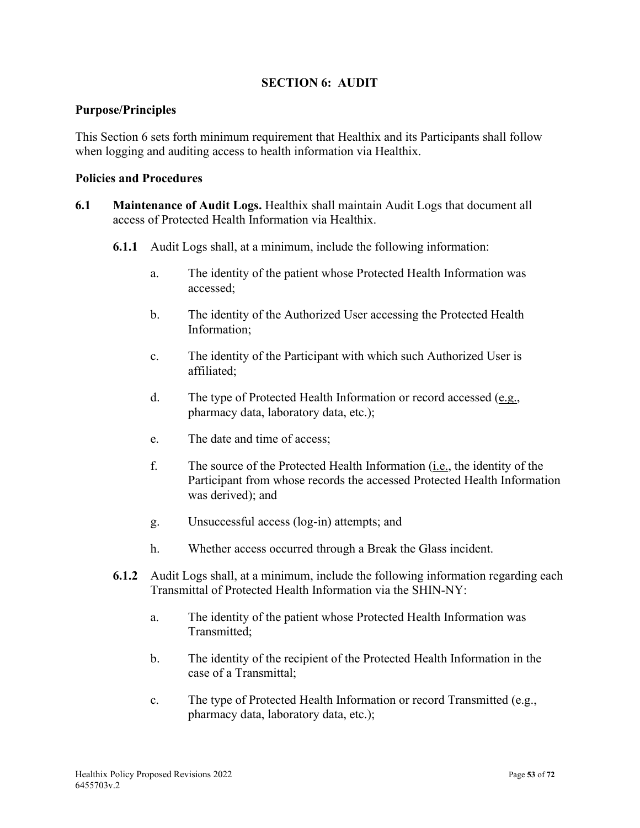## **SECTION 6: AUDIT**

### **Purpose/Principles**

This Section 6 sets forth minimum requirement that Healthix and its Participants shall follow when logging and auditing access to health information via Healthix.

- **6.1 Maintenance of Audit Logs.** Healthix shall maintain Audit Logs that document all access of Protected Health Information via Healthix.
	- **6.1.1** Audit Logs shall, at a minimum, include the following information:
		- a. The identity of the patient whose Protected Health Information was accessed;
		- b. The identity of the Authorized User accessing the Protected Health Information;
		- c. The identity of the Participant with which such Authorized User is affiliated;
		- d. The type of Protected Health Information or record accessed (e.g., pharmacy data, laboratory data, etc.);
		- e. The date and time of access;
		- f. The source of the Protected Health Information (i.e., the identity of the Participant from whose records the accessed Protected Health Information was derived); and
		- g. Unsuccessful access (log-in) attempts; and
		- h. Whether access occurred through a Break the Glass incident.
	- **6.1.2** Audit Logs shall, at a minimum, include the following information regarding each Transmittal of Protected Health Information via the SHIN-NY:
		- a. The identity of the patient whose Protected Health Information was Transmitted;
		- b. The identity of the recipient of the Protected Health Information in the case of a Transmittal;
		- c. The type of Protected Health Information or record Transmitted (e.g., pharmacy data, laboratory data, etc.);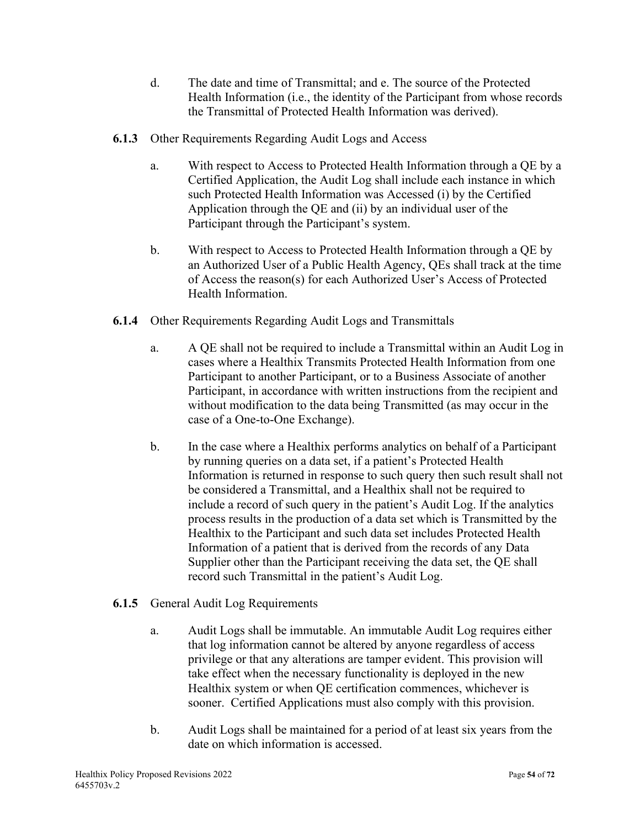- d. The date and time of Transmittal; and e. The source of the Protected Health Information (i.e., the identity of the Participant from whose records the Transmittal of Protected Health Information was derived).
- **6.1.3** Other Requirements Regarding Audit Logs and Access
	- a. With respect to Access to Protected Health Information through a QE by a Certified Application, the Audit Log shall include each instance in which such Protected Health Information was Accessed (i) by the Certified Application through the QE and (ii) by an individual user of the Participant through the Participant's system.
	- b. With respect to Access to Protected Health Information through a QE by an Authorized User of a Public Health Agency, QEs shall track at the time of Access the reason(s) for each Authorized User's Access of Protected Health Information.
- **6.1.4** Other Requirements Regarding Audit Logs and Transmittals
	- a. A QE shall not be required to include a Transmittal within an Audit Log in cases where a Healthix Transmits Protected Health Information from one Participant to another Participant, or to a Business Associate of another Participant, in accordance with written instructions from the recipient and without modification to the data being Transmitted (as may occur in the case of a One-to-One Exchange).
	- b. In the case where a Healthix performs analytics on behalf of a Participant by running queries on a data set, if a patient's Protected Health Information is returned in response to such query then such result shall not be considered a Transmittal, and a Healthix shall not be required to include a record of such query in the patient's Audit Log. If the analytics process results in the production of a data set which is Transmitted by the Healthix to the Participant and such data set includes Protected Health Information of a patient that is derived from the records of any Data Supplier other than the Participant receiving the data set, the QE shall record such Transmittal in the patient's Audit Log.
- **6.1.5** General Audit Log Requirements
	- a. Audit Logs shall be immutable. An immutable Audit Log requires either that log information cannot be altered by anyone regardless of access privilege or that any alterations are tamper evident. This provision will take effect when the necessary functionality is deployed in the new Healthix system or when QE certification commences, whichever is sooner. Certified Applications must also comply with this provision.
	- b. Audit Logs shall be maintained for a period of at least six years from the date on which information is accessed.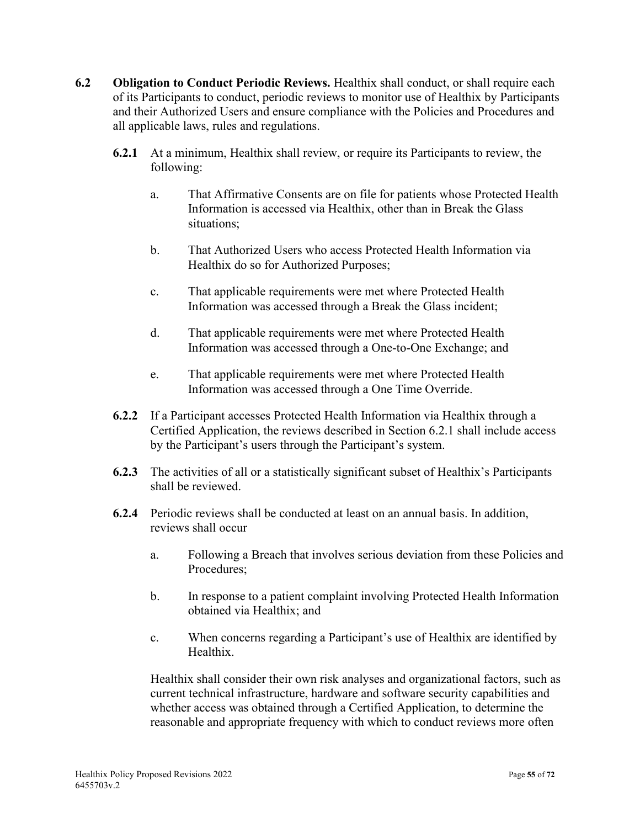- **6.2 Obligation to Conduct Periodic Reviews.** Healthix shall conduct, or shall require each of its Participants to conduct, periodic reviews to monitor use of Healthix by Participants and their Authorized Users and ensure compliance with the Policies and Procedures and all applicable laws, rules and regulations.
	- **6.2.1** At a minimum, Healthix shall review, or require its Participants to review, the following:
		- a. That Affirmative Consents are on file for patients whose Protected Health Information is accessed via Healthix, other than in Break the Glass situations;
		- b. That Authorized Users who access Protected Health Information via Healthix do so for Authorized Purposes;
		- c. That applicable requirements were met where Protected Health Information was accessed through a Break the Glass incident;
		- d. That applicable requirements were met where Protected Health Information was accessed through a One-to-One Exchange; and
		- e. That applicable requirements were met where Protected Health Information was accessed through a One Time Override.
	- **6.2.2** If a Participant accesses Protected Health Information via Healthix through a Certified Application, the reviews described in Section 6.2.1 shall include access by the Participant's users through the Participant's system.
	- **6.2.3** The activities of all or a statistically significant subset of Healthix's Participants shall be reviewed.
	- **6.2.4** Periodic reviews shall be conducted at least on an annual basis. In addition, reviews shall occur
		- a. Following a Breach that involves serious deviation from these Policies and Procedures;
		- b. In response to a patient complaint involving Protected Health Information obtained via Healthix; and
		- c. When concerns regarding a Participant's use of Healthix are identified by Healthix.

Healthix shall consider their own risk analyses and organizational factors, such as current technical infrastructure, hardware and software security capabilities and whether access was obtained through a Certified Application, to determine the reasonable and appropriate frequency with which to conduct reviews more often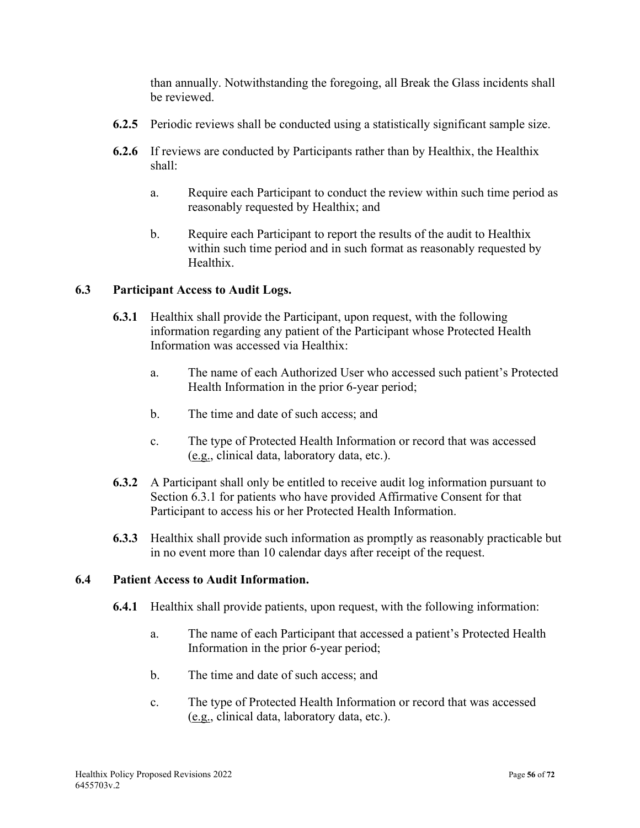than annually. Notwithstanding the foregoing, all Break the Glass incidents shall be reviewed.

- **6.2.5** Periodic reviews shall be conducted using a statistically significant sample size.
- **6.2.6** If reviews are conducted by Participants rather than by Healthix, the Healthix shall:
	- a. Require each Participant to conduct the review within such time period as reasonably requested by Healthix; and
	- b. Require each Participant to report the results of the audit to Healthix within such time period and in such format as reasonably requested by Healthix.

## **6.3 Participant Access to Audit Logs.**

- **6.3.1** Healthix shall provide the Participant, upon request, with the following information regarding any patient of the Participant whose Protected Health Information was accessed via Healthix:
	- a. The name of each Authorized User who accessed such patient's Protected Health Information in the prior 6-year period;
	- b. The time and date of such access; and
	- c. The type of Protected Health Information or record that was accessed (e.g., clinical data, laboratory data, etc.).
- **6.3.2** A Participant shall only be entitled to receive audit log information pursuant to Section 6.3.1 for patients who have provided Affirmative Consent for that Participant to access his or her Protected Health Information.
- **6.3.3** Healthix shall provide such information as promptly as reasonably practicable but in no event more than 10 calendar days after receipt of the request.

## **6.4 Patient Access to Audit Information.**

- **6.4.1** Healthix shall provide patients, upon request, with the following information:
	- a. The name of each Participant that accessed a patient's Protected Health Information in the prior 6-year period;
	- b. The time and date of such access; and
	- c. The type of Protected Health Information or record that was accessed (e.g., clinical data, laboratory data, etc.).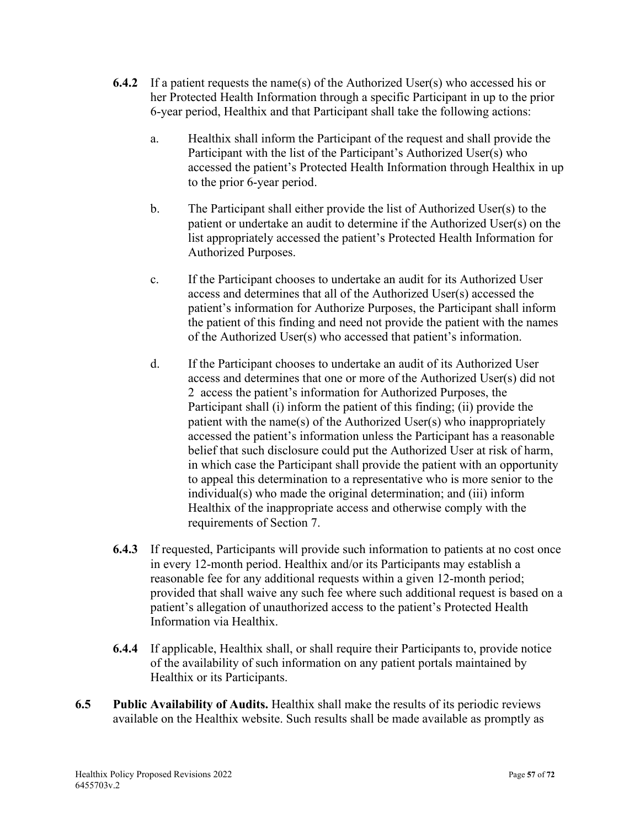- **6.4.2** If a patient requests the name(s) of the Authorized User(s) who accessed his or her Protected Health Information through a specific Participant in up to the prior 6-year period, Healthix and that Participant shall take the following actions:
	- a. Healthix shall inform the Participant of the request and shall provide the Participant with the list of the Participant's Authorized User(s) who accessed the patient's Protected Health Information through Healthix in up to the prior 6-year period.
	- b. The Participant shall either provide the list of Authorized User(s) to the patient or undertake an audit to determine if the Authorized User(s) on the list appropriately accessed the patient's Protected Health Information for Authorized Purposes.
	- c. If the Participant chooses to undertake an audit for its Authorized User access and determines that all of the Authorized User(s) accessed the patient's information for Authorize Purposes, the Participant shall inform the patient of this finding and need not provide the patient with the names of the Authorized User(s) who accessed that patient's information.
	- d. If the Participant chooses to undertake an audit of its Authorized User access and determines that one or more of the Authorized User(s) did not 2 access the patient's information for Authorized Purposes, the Participant shall (i) inform the patient of this finding; (ii) provide the patient with the name(s) of the Authorized User(s) who inappropriately accessed the patient's information unless the Participant has a reasonable belief that such disclosure could put the Authorized User at risk of harm, in which case the Participant shall provide the patient with an opportunity to appeal this determination to a representative who is more senior to the individual(s) who made the original determination; and (iii) inform Healthix of the inappropriate access and otherwise comply with the requirements of Section 7.
- **6.4.3** If requested, Participants will provide such information to patients at no cost once in every 12-month period. Healthix and/or its Participants may establish a reasonable fee for any additional requests within a given 12-month period; provided that shall waive any such fee where such additional request is based on a patient's allegation of unauthorized access to the patient's Protected Health Information via Healthix.
- **6.4.4** If applicable, Healthix shall, or shall require their Participants to, provide notice of the availability of such information on any patient portals maintained by Healthix or its Participants.
- **6.5 Public Availability of Audits.** Healthix shall make the results of its periodic reviews available on the Healthix website. Such results shall be made available as promptly as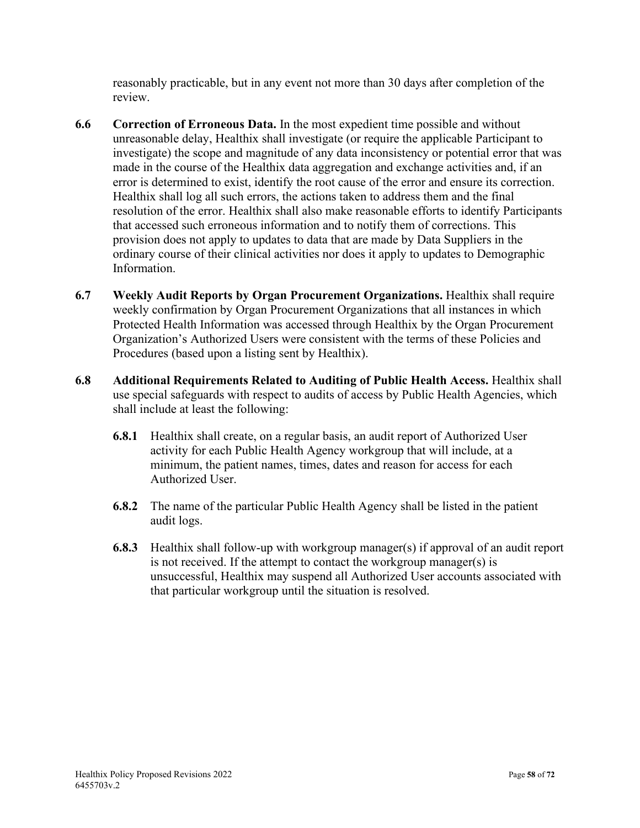reasonably practicable, but in any event not more than 30 days after completion of the review.

- **6.6 Correction of Erroneous Data.** In the most expedient time possible and without unreasonable delay, Healthix shall investigate (or require the applicable Participant to investigate) the scope and magnitude of any data inconsistency or potential error that was made in the course of the Healthix data aggregation and exchange activities and, if an error is determined to exist, identify the root cause of the error and ensure its correction. Healthix shall log all such errors, the actions taken to address them and the final resolution of the error. Healthix shall also make reasonable efforts to identify Participants that accessed such erroneous information and to notify them of corrections. This provision does not apply to updates to data that are made by Data Suppliers in the ordinary course of their clinical activities nor does it apply to updates to Demographic Information.
- **6.7 Weekly Audit Reports by Organ Procurement Organizations.** Healthix shall require weekly confirmation by Organ Procurement Organizations that all instances in which Protected Health Information was accessed through Healthix by the Organ Procurement Organization's Authorized Users were consistent with the terms of these Policies and Procedures (based upon a listing sent by Healthix).
- **6.8 Additional Requirements Related to Auditing of Public Health Access.** Healthix shall use special safeguards with respect to audits of access by Public Health Agencies, which shall include at least the following:
	- **6.8.1** Healthix shall create, on a regular basis, an audit report of Authorized User activity for each Public Health Agency workgroup that will include, at a minimum, the patient names, times, dates and reason for access for each Authorized User.
	- **6.8.2** The name of the particular Public Health Agency shall be listed in the patient audit logs.
	- **6.8.3** Healthix shall follow-up with workgroup manager(s) if approval of an audit report is not received. If the attempt to contact the workgroup manager(s) is unsuccessful, Healthix may suspend all Authorized User accounts associated with that particular workgroup until the situation is resolved.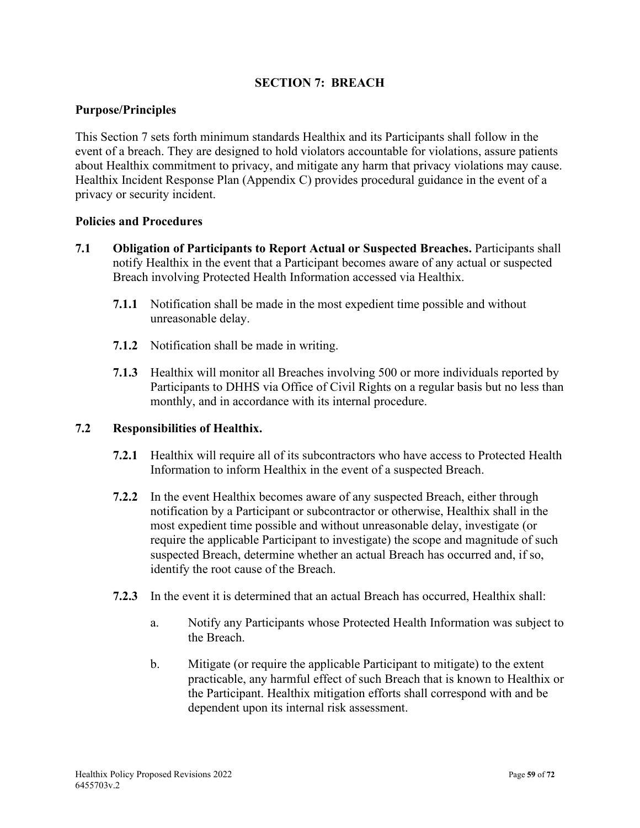## **SECTION 7: BREACH**

### **Purpose/Principles**

This Section 7 sets forth minimum standards Healthix and its Participants shall follow in the event of a breach. They are designed to hold violators accountable for violations, assure patients about Healthix commitment to privacy, and mitigate any harm that privacy violations may cause. Healthix Incident Response Plan (Appendix C) provides procedural guidance in the event of a privacy or security incident.

#### **Policies and Procedures**

- **7.1 Obligation of Participants to Report Actual or Suspected Breaches.** Participants shall notify Healthix in the event that a Participant becomes aware of any actual or suspected Breach involving Protected Health Information accessed via Healthix.
	- **7.1.1** Notification shall be made in the most expedient time possible and without unreasonable delay.
	- **7.1.2** Notification shall be made in writing.
	- **7.1.3** Healthix will monitor all Breaches involving 500 or more individuals reported by Participants to DHHS via Office of Civil Rights on a regular basis but no less than monthly, and in accordance with its internal procedure.

#### **7.2 Responsibilities of Healthix.**

- **7.2.1** Healthix will require all of its subcontractors who have access to Protected Health Information to inform Healthix in the event of a suspected Breach.
- **7.2.2** In the event Healthix becomes aware of any suspected Breach, either through notification by a Participant or subcontractor or otherwise, Healthix shall in the most expedient time possible and without unreasonable delay, investigate (or require the applicable Participant to investigate) the scope and magnitude of such suspected Breach, determine whether an actual Breach has occurred and, if so, identify the root cause of the Breach.
- **7.2.3** In the event it is determined that an actual Breach has occurred, Healthix shall:
	- a. Notify any Participants whose Protected Health Information was subject to the Breach.
	- b. Mitigate (or require the applicable Participant to mitigate) to the extent practicable, any harmful effect of such Breach that is known to Healthix or the Participant. Healthix mitigation efforts shall correspond with and be dependent upon its internal risk assessment.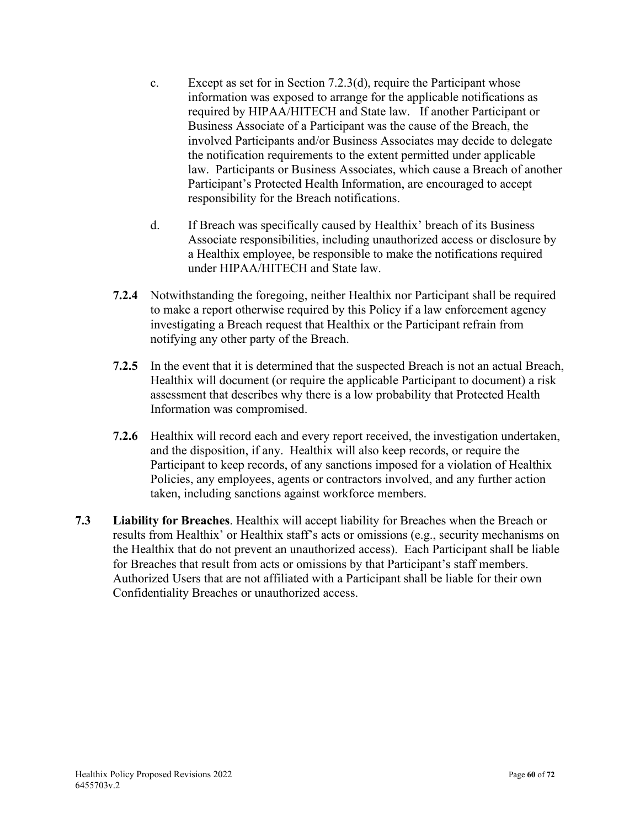- c. Except as set for in Section 7.2.3(d), require the Participant whose information was exposed to arrange for the applicable notifications as required by HIPAA/HITECH and State law. If another Participant or Business Associate of a Participant was the cause of the Breach, the involved Participants and/or Business Associates may decide to delegate the notification requirements to the extent permitted under applicable law. Participants or Business Associates, which cause a Breach of another Participant's Protected Health Information, are encouraged to accept responsibility for the Breach notifications.
- d. If Breach was specifically caused by Healthix' breach of its Business Associate responsibilities, including unauthorized access or disclosure by a Healthix employee, be responsible to make the notifications required under HIPAA/HITECH and State law.
- **7.2.4** Notwithstanding the foregoing, neither Healthix nor Participant shall be required to make a report otherwise required by this Policy if a law enforcement agency investigating a Breach request that Healthix or the Participant refrain from notifying any other party of the Breach.
- **7.2.5** In the event that it is determined that the suspected Breach is not an actual Breach, Healthix will document (or require the applicable Participant to document) a risk assessment that describes why there is a low probability that Protected Health Information was compromised.
- **7.2.6** Healthix will record each and every report received, the investigation undertaken, and the disposition, if any. Healthix will also keep records, or require the Participant to keep records, of any sanctions imposed for a violation of Healthix Policies, any employees, agents or contractors involved, and any further action taken, including sanctions against workforce members.
- **7.3 Liability for Breaches**. Healthix will accept liability for Breaches when the Breach or results from Healthix' or Healthix staff's acts or omissions (e.g., security mechanisms on the Healthix that do not prevent an unauthorized access). Each Participant shall be liable for Breaches that result from acts or omissions by that Participant's staff members. Authorized Users that are not affiliated with a Participant shall be liable for their own Confidentiality Breaches or unauthorized access.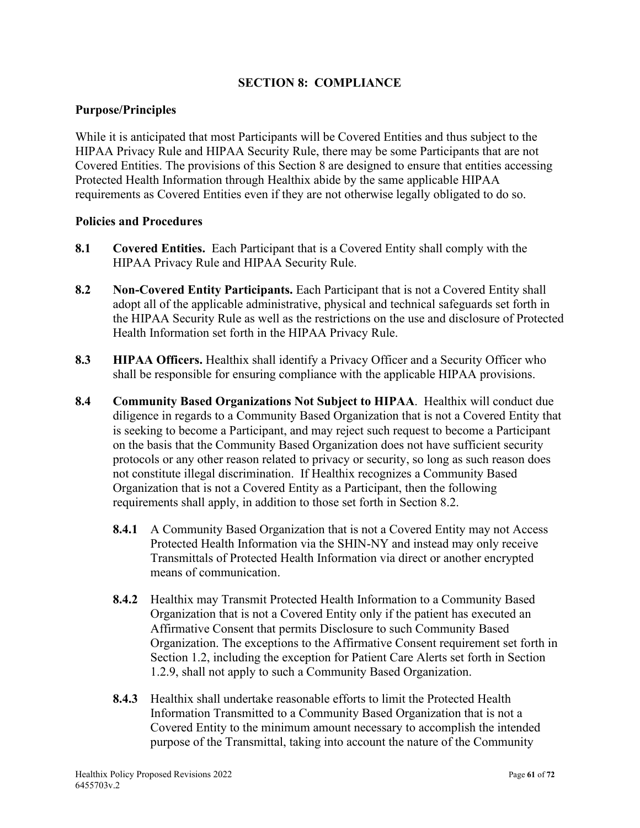## **SECTION 8: COMPLIANCE**

### **Purpose/Principles**

While it is anticipated that most Participants will be Covered Entities and thus subject to the HIPAA Privacy Rule and HIPAA Security Rule, there may be some Participants that are not Covered Entities. The provisions of this Section 8 are designed to ensure that entities accessing Protected Health Information through Healthix abide by the same applicable HIPAA requirements as Covered Entities even if they are not otherwise legally obligated to do so.

- **8.1 Covered Entities.** Each Participant that is a Covered Entity shall comply with the HIPAA Privacy Rule and HIPAA Security Rule.
- **8.2 Non-Covered Entity Participants.** Each Participant that is not a Covered Entity shall adopt all of the applicable administrative, physical and technical safeguards set forth in the HIPAA Security Rule as well as the restrictions on the use and disclosure of Protected Health Information set forth in the HIPAA Privacy Rule.
- **8.3 HIPAA Officers.** Healthix shall identify a Privacy Officer and a Security Officer who shall be responsible for ensuring compliance with the applicable HIPAA provisions.
- **8.4 Community Based Organizations Not Subject to HIPAA**. Healthix will conduct due diligence in regards to a Community Based Organization that is not a Covered Entity that is seeking to become a Participant, and may reject such request to become a Participant on the basis that the Community Based Organization does not have sufficient security protocols or any other reason related to privacy or security, so long as such reason does not constitute illegal discrimination. If Healthix recognizes a Community Based Organization that is not a Covered Entity as a Participant, then the following requirements shall apply, in addition to those set forth in Section 8.2.
	- **8.4.1** A Community Based Organization that is not a Covered Entity may not Access Protected Health Information via the SHIN-NY and instead may only receive Transmittals of Protected Health Information via direct or another encrypted means of communication.
	- **8.4.2** Healthix may Transmit Protected Health Information to a Community Based Organization that is not a Covered Entity only if the patient has executed an Affirmative Consent that permits Disclosure to such Community Based Organization. The exceptions to the Affirmative Consent requirement set forth in Section 1.2, including the exception for Patient Care Alerts set forth in Section 1.2.9, shall not apply to such a Community Based Organization.
	- **8.4.3** Healthix shall undertake reasonable efforts to limit the Protected Health Information Transmitted to a Community Based Organization that is not a Covered Entity to the minimum amount necessary to accomplish the intended purpose of the Transmittal, taking into account the nature of the Community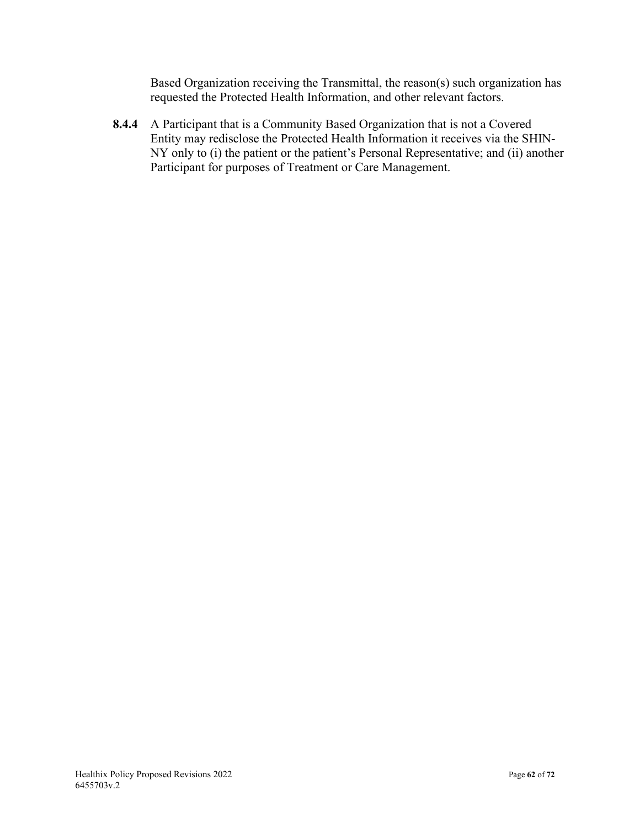Based Organization receiving the Transmittal, the reason(s) such organization has requested the Protected Health Information, and other relevant factors.

**8.4.4** A Participant that is a Community Based Organization that is not a Covered Entity may redisclose the Protected Health Information it receives via the SHIN-NY only to (i) the patient or the patient's Personal Representative; and (ii) another Participant for purposes of Treatment or Care Management.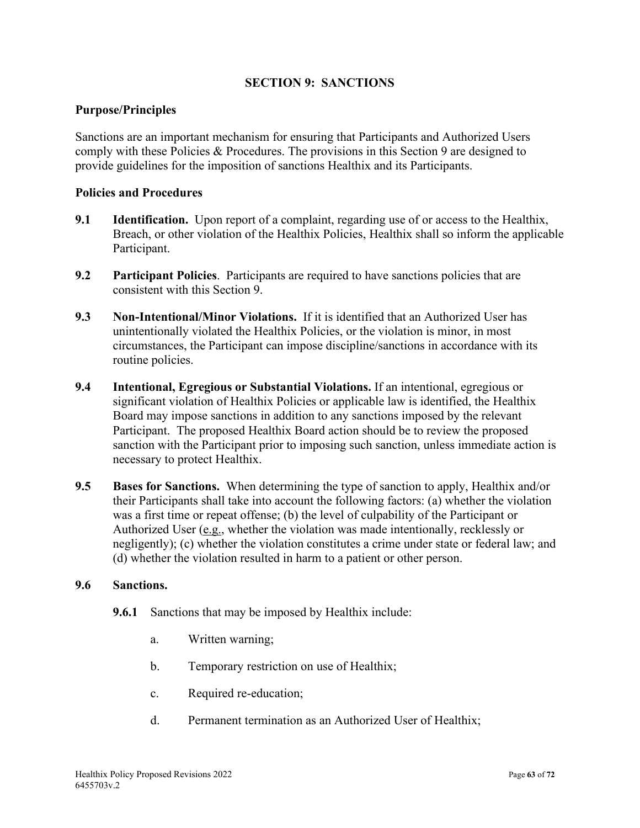## **SECTION 9: SANCTIONS**

### **Purpose/Principles**

Sanctions are an important mechanism for ensuring that Participants and Authorized Users comply with these Policies & Procedures. The provisions in this Section 9 are designed to provide guidelines for the imposition of sanctions Healthix and its Participants.

#### **Policies and Procedures**

- **9.1 Identification.** Upon report of a complaint, regarding use of or access to the Healthix, Breach, or other violation of the Healthix Policies, Healthix shall so inform the applicable Participant.
- **9.2 Participant Policies**. Participants are required to have sanctions policies that are consistent with this Section 9.
- **9.3 Non-Intentional/Minor Violations.** If it is identified that an Authorized User has unintentionally violated the Healthix Policies, or the violation is minor, in most circumstances, the Participant can impose discipline/sanctions in accordance with its routine policies.
- **9.4 Intentional, Egregious or Substantial Violations.** If an intentional, egregious or significant violation of Healthix Policies or applicable law is identified, the Healthix Board may impose sanctions in addition to any sanctions imposed by the relevant Participant. The proposed Healthix Board action should be to review the proposed sanction with the Participant prior to imposing such sanction, unless immediate action is necessary to protect Healthix.
- **9.5 Bases for Sanctions.** When determining the type of sanction to apply, Healthix and/or their Participants shall take into account the following factors: (a) whether the violation was a first time or repeat offense; (b) the level of culpability of the Participant or Authorized User (e.g., whether the violation was made intentionally, recklessly or negligently); (c) whether the violation constitutes a crime under state or federal law; and (d) whether the violation resulted in harm to a patient or other person.

#### **9.6 Sanctions.**

- **9.6.1** Sanctions that may be imposed by Healthix include:
	- a. Written warning;
	- b. Temporary restriction on use of Healthix;
	- c. Required re-education;
	- d. Permanent termination as an Authorized User of Healthix;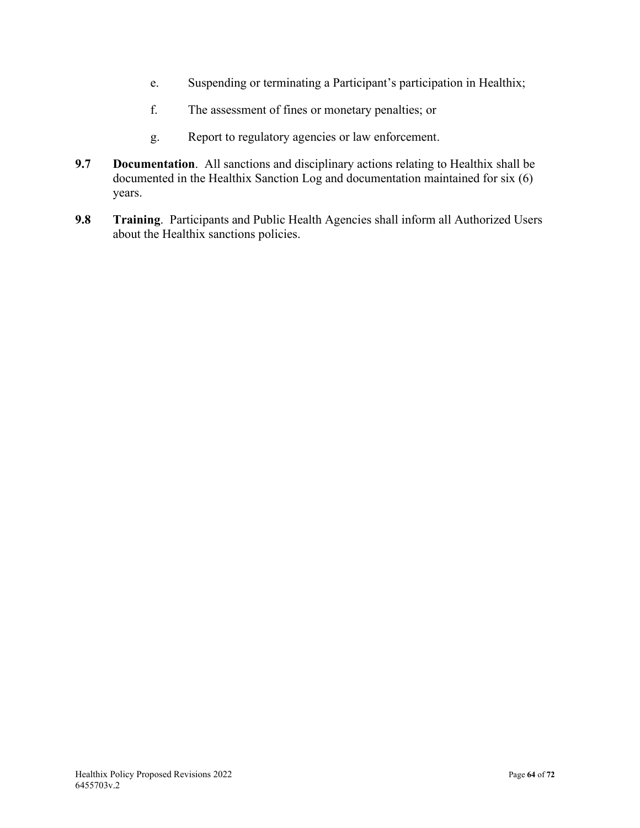- e. Suspending or terminating a Participant's participation in Healthix;
- f. The assessment of fines or monetary penalties; or
- g. Report to regulatory agencies or law enforcement.
- **9.7 Documentation**. All sanctions and disciplinary actions relating to Healthix shall be documented in the Healthix Sanction Log and documentation maintained for six (6) years.
- **9.8 Training**. Participants and Public Health Agencies shall inform all Authorized Users about the Healthix sanctions policies.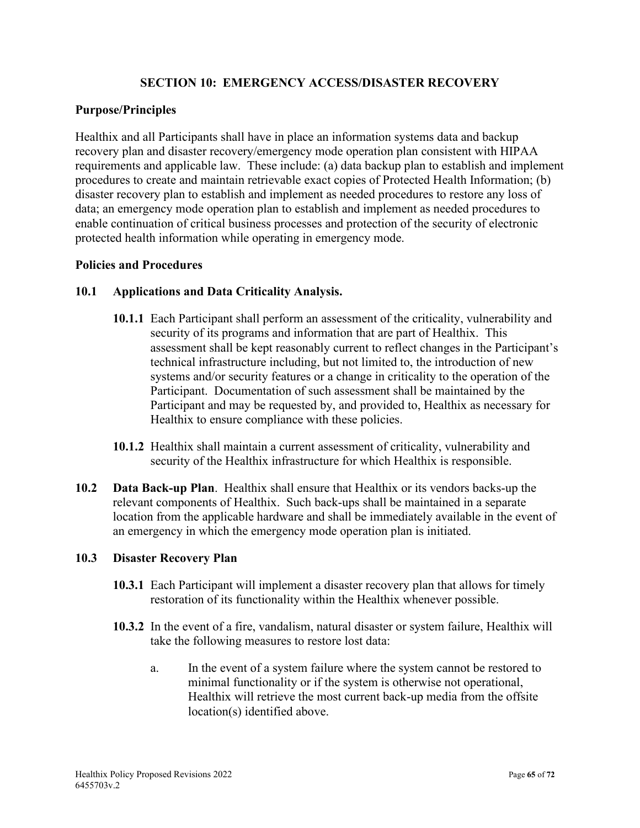## **SECTION 10: EMERGENCY ACCESS/DISASTER RECOVERY**

## **Purpose/Principles**

Healthix and all Participants shall have in place an information systems data and backup recovery plan and disaster recovery/emergency mode operation plan consistent with HIPAA requirements and applicable law. These include: (a) data backup plan to establish and implement procedures to create and maintain retrievable exact copies of Protected Health Information; (b) disaster recovery plan to establish and implement as needed procedures to restore any loss of data; an emergency mode operation plan to establish and implement as needed procedures to enable continuation of critical business processes and protection of the security of electronic protected health information while operating in emergency mode.

### **Policies and Procedures**

## **10.1 Applications and Data Criticality Analysis.**

- **10.1.1** Each Participant shall perform an assessment of the criticality, vulnerability and security of its programs and information that are part of Healthix. This assessment shall be kept reasonably current to reflect changes in the Participant's technical infrastructure including, but not limited to, the introduction of new systems and/or security features or a change in criticality to the operation of the Participant. Documentation of such assessment shall be maintained by the Participant and may be requested by, and provided to, Healthix as necessary for Healthix to ensure compliance with these policies.
- **10.1.2** Healthix shall maintain a current assessment of criticality, vulnerability and security of the Healthix infrastructure for which Healthix is responsible.
- **10.2 Data Back-up Plan**. Healthix shall ensure that Healthix or its vendors backs-up the relevant components of Healthix. Such back-ups shall be maintained in a separate location from the applicable hardware and shall be immediately available in the event of an emergency in which the emergency mode operation plan is initiated.

#### **10.3 Disaster Recovery Plan**

- **10.3.1** Each Participant will implement a disaster recovery plan that allows for timely restoration of its functionality within the Healthix whenever possible.
- **10.3.2** In the event of a fire, vandalism, natural disaster or system failure, Healthix will take the following measures to restore lost data:
	- a. In the event of a system failure where the system cannot be restored to minimal functionality or if the system is otherwise not operational, Healthix will retrieve the most current back-up media from the offsite location(s) identified above.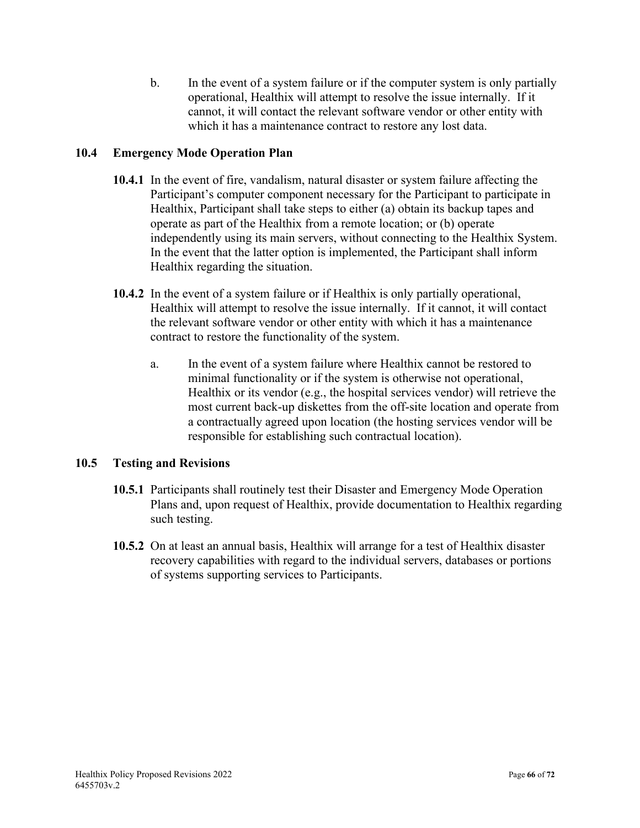b. In the event of a system failure or if the computer system is only partially operational, Healthix will attempt to resolve the issue internally. If it cannot, it will contact the relevant software vendor or other entity with which it has a maintenance contract to restore any lost data.

## **10.4 Emergency Mode Operation Plan**

- **10.4.1** In the event of fire, vandalism, natural disaster or system failure affecting the Participant's computer component necessary for the Participant to participate in Healthix, Participant shall take steps to either (a) obtain its backup tapes and operate as part of the Healthix from a remote location; or (b) operate independently using its main servers, without connecting to the Healthix System. In the event that the latter option is implemented, the Participant shall inform Healthix regarding the situation.
- **10.4.2** In the event of a system failure or if Healthix is only partially operational, Healthix will attempt to resolve the issue internally. If it cannot, it will contact the relevant software vendor or other entity with which it has a maintenance contract to restore the functionality of the system.
	- a. In the event of a system failure where Healthix cannot be restored to minimal functionality or if the system is otherwise not operational, Healthix or its vendor (e.g., the hospital services vendor) will retrieve the most current back-up diskettes from the off-site location and operate from a contractually agreed upon location (the hosting services vendor will be responsible for establishing such contractual location).

## **10.5 Testing and Revisions**

- **10.5.1** Participants shall routinely test their Disaster and Emergency Mode Operation Plans and, upon request of Healthix, provide documentation to Healthix regarding such testing.
- **10.5.2** On at least an annual basis, Healthix will arrange for a test of Healthix disaster recovery capabilities with regard to the individual servers, databases or portions of systems supporting services to Participants.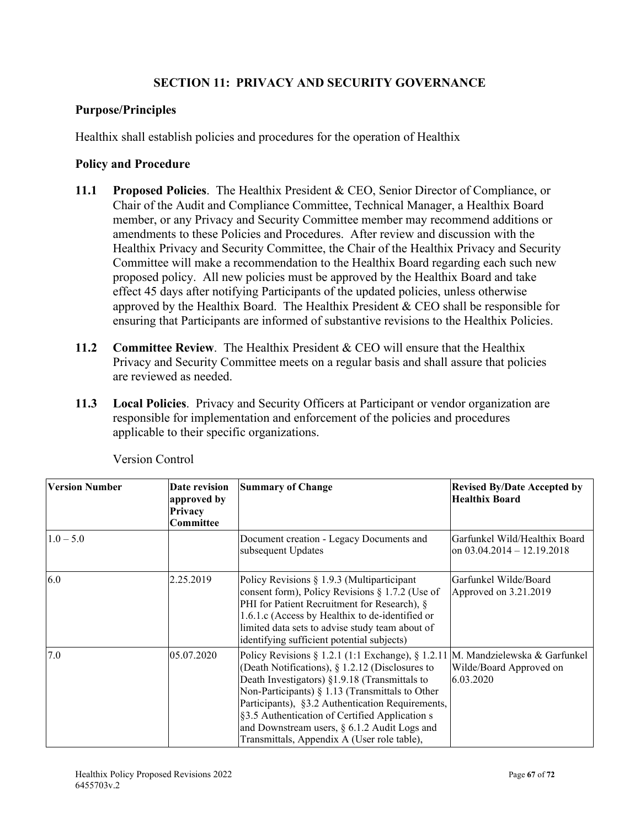## **SECTION 11: PRIVACY AND SECURITY GOVERNANCE**

### **Purpose/Principles**

Healthix shall establish policies and procedures for the operation of Healthix

### **Policy and Procedure**

- **11.1 Proposed Policies**. The Healthix President & CEO, Senior Director of Compliance, or Chair of the Audit and Compliance Committee, Technical Manager, a Healthix Board member, or any Privacy and Security Committee member may recommend additions or amendments to these Policies and Procedures. After review and discussion with the Healthix Privacy and Security Committee, the Chair of the Healthix Privacy and Security Committee will make a recommendation to the Healthix Board regarding each such new proposed policy. All new policies must be approved by the Healthix Board and take effect 45 days after notifying Participants of the updated policies, unless otherwise approved by the Healthix Board. The Healthix President & CEO shall be responsible for ensuring that Participants are informed of substantive revisions to the Healthix Policies.
- **11.2 Committee Review**. The Healthix President & CEO will ensure that the Healthix Privacy and Security Committee meets on a regular basis and shall assure that policies are reviewed as needed.
- **11.3 Local Policies**. Privacy and Security Officers at Participant or vendor organization are responsible for implementation and enforcement of the policies and procedures applicable to their specific organizations.

| <b>Version Number</b> | Date revision<br>approved by<br>Privacy<br>Committee | <b>Summary of Change</b>                                                                                                                                                                                                                                                                                                                                                                                                     | <b>Revised By/Date Accepted by</b><br><b>Healthix Board</b>          |
|-----------------------|------------------------------------------------------|------------------------------------------------------------------------------------------------------------------------------------------------------------------------------------------------------------------------------------------------------------------------------------------------------------------------------------------------------------------------------------------------------------------------------|----------------------------------------------------------------------|
| $1.0 - 5.0$           |                                                      | Document creation - Legacy Documents and<br>subsequent Updates                                                                                                                                                                                                                                                                                                                                                               | Garfunkel Wild/Healthix Board<br>on $03.04.2014 - 12.19.2018$        |
| 6.0                   | 2.25.2019                                            | Policy Revisions § 1.9.3 (Multiparticipant<br>consent form), Policy Revisions $\S 1.7.2$ (Use of<br>PHI for Patient Recruitment for Research), §<br>1.6.1.c (Access by Healthix to de-identified or<br>limited data sets to advise study team about of<br>identifying sufficient potential subjects)                                                                                                                         | Garfunkel Wilde/Board<br>Approved on 3.21.2019                       |
| 7.0                   | 05.07.2020                                           | Policy Revisions $\S 1.2.1$ (1:1 Exchange), $\S 1.2.11$<br>(Death Notifications), $\S$ 1.2.12 (Disclosures to<br>Death Investigators) §1.9.18 (Transmittals to<br>Non-Participants) $\S$ 1.13 (Transmittals to Other<br>Participants), §3.2 Authentication Requirements,<br>§3.5 Authentication of Certified Application s<br>and Downstream users, $\S$ 6.1.2 Audit Logs and<br>Transmittals, Appendix A (User role table), | M. Mandzielewska & Garfunkel<br>Wilde/Board Approved on<br>6.03.2020 |

Version Control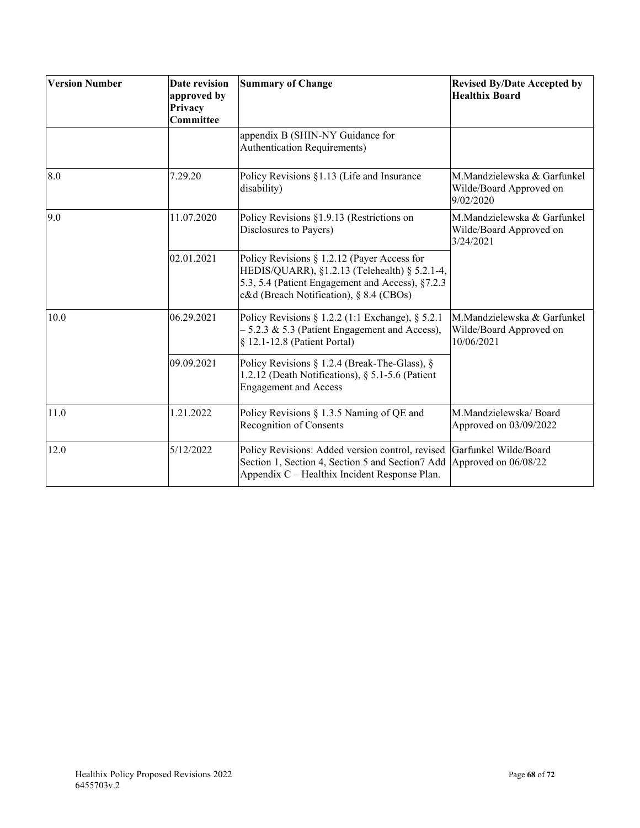| <b>Version Number</b> | Date revision<br>approved by<br>Privacy<br>Committee | <b>Summary of Change</b>                                                                                                                                                                    | <b>Revised By/Date Accepted by</b><br><b>Healthix Board</b>          |
|-----------------------|------------------------------------------------------|---------------------------------------------------------------------------------------------------------------------------------------------------------------------------------------------|----------------------------------------------------------------------|
|                       |                                                      | appendix B (SHIN-NY Guidance for<br><b>Authentication Requirements)</b>                                                                                                                     |                                                                      |
| 8.0                   | 7.29.20                                              | Policy Revisions §1.13 (Life and Insurance<br>disability)                                                                                                                                   | M.Mandzielewska & Garfunkel<br>Wilde/Board Approved on<br>9/02/2020  |
| 9.0                   | 11.07.2020                                           | Policy Revisions §1.9.13 (Restrictions on<br>Disclosures to Payers)                                                                                                                         | M.Mandzielewska & Garfunkel<br>Wilde/Board Approved on<br>3/24/2021  |
|                       | 02.01.2021                                           | Policy Revisions § 1.2.12 (Payer Access for<br>HEDIS/QUARR), §1.2.13 (Telehealth) § 5.2.1-4,<br>5.3, 5.4 (Patient Engagement and Access), §7.2.3<br>c&d (Breach Notification), § 8.4 (CBOs) |                                                                      |
| 10.0                  | 06.29.2021                                           | Policy Revisions § 1.2.2 (1:1 Exchange), § 5.2.1<br>$-5.2.3 \& 5.3$ (Patient Engagement and Access),<br>§ 12.1-12.8 (Patient Portal)                                                        | M.Mandzielewska & Garfunkel<br>Wilde/Board Approved on<br>10/06/2021 |
|                       | 09.09.2021                                           | Policy Revisions § 1.2.4 (Break-The-Glass), §<br>1.2.12 (Death Notifications), § 5.1-5.6 (Patient<br><b>Engagement and Access</b>                                                           |                                                                      |
| 11.0                  | 1.21.2022                                            | Policy Revisions § 1.3.5 Naming of QE and<br>Recognition of Consents                                                                                                                        | M.Mandzielewska/Board<br>Approved on 03/09/2022                      |
| 12.0                  | 5/12/2022                                            | Policy Revisions: Added version control, revised<br>Section 1, Section 4, Section 5 and Section 7 Add Approved on 06/08/22<br>Appendix C - Healthix Incident Response Plan.                 | Garfunkel Wilde/Board                                                |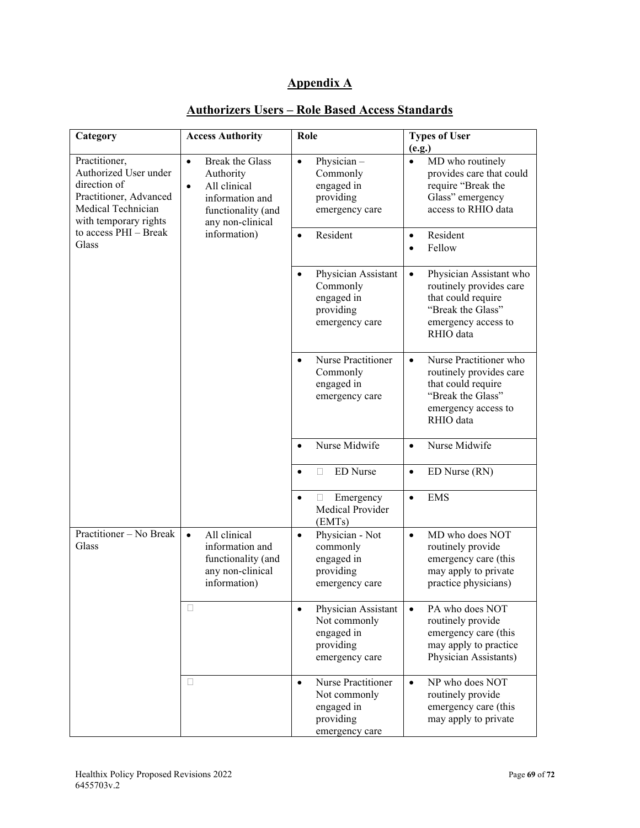# **Appendix A**

| Category                                                                                                                                                          | <b>Access Authority</b>                                                                                                                                    | Role                                                                                          | <b>Types of User</b><br>(e.g.)                                                                                                                 |
|-------------------------------------------------------------------------------------------------------------------------------------------------------------------|------------------------------------------------------------------------------------------------------------------------------------------------------------|-----------------------------------------------------------------------------------------------|------------------------------------------------------------------------------------------------------------------------------------------------|
| Practitioner,<br>Authorized User under<br>direction of<br>Practitioner, Advanced<br>Medical Technician<br>with temporary rights<br>to access PHI - Break<br>Glass | <b>Break the Glass</b><br>$\bullet$<br>Authority<br>All clinical<br>$\bullet$<br>information and<br>functionality (and<br>any non-clinical<br>information) | Physician-<br>$\bullet$<br>Commonly<br>engaged in<br>providing<br>emergency care              | MD who routinely<br>$\bullet$<br>provides care that could<br>require "Break the<br>Glass" emergency<br>access to RHIO data                     |
|                                                                                                                                                                   |                                                                                                                                                            | Resident<br>$\bullet$                                                                         | Resident<br>$\bullet$<br>Fellow                                                                                                                |
|                                                                                                                                                                   |                                                                                                                                                            | Physician Assistant<br>$\bullet$<br>Commonly<br>engaged in<br>providing<br>emergency care     | Physician Assistant who<br>$\bullet$<br>routinely provides care<br>that could require<br>"Break the Glass"<br>emergency access to<br>RHIO data |
|                                                                                                                                                                   |                                                                                                                                                            | Nurse Practitioner<br>Commonly<br>engaged in<br>emergency care                                | Nurse Practitioner who<br>$\bullet$<br>routinely provides care<br>that could require<br>"Break the Glass"<br>emergency access to<br>RHIO data  |
|                                                                                                                                                                   |                                                                                                                                                            | Nurse Midwife<br>$\bullet$                                                                    | Nurse Midwife<br>$\bullet$                                                                                                                     |
|                                                                                                                                                                   |                                                                                                                                                            | <b>ED</b> Nurse<br>П<br>$\bullet$                                                             | ED Nurse (RN)<br>$\bullet$                                                                                                                     |
|                                                                                                                                                                   |                                                                                                                                                            | Emergency<br>$\Box$<br>$\bullet$<br>Medical Provider<br>(EMTs)                                | <b>EMS</b><br>$\bullet$                                                                                                                        |
| Practitioner - No Break<br>Glass                                                                                                                                  | All clinical<br>information and<br>functionality (and<br>any non-clinical<br>information)                                                                  | Physician - Not<br>$\bullet$<br>commonly<br>engaged in<br>providing<br>emergency care         | MD who does NOT<br>$\bullet$<br>routinely provide<br>emergency care (this<br>may apply to private<br>practice physicians)                      |
|                                                                                                                                                                   | П                                                                                                                                                          | Physician Assistant<br>$\bullet$<br>Not commonly<br>engaged in<br>providing<br>emergency care | PA who does NOT<br>$\bullet$<br>routinely provide<br>emergency care (this<br>may apply to practice<br>Physician Assistants)                    |
|                                                                                                                                                                   | П                                                                                                                                                          | Nurse Practitioner<br>$\bullet$<br>Not commonly<br>engaged in<br>providing<br>emergency care  | NP who does NOT<br>$\bullet$<br>routinely provide<br>emergency care (this<br>may apply to private                                              |

## **Authorizers Users – Role Based Access Standards**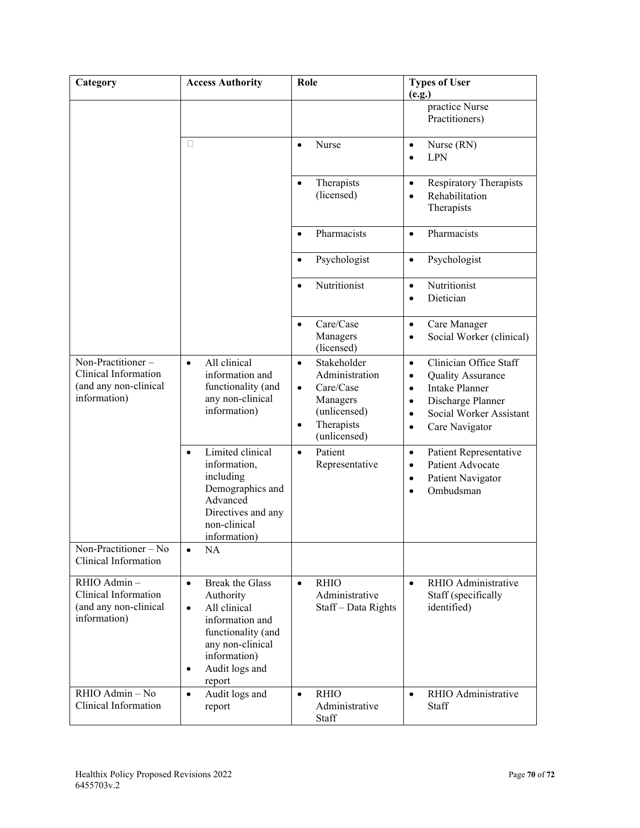| Category                                                                           | <b>Access Authority</b>                                                                                                                                                                             | Role                                                                                                                                        | <b>Types of User</b><br>(e.g.)                                                                                                                                                                                       |
|------------------------------------------------------------------------------------|-----------------------------------------------------------------------------------------------------------------------------------------------------------------------------------------------------|---------------------------------------------------------------------------------------------------------------------------------------------|----------------------------------------------------------------------------------------------------------------------------------------------------------------------------------------------------------------------|
|                                                                                    |                                                                                                                                                                                                     |                                                                                                                                             | practice Nurse<br>Practitioners)                                                                                                                                                                                     |
|                                                                                    | П                                                                                                                                                                                                   | Nurse<br>$\bullet$                                                                                                                          | Nurse (RN)<br>$\bullet$<br><b>LPN</b><br>$\bullet$                                                                                                                                                                   |
|                                                                                    |                                                                                                                                                                                                     | Therapists<br>$\bullet$<br>(licensed)                                                                                                       | <b>Respiratory Therapists</b><br>$\bullet$<br>Rehabilitation<br>$\bullet$<br>Therapists                                                                                                                              |
|                                                                                    |                                                                                                                                                                                                     | Pharmacists<br>$\bullet$                                                                                                                    | Pharmacists<br>$\bullet$                                                                                                                                                                                             |
|                                                                                    |                                                                                                                                                                                                     | Psychologist<br>$\bullet$                                                                                                                   | Psychologist<br>$\bullet$                                                                                                                                                                                            |
|                                                                                    |                                                                                                                                                                                                     | Nutritionist<br>$\bullet$                                                                                                                   | Nutritionist<br>$\bullet$<br>Dietician<br>$\bullet$                                                                                                                                                                  |
|                                                                                    |                                                                                                                                                                                                     | Care/Case<br>$\bullet$<br>Managers<br>(licensed)                                                                                            | Care Manager<br>$\bullet$<br>Social Worker (clinical)<br>$\bullet$                                                                                                                                                   |
| Non-Practitioner-<br>Clinical Information<br>(and any non-clinical<br>information) | All clinical<br>$\bullet$<br>information and<br>functionality (and<br>any non-clinical<br>information)                                                                                              | Stakeholder<br>$\bullet$<br>Administration<br>Care/Case<br>$\bullet$<br>Managers<br>(unlicensed)<br>Therapists<br>$\bullet$<br>(unlicensed) | Clinician Office Staff<br>$\bullet$<br><b>Quality Assurance</b><br>$\bullet$<br>Intake Planner<br>$\bullet$<br>Discharge Planner<br>$\bullet$<br>Social Worker Assistant<br>$\bullet$<br>Care Navigator<br>$\bullet$ |
|                                                                                    | Limited clinical<br>$\bullet$<br>information,<br>including<br>Demographics and<br>Advanced<br>Directives and any<br>non-clinical<br>information)                                                    | Patient<br>$\bullet$<br>Representative                                                                                                      | Patient Representative<br>$\bullet$<br>Patient Advocate<br>$\bullet$<br>Patient Navigator<br>$\bullet$<br>Ombudsman<br>$\bullet$                                                                                     |
| Non-Practitioner – No<br>Clinical Information                                      | NA<br>$\bullet$                                                                                                                                                                                     |                                                                                                                                             |                                                                                                                                                                                                                      |
| RHIO Admin-<br>Clinical Information<br>(and any non-clinical<br>information)       | <b>Break the Glass</b><br>$\bullet$<br>Authority<br>All clinical<br>$\bullet$<br>information and<br>functionality (and<br>any non-clinical<br>information)<br>Audit logs and<br>$\bullet$<br>report | <b>RHIO</b><br>$\bullet$<br>Administrative<br>Staff-Data Rights                                                                             | RHIO Administrative<br>$\bullet$<br>Staff (specifically<br>identified)                                                                                                                                               |
| RHIO Admin - No<br>Clinical Information                                            | Audit logs and<br>$\bullet$<br>report                                                                                                                                                               | <b>RHIO</b><br>$\bullet$<br>Administrative<br>Staff                                                                                         | RHIO Administrative<br>$\bullet$<br>Staff                                                                                                                                                                            |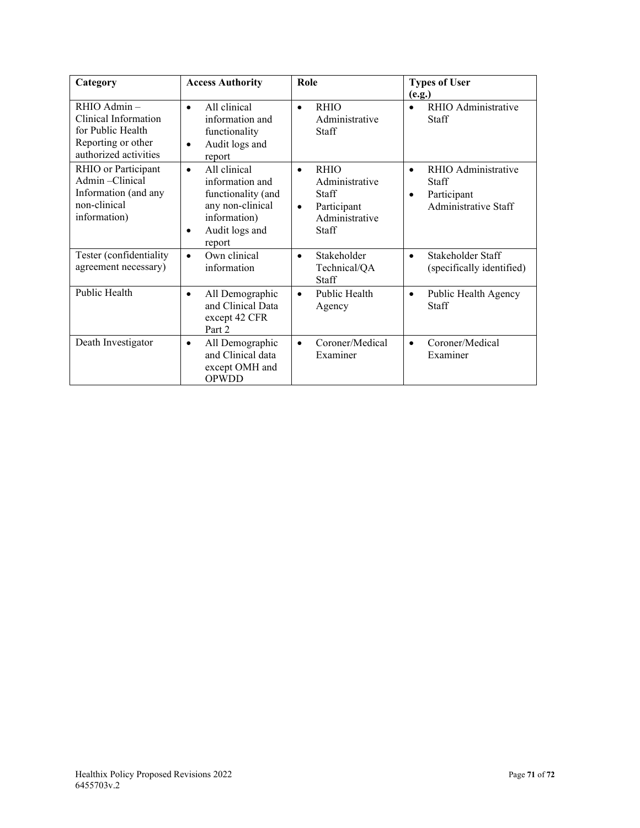| Category                                                                                                | <b>Access Authority</b>                                                                                                                         | Role                                                                                                                     | <b>Types of User</b>                                                                                 |
|---------------------------------------------------------------------------------------------------------|-------------------------------------------------------------------------------------------------------------------------------------------------|--------------------------------------------------------------------------------------------------------------------------|------------------------------------------------------------------------------------------------------|
|                                                                                                         |                                                                                                                                                 |                                                                                                                          | (e.g.)                                                                                               |
| RHIO Admin-<br>Clinical Information<br>for Public Health<br>Reporting or other<br>authorized activities | All clinical<br>$\bullet$<br>information and<br>functionality<br>Audit logs and<br>$\bullet$<br>report                                          | <b>RHIO</b><br>$\bullet$<br>Administrative<br>Staff                                                                      | RHIO Administrative<br><b>Staff</b>                                                                  |
| RHIO or Participant<br>Admin-Clinical<br>Information (and any<br>non-clinical<br>information)           | All clinical<br>$\bullet$<br>information and<br>functionality (and<br>any non-clinical<br>information)<br>Audit logs and<br>$\bullet$<br>report | <b>RHIO</b><br>$\bullet$<br>Administrative<br><b>Staff</b><br>Participant<br>$\bullet$<br>Administrative<br><b>Staff</b> | RHIO Administrative<br>$\bullet$<br><b>Staff</b><br>Participant<br>$\bullet$<br>Administrative Staff |
| Tester (confidentiality<br>agreement necessary)                                                         | Own clinical<br>$\bullet$<br>information                                                                                                        | Stakeholder<br>$\bullet$<br>Technical/QA<br><b>Staff</b>                                                                 | Stakeholder Staff<br>$\bullet$<br>(specifically identified)                                          |
| Public Health                                                                                           | All Demographic<br>$\bullet$<br>and Clinical Data<br>except 42 CFR<br>Part 2                                                                    | Public Health<br>$\bullet$<br>Agency                                                                                     | Public Health Agency<br>$\bullet$<br><b>Staff</b>                                                    |
| Death Investigator                                                                                      | All Demographic<br>$\bullet$<br>and Clinical data<br>except OMH and<br>OPWDD                                                                    | Coroner/Medical<br>$\bullet$<br>Examiner                                                                                 | Coroner/Medical<br>$\bullet$<br>Examiner                                                             |